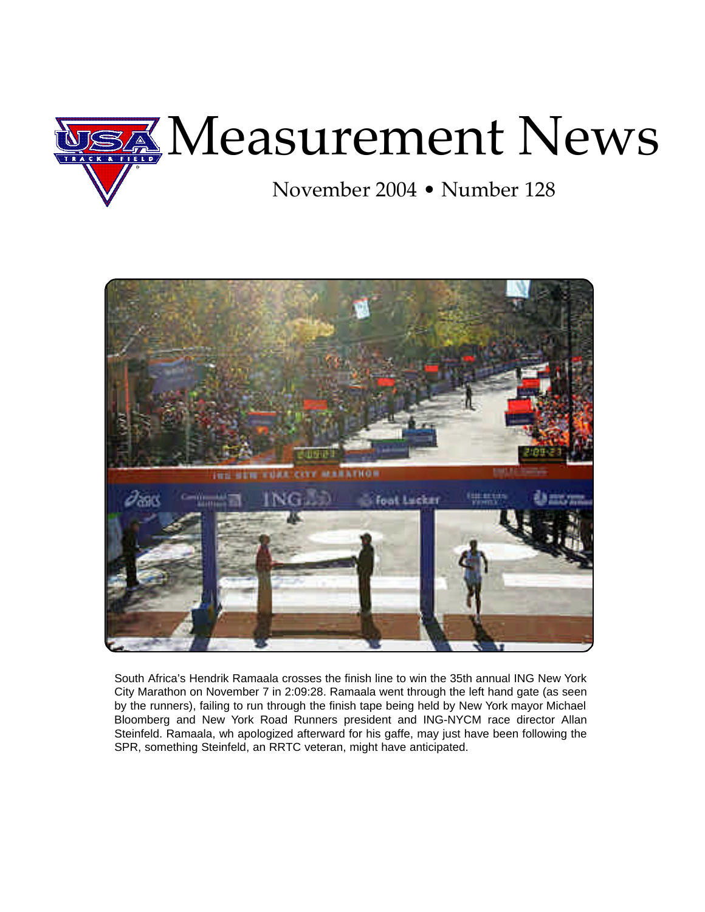



South Africa's Hendrik Ramaala crosses the finish line to win the 35th annual ING New York City Marathon on November 7 in 2:09:28. Ramaala went through the left hand gate (as seen by the runners), failing to run through the finish tape being held by New York mayor Michael Bloomberg and New York Road Runners president and ING-NYCM race director Allan Steinfeld. Ramaala, wh apologized afterward for his gaffe, may just have been following the SPR, something Steinfeld, an RRTC veteran, might have anticipated.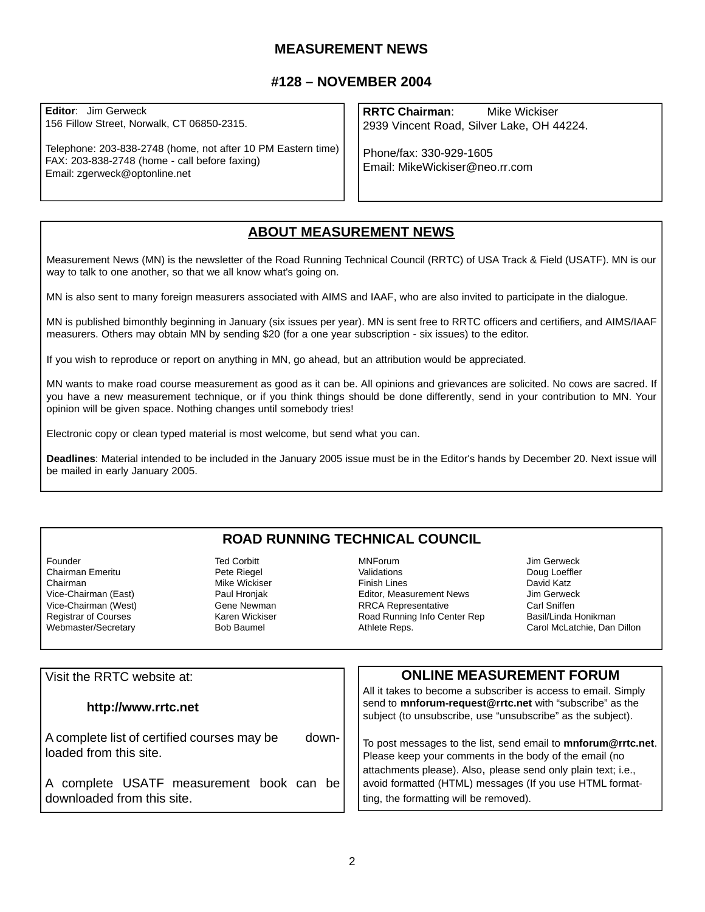## **MEASUREMENT NEWS**

## **#128 – NOVEMBER 2004**

**Editor**: Jim Gerweck 156 Fillow Street, Norwalk, CT 06850-2315.

Telephone: 203-838-2748 (home, not after 10 PM Eastern time) FAX: 203-838-2748 (home - call before faxing) Email: zgerweck@optonline.net

**RRTC Chairman**: Mike Wickiser 2939 Vincent Road, Silver Lake, OH 44224.

Phone/fax: 330-929-1605 Email: MikeWickiser@neo.rr.com

## **ABOUT MEASUREMENT NEWS**

Measurement News (MN) is the newsletter of the Road Running Technical Council (RRTC) of USA Track & Field (USATF). MN is our way to talk to one another, so that we all know what's going on.

MN is also sent to many foreign measurers associated with AIMS and IAAF, who are also invited to participate in the dialogue.

MN is published bimonthly beginning in January (six issues per year). MN is sent free to RRTC officers and certifiers, and AIMS/IAAF measurers. Others may obtain MN by sending \$20 (for a one year subscription - six issues) to the editor.

If you wish to reproduce or report on anything in MN, go ahead, but an attribution would be appreciated.

MN wants to make road course measurement as good as it can be. All opinions and grievances are solicited. No cows are sacred. If you have a new measurement technique, or if you think things should be done differently, send in your contribution to MN. Your opinion will be given space. Nothing changes until somebody tries!

Electronic copy or clean typed material is most welcome, but send what you can.

**Deadlines**: Material intended to be included in the January 2005 issue must be in the Editor's hands by December 20. Next issue will be mailed in early January 2005.

## **ROAD RUNNING TECHNICAL COUNCIL**

Founder<br>Chairman Emeritu **Chairman Corpus** Pete Riegel Chairman Emeritu Chairman (East) Mike Wickiser<br>Vice-Chairman (East) Michael Paul Hroniak Vice-Chairman (East) **Paul Hronjak**<br>Vice-Chairman (West) **Paul Hronder** Gene Newman Vice-Chairman (West) Gene Newman<br>Registrar of Courses Gene Chairman Karen Wickiser Registrar of Courses **Karen Wickiss**<br>Webmaster/Secretary **Register State** Bob Baumel Webmaster/Secretary

MNForum Jim Gerweck Finish Lines<br>Fditor, Measurement News [15] Jim Gerweck Editor, Measurement News Jim Gerweck<br>
RRCA Representative Carl Sniffen RRCA Representative Road Running Info Center Rep Basil/Linda Honikman<br>Athlete Reps. (and McLatchie, Dan

Doug Loeffler Carol McLatchie, Dan Dillon

| Visit the RRTC website at:                                                     | <b>ONLINE MEASUREMENT FORUM</b>                                                                                                                                                           |
|--------------------------------------------------------------------------------|-------------------------------------------------------------------------------------------------------------------------------------------------------------------------------------------|
| http://www.rrtc.net                                                            | All it takes to become a subscriber is access to email. Simply<br>send to mnforum-request@rrtc.net with "subscribe" as the<br>subject (to unsubscribe, use "unsubscribe" as the subject). |
| down-<br>A complete list of certified courses may be<br>loaded from this site. | To post messages to the list, send email to mnforum@rrtc.net.<br>Please keep your comments in the body of the email (no                                                                   |
| A complete USATF measurement book can be<br>downloaded from this site.         | attachments please). Also, please send only plain text; i.e.,<br>avoid formatted (HTML) messages (If you use HTML format-<br>ting, the formatting will be removed).                       |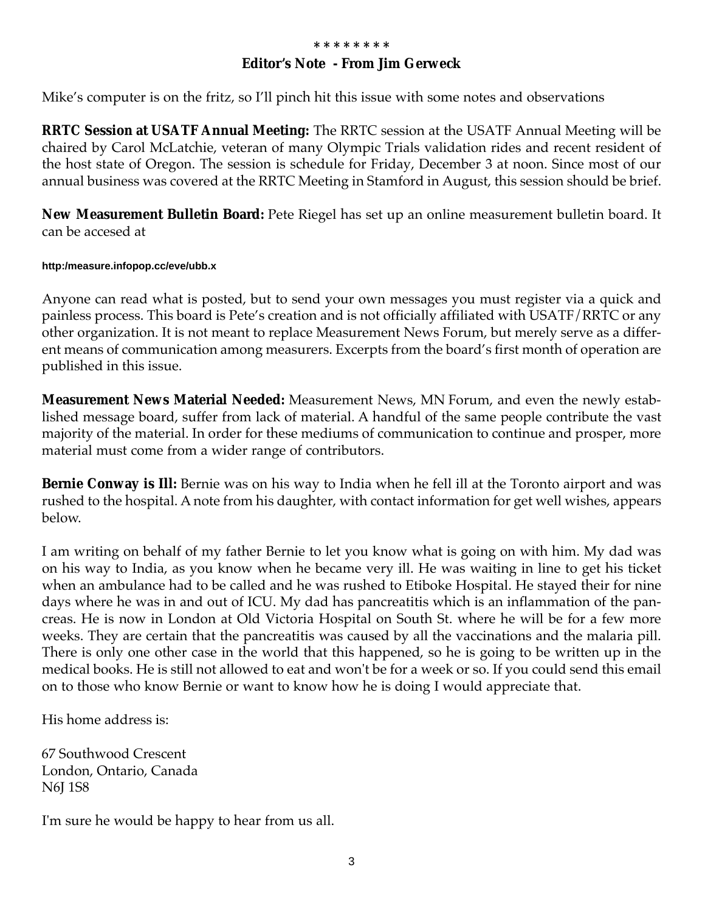## **Editor's Note - From Jim Gerweck**

Mike's computer is on the fritz, so I'll pinch hit this issue with some notes and observations

**RRTC Session at USATF Annual Meeting:** The RRTC session at the USATF Annual Meeting will be chaired by Carol McLatchie, veteran of many Olympic Trials validation rides and recent resident of the host state of Oregon. The session is schedule for Friday, December 3 at noon. Since most of our annual business was covered at the RRTC Meeting in Stamford in August, this session should be brief.

**New Measurement Bulletin Board:** Pete Riegel has set up an online measurement bulletin board. It can be accesed at

#### **http:/measure.infopop.cc/eve/ubb.x**

Anyone can read what is posted, but to send your own messages you must register via a quick and painless process. This board is Pete's creation and is not officially affiliated with USATF/RRTC or any other organization. It is not meant to replace Measurement News Forum, but merely serve as a different means of communication among measurers. Excerpts from the board's first month of operation are published in this issue.

**Measurement News Material Needed:** Measurement News, MN Forum, and even the newly established message board, suffer from lack of material. A handful of the same people contribute the vast majority of the material. In order for these mediums of communication to continue and prosper, more material must come from a wider range of contributors.

**Bernie Conway is Ill:** Bernie was on his way to India when he fell ill at the Toronto airport and was rushed to the hospital. A note from his daughter, with contact information for get well wishes, appears below.

I am writing on behalf of my father Bernie to let you know what is going on with him. My dad was on his way to India, as you know when he became very ill. He was waiting in line to get his ticket when an ambulance had to be called and he was rushed to Etiboke Hospital. He stayed their for nine days where he was in and out of ICU. My dad has pancreatitis which is an inflammation of the pancreas. He is now in London at Old Victoria Hospital on South St. where he will be for a few more weeks. They are certain that the pancreatitis was caused by all the vaccinations and the malaria pill. There is only one other case in the world that this happened, so he is going to be written up in the medical books. He is still not allowed to eat and won't be for a week or so. If you could send this email on to those who know Bernie or want to know how he is doing I would appreciate that.

His home address is:

67 Southwood Crescent London, Ontario, Canada N6J 1S8

I'm sure he would be happy to hear from us all.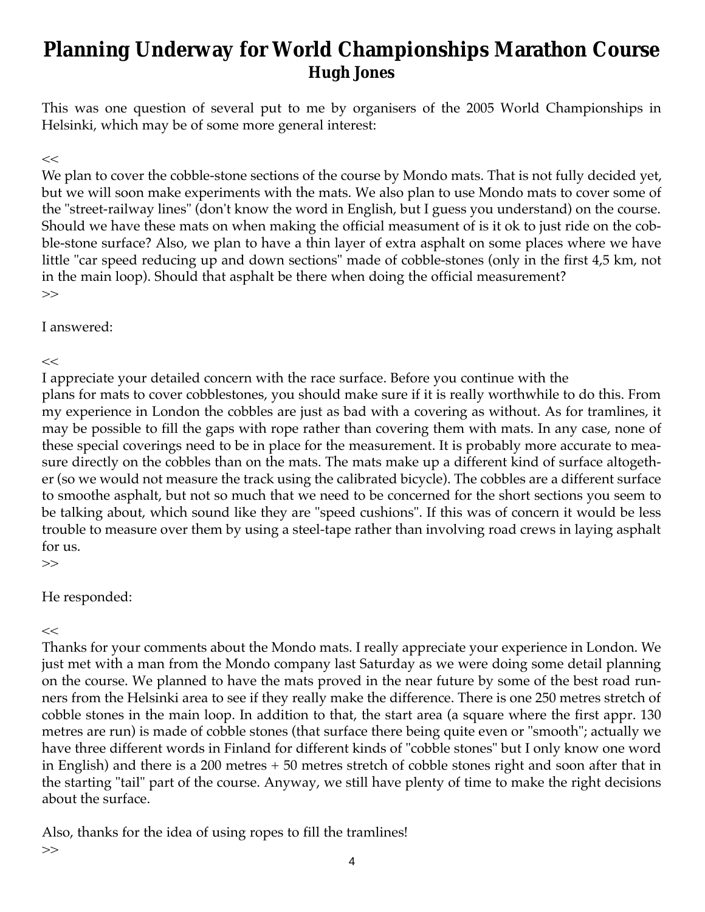# **Planning Underway for World Championships Marathon Course Hugh Jones**

This was one question of several put to me by organisers of the 2005 World Championships in Helsinki, which may be of some more general interest:

## $<<$

We plan to cover the cobble-stone sections of the course by Mondo mats. That is not fully decided yet, but we will soon make experiments with the mats. We also plan to use Mondo mats to cover some of the "street-railway lines" (don't know the word in English, but I guess you understand) on the course. Should we have these mats on when making the official measument of is it ok to just ride on the cobble-stone surface? Also, we plan to have a thin layer of extra asphalt on some places where we have little "car speed reducing up and down sections" made of cobble-stones (only in the first 4,5 km, not in the main loop). Should that asphalt be there when doing the official measurement? >>

I answered:

 $<<$ 

I appreciate your detailed concern with the race surface. Before you continue with the plans for mats to cover cobblestones, you should make sure if it is really worthwhile to do this. From my experience in London the cobbles are just as bad with a covering as without. As for tramlines, it may be possible to fill the gaps with rope rather than covering them with mats. In any case, none of these special coverings need to be in place for the measurement. It is probably more accurate to measure directly on the cobbles than on the mats. The mats make up a different kind of surface altogether (so we would not measure the track using the calibrated bicycle). The cobbles are a different surface to smoothe asphalt, but not so much that we need to be concerned for the short sections you seem to be talking about, which sound like they are "speed cushions". If this was of concern it would be less trouble to measure over them by using a steel-tape rather than involving road crews in laying asphalt for us.

>>

## He responded:

 $<<$ 

Thanks for your comments about the Mondo mats. I really appreciate your experience in London. We just met with a man from the Mondo company last Saturday as we were doing some detail planning on the course. We planned to have the mats proved in the near future by some of the best road runners from the Helsinki area to see if they really make the difference. There is one 250 metres stretch of cobble stones in the main loop. In addition to that, the start area (a square where the first appr. 130 metres are run) is made of cobble stones (that surface there being quite even or "smooth"; actually we have three different words in Finland for different kinds of "cobble stones" but I only know one word in English) and there is a 200 metres + 50 metres stretch of cobble stones right and soon after that in the starting "tail" part of the course. Anyway, we still have plenty of time to make the right decisions about the surface.

Also, thanks for the idea of using ropes to fill the tramlines! >>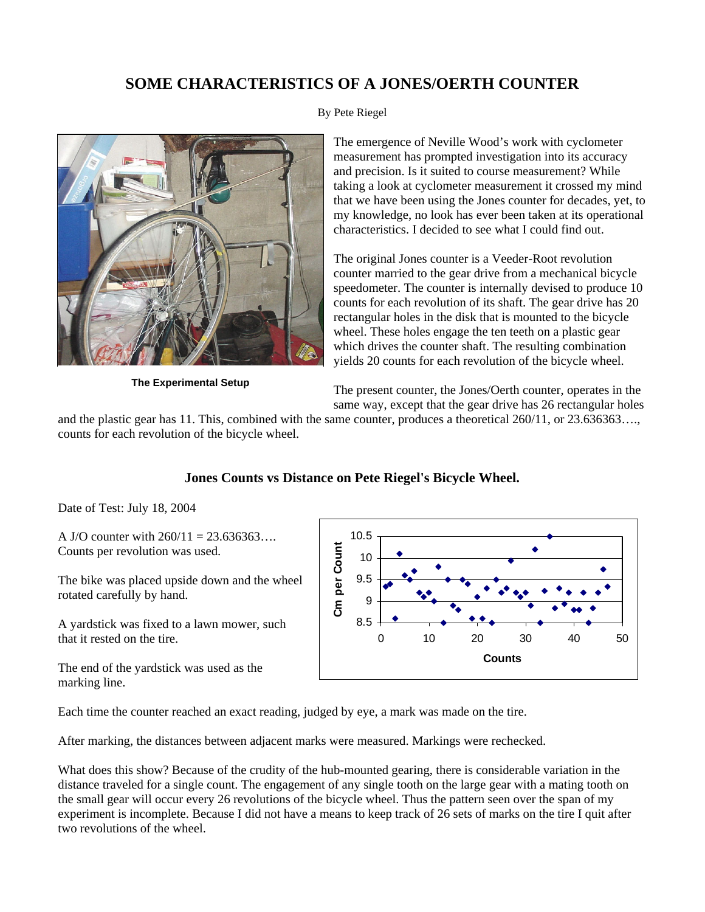## **SOME CHARACTERISTICS OF A JONES/OERTH COUNTER**



**The Experimental Setup**

#### By Pete Riegel

The emergence of Neville Wood's work with cyclometer measurement has prompted investigation into its accuracy and precision. Is it suited to course measurement? While taking a look at cyclometer measurement it crossed my mind that we have been using the Jones counter for decades, yet, to my knowledge, no look has ever been taken at its operational characteristics. I decided to see what I could find out.

The original Jones counter is a Veeder-Root revolution counter married to the gear drive from a mechanical bicycle speedometer. The counter is internally devised to produce 10 counts for each revolution of its shaft. The gear drive has 20 rectangular holes in the disk that is mounted to the bicycle wheel. These holes engage the ten teeth on a plastic gear which drives the counter shaft. The resulting combination yields 20 counts for each revolution of the bicycle wheel.

The present counter, the Jones/Oerth counter, operates in the same way, except that the gear drive has 26 rectangular holes

and the plastic gear has 11. This, combined with the same counter, produces a theoretical 260/11, or 23.636363…., counts for each revolution of the bicycle wheel.

## **Jones Counts vs Distance on Pete Riegel's Bicycle Wheel.**

Date of Test: July 18, 2004

A J/O counter with  $260/11 = 23.636363...$ Counts per revolution was used.

The bike was placed upside down and the wheel rotated carefully by hand.

A yardstick was fixed to a lawn mower, such that it rested on the tire.

The end of the yardstick was used as the marking line.



Each time the counter reached an exact reading, judged by eye, a mark was made on the tire.

After marking, the distances between adjacent marks were measured. Markings were rechecked.

What does this show? Because of the crudity of the hub-mounted gearing, there is considerable variation in the distance traveled for a single count. The engagement of any single tooth on the large gear with a mating tooth on the small gear will occur every 26 revolutions of the bicycle wheel. Thus the pattern seen over the span of my experiment is incomplete. Because I did not have a means to keep track of 26 sets of marks on the tire I quit after two revolutions of the wheel.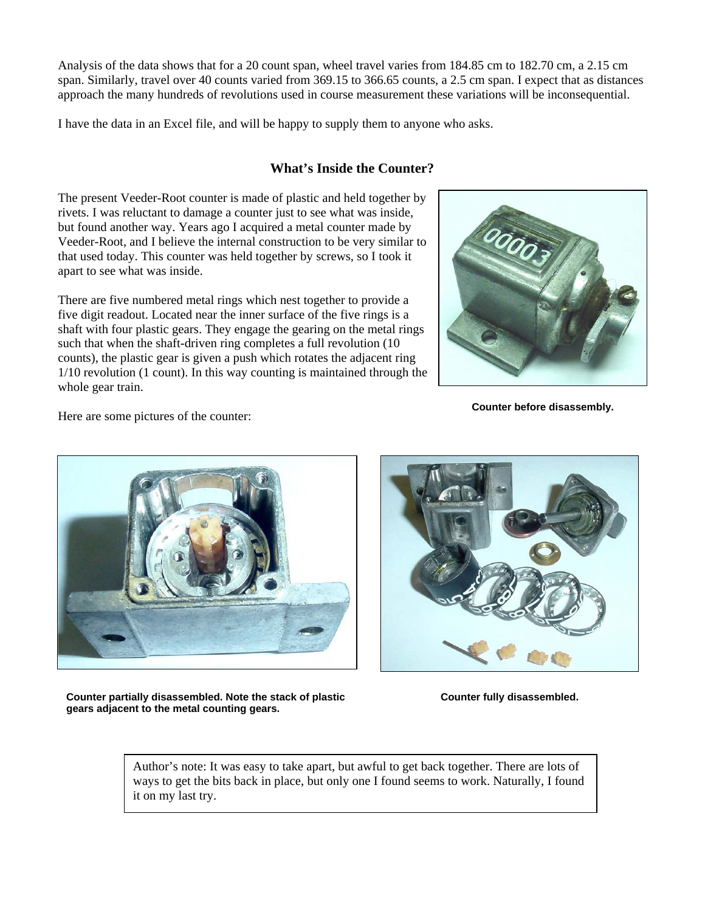Analysis of the data shows that for a 20 count span, wheel travel varies from 184.85 cm to 182.70 cm, a 2.15 cm span. Similarly, travel over 40 counts varied from 369.15 to 366.65 counts, a 2.5 cm span. I expect that as distances approach the many hundreds of revolutions used in course measurement these variations will be inconsequential.

I have the data in an Excel file, and will be happy to supply them to anyone who asks.

## **What's Inside the Counter?**

The present Veeder-Root counter is made of plastic and held together by rivets. I was reluctant to damage a counter just to see what was inside, but found another way. Years ago I acquired a metal counter made by Veeder-Root, and I believe the internal construction to be very similar to that used today. This counter was held together by screws, so I took it apart to see what was inside.

There are five numbered metal rings which nest together to provide a five digit readout. Located near the inner surface of the five rings is a shaft with four plastic gears. They engage the gearing on the metal rings such that when the shaft-driven ring completes a full revolution (10 counts), the plastic gear is given a push which rotates the adjacent ring 1/10 revolution (1 count). In this way counting is maintained through the whole gear train.

Here are some pictures of the counter: **Counter before disassembly. Counter before disassembly.** 



**Counter partially disassembled. Note the stack of plastic gears adjacent to the metal counting gears.**



**Counter fully disassembled.**

Author's note: It was easy to take apart, but awful to get back together. There are lots of ways to get the bits back in place, but only one I found seems to work. Naturally, I found it on my last try.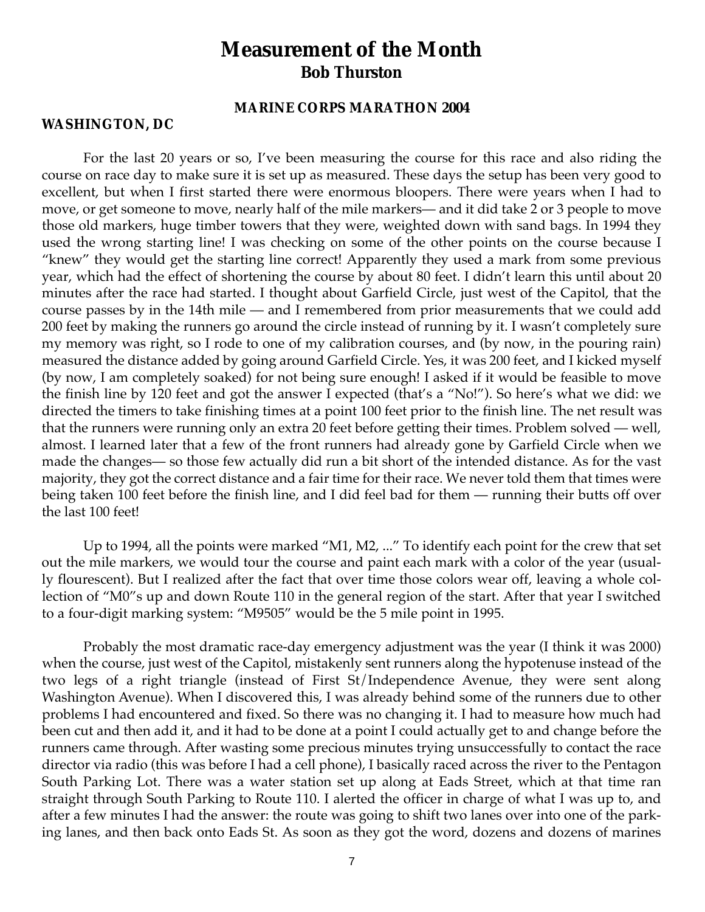## **Measurement of the Month Bob Thurston**

### **MARINE CORPS MARATHON 2004**

### **WASHINGTON, DC**

For the last 20 years or so, I've been measuring the course for this race and also riding the course on race day to make sure it is set up as measured. These days the setup has been very good to excellent, but when I first started there were enormous bloopers. There were years when I had to move, or get someone to move, nearly half of the mile markers— and it did take 2 or 3 people to move those old markers, huge timber towers that they were, weighted down with sand bags. In 1994 they used the wrong starting line! I was checking on some of the other points on the course because I "knew" they would get the starting line correct! Apparently they used a mark from some previous year, which had the effect of shortening the course by about 80 feet. I didn't learn this until about 20 minutes after the race had started. I thought about Garfield Circle, just west of the Capitol, that the course passes by in the 14th mile — and I remembered from prior measurements that we could add 200 feet by making the runners go around the circle instead of running by it. I wasn't completely sure my memory was right, so I rode to one of my calibration courses, and (by now, in the pouring rain) measured the distance added by going around Garfield Circle. Yes, it was 200 feet, and I kicked myself (by now, I am completely soaked) for not being sure enough! I asked if it would be feasible to move the finish line by 120 feet and got the answer I expected (that's a "No!"). So here's what we did: we directed the timers to take finishing times at a point 100 feet prior to the finish line. The net result was that the runners were running only an extra 20 feet before getting their times. Problem solved — well, almost. I learned later that a few of the front runners had already gone by Garfield Circle when we made the changes— so those few actually did run a bit short of the intended distance. As for the vast majority, they got the correct distance and a fair time for their race. We never told them that times were being taken 100 feet before the finish line, and I did feel bad for them — running their butts off over the last 100 feet!

Up to 1994, all the points were marked "M1, M2, ..." To identify each point for the crew that set out the mile markers, we would tour the course and paint each mark with a color of the year (usually flourescent). But I realized after the fact that over time those colors wear off, leaving a whole collection of "M0"s up and down Route 110 in the general region of the start. After that year I switched to a four-digit marking system: "M9505" would be the 5 mile point in 1995.

Probably the most dramatic race-day emergency adjustment was the year (I think it was 2000) when the course, just west of the Capitol, mistakenly sent runners along the hypotenuse instead of the two legs of a right triangle (instead of First St/Independence Avenue, they were sent along Washington Avenue). When I discovered this, I was already behind some of the runners due to other problems I had encountered and fixed. So there was no changing it. I had to measure how much had been cut and then add it, and it had to be done at a point I could actually get to and change before the runners came through. After wasting some precious minutes trying unsuccessfully to contact the race director via radio (this was before I had a cell phone), I basically raced across the river to the Pentagon South Parking Lot. There was a water station set up along at Eads Street, which at that time ran straight through South Parking to Route 110. I alerted the officer in charge of what I was up to, and after a few minutes I had the answer: the route was going to shift two lanes over into one of the parking lanes, and then back onto Eads St. As soon as they got the word, dozens and dozens of marines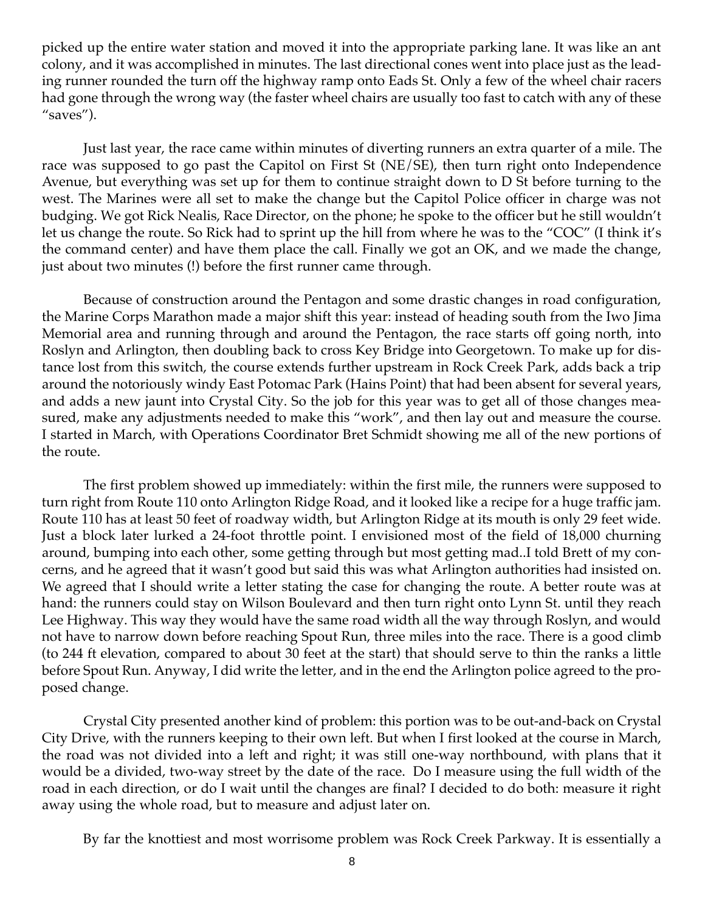picked up the entire water station and moved it into the appropriate parking lane. It was like an ant colony, and it was accomplished in minutes. The last directional cones went into place just as the leading runner rounded the turn off the highway ramp onto Eads St. Only a few of the wheel chair racers had gone through the wrong way (the faster wheel chairs are usually too fast to catch with any of these "saves").

Just last year, the race came within minutes of diverting runners an extra quarter of a mile. The race was supposed to go past the Capitol on First St (NE/SE), then turn right onto Independence Avenue, but everything was set up for them to continue straight down to D St before turning to the west. The Marines were all set to make the change but the Capitol Police officer in charge was not budging. We got Rick Nealis, Race Director, on the phone; he spoke to the officer but he still wouldn't let us change the route. So Rick had to sprint up the hill from where he was to the "COC" (I think it's the command center) and have them place the call. Finally we got an OK, and we made the change, just about two minutes (!) before the first runner came through.

Because of construction around the Pentagon and some drastic changes in road configuration, the Marine Corps Marathon made a major shift this year: instead of heading south from the Iwo Jima Memorial area and running through and around the Pentagon, the race starts off going north, into Roslyn and Arlington, then doubling back to cross Key Bridge into Georgetown. To make up for distance lost from this switch, the course extends further upstream in Rock Creek Park, adds back a trip around the notoriously windy East Potomac Park (Hains Point) that had been absent for several years, and adds a new jaunt into Crystal City. So the job for this year was to get all of those changes measured, make any adjustments needed to make this "work", and then lay out and measure the course. I started in March, with Operations Coordinator Bret Schmidt showing me all of the new portions of the route.

The first problem showed up immediately: within the first mile, the runners were supposed to turn right from Route 110 onto Arlington Ridge Road, and it looked like a recipe for a huge traffic jam. Route 110 has at least 50 feet of roadway width, but Arlington Ridge at its mouth is only 29 feet wide. Just a block later lurked a 24-foot throttle point. I envisioned most of the field of 18,000 churning around, bumping into each other, some getting through but most getting mad..I told Brett of my concerns, and he agreed that it wasn't good but said this was what Arlington authorities had insisted on. We agreed that I should write a letter stating the case for changing the route. A better route was at hand: the runners could stay on Wilson Boulevard and then turn right onto Lynn St. until they reach Lee Highway. This way they would have the same road width all the way through Roslyn, and would not have to narrow down before reaching Spout Run, three miles into the race. There is a good climb (to 244 ft elevation, compared to about 30 feet at the start) that should serve to thin the ranks a little before Spout Run. Anyway, I did write the letter, and in the end the Arlington police agreed to the proposed change.

Crystal City presented another kind of problem: this portion was to be out-and-back on Crystal City Drive, with the runners keeping to their own left. But when I first looked at the course in March, the road was not divided into a left and right; it was still one-way northbound, with plans that it would be a divided, two-way street by the date of the race. Do I measure using the full width of the road in each direction, or do I wait until the changes are final? I decided to do both: measure it right away using the whole road, but to measure and adjust later on.

By far the knottiest and most worrisome problem was Rock Creek Parkway. It is essentially a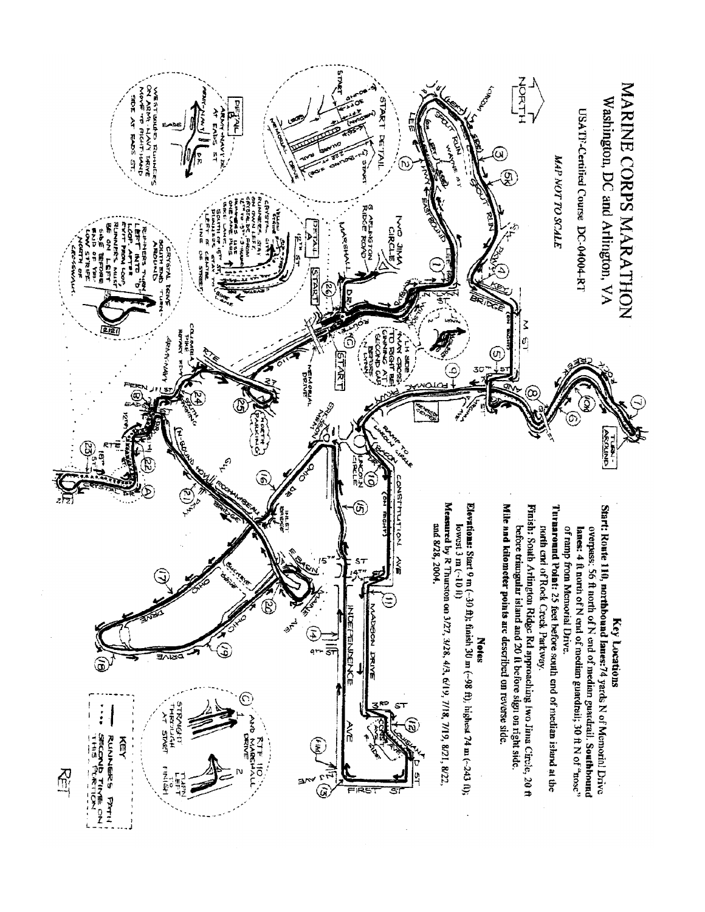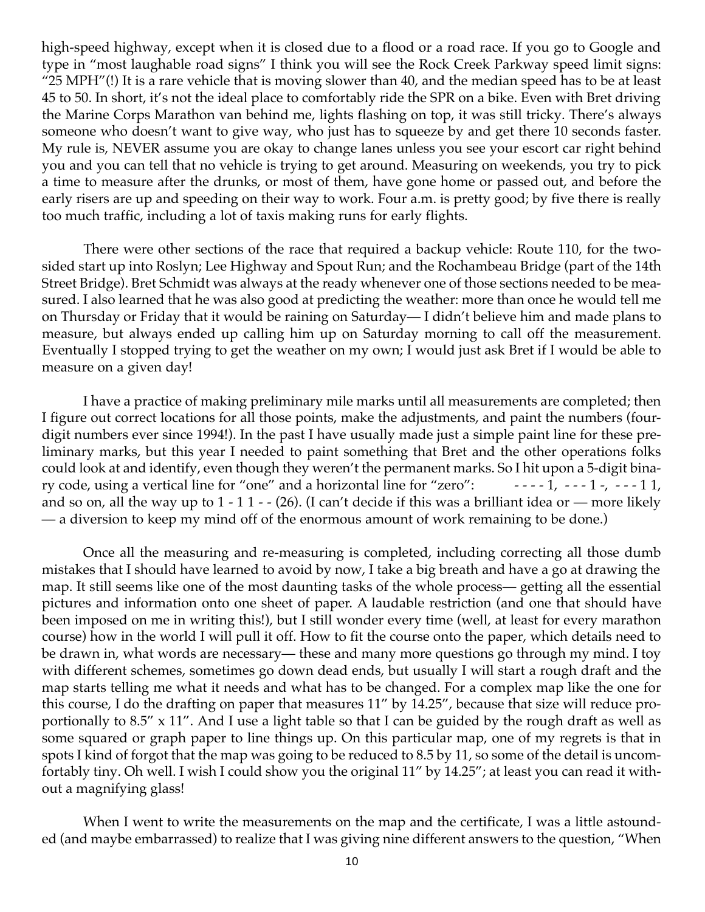high-speed highway, except when it is closed due to a flood or a road race. If you go to Google and type in "most laughable road signs" I think you will see the Rock Creek Parkway speed limit signs: "25 MPH"(!) It is a rare vehicle that is moving slower than 40, and the median speed has to be at least 45 to 50. In short, it's not the ideal place to comfortably ride the SPR on a bike. Even with Bret driving the Marine Corps Marathon van behind me, lights flashing on top, it was still tricky. There's always someone who doesn't want to give way, who just has to squeeze by and get there 10 seconds faster. My rule is, NEVER assume you are okay to change lanes unless you see your escort car right behind you and you can tell that no vehicle is trying to get around. Measuring on weekends, you try to pick a time to measure after the drunks, or most of them, have gone home or passed out, and before the early risers are up and speeding on their way to work. Four a.m. is pretty good; by five there is really too much traffic, including a lot of taxis making runs for early flights.

There were other sections of the race that required a backup vehicle: Route 110, for the twosided start up into Roslyn; Lee Highway and Spout Run; and the Rochambeau Bridge (part of the 14th Street Bridge). Bret Schmidt was always at the ready whenever one of those sections needed to be measured. I also learned that he was also good at predicting the weather: more than once he would tell me on Thursday or Friday that it would be raining on Saturday— I didn't believe him and made plans to measure, but always ended up calling him up on Saturday morning to call off the measurement. Eventually I stopped trying to get the weather on my own; I would just ask Bret if I would be able to measure on a given day!

I have a practice of making preliminary mile marks until all measurements are completed; then I figure out correct locations for all those points, make the adjustments, and paint the numbers (fourdigit numbers ever since 1994!). In the past I have usually made just a simple paint line for these preliminary marks, but this year I needed to paint something that Bret and the other operations folks could look at and identify, even though they weren't the permanent marks. So I hit upon a 5-digit binary code, using a vertical line for "one" and a horizontal line for "zero":  $- - - 1, - - - 1, - - - 11,$ and so on, all the way up to 1 - 1 1 - - (26). (I can't decide if this was a brilliant idea or — more likely — a diversion to keep my mind off of the enormous amount of work remaining to be done.)

Once all the measuring and re-measuring is completed, including correcting all those dumb mistakes that I should have learned to avoid by now, I take a big breath and have a go at drawing the map. It still seems like one of the most daunting tasks of the whole process— getting all the essential pictures and information onto one sheet of paper. A laudable restriction (and one that should have been imposed on me in writing this!), but I still wonder every time (well, at least for every marathon course) how in the world I will pull it off. How to fit the course onto the paper, which details need to be drawn in, what words are necessary— these and many more questions go through my mind. I toy with different schemes, sometimes go down dead ends, but usually I will start a rough draft and the map starts telling me what it needs and what has to be changed. For a complex map like the one for this course, I do the drafting on paper that measures 11" by 14.25", because that size will reduce proportionally to 8.5" x 11". And I use a light table so that I can be guided by the rough draft as well as some squared or graph paper to line things up. On this particular map, one of my regrets is that in spots I kind of forgot that the map was going to be reduced to 8.5 by 11, so some of the detail is uncomfortably tiny. Oh well. I wish I could show you the original 11" by 14.25"; at least you can read it without a magnifying glass!

When I went to write the measurements on the map and the certificate, I was a little astounded (and maybe embarrassed) to realize that I was giving nine different answers to the question, "When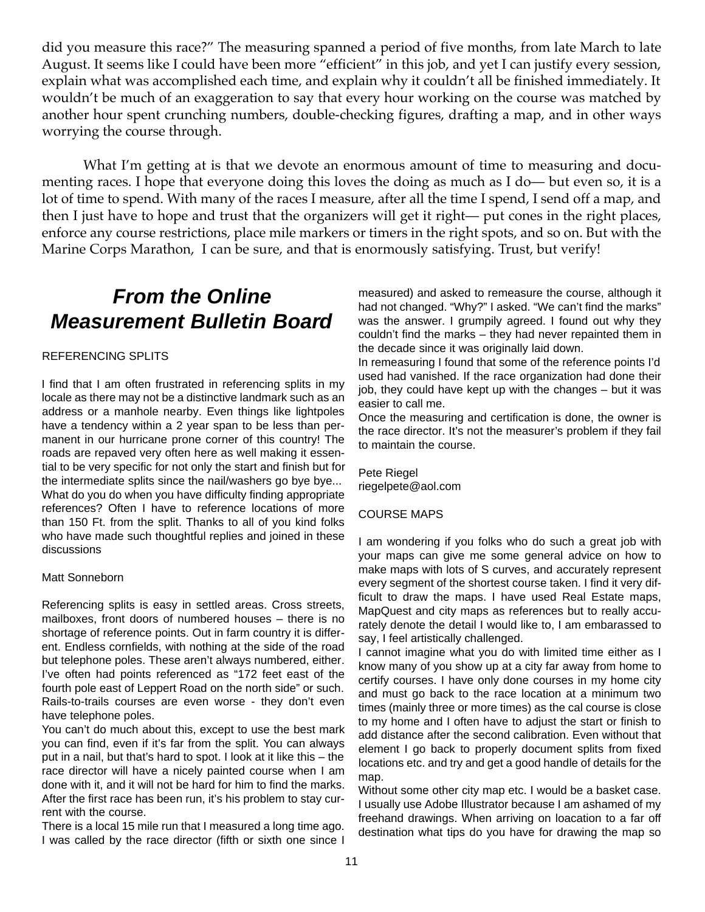did you measure this race?" The measuring spanned a period of five months, from late March to late August. It seems like I could have been more "efficient" in this job, and yet I can justify every session, explain what was accomplished each time, and explain why it couldn't all be finished immediately. It wouldn't be much of an exaggeration to say that every hour working on the course was matched by another hour spent crunching numbers, double-checking figures, drafting a map, and in other ways worrying the course through.

What I'm getting at is that we devote an enormous amount of time to measuring and documenting races. I hope that everyone doing this loves the doing as much as I do— but even so, it is a lot of time to spend. With many of the races I measure, after all the time I spend, I send off a map, and then I just have to hope and trust that the organizers will get it right— put cones in the right places, enforce any course restrictions, place mile markers or timers in the right spots, and so on. But with the Marine Corps Marathon, I can be sure, and that is enormously satisfying. Trust, but verify!

# **From the Online Measurement Bulletin Board**

#### REFERENCING SPLITS

I find that I am often frustrated in referencing splits in my locale as there may not be a distinctive landmark such as an address or a manhole nearby. Even things like lightpoles have a tendency within a 2 year span to be less than permanent in our hurricane prone corner of this country! The roads are repaved very often here as well making it essential to be very specific for not only the start and finish but for the intermediate splits since the nail/washers go bye bye... What do you do when you have difficulty finding appropriate references? Often I have to reference locations of more than 150 Ft. from the split. Thanks to all of you kind folks who have made such thoughtful replies and joined in these discussions

#### Matt Sonneborn

Referencing splits is easy in settled areas. Cross streets, mailboxes, front doors of numbered houses – there is no shortage of reference points. Out in farm country it is different. Endless cornfields, with nothing at the side of the road but telephone poles. These aren't always numbered, either. I've often had points referenced as "172 feet east of the fourth pole east of Leppert Road on the north side" or such. Rails-to-trails courses are even worse - they don't even have telephone poles.

You can't do much about this, except to use the best mark you can find, even if it's far from the split. You can always put in a nail, but that's hard to spot. I look at it like this – the race director will have a nicely painted course when I am done with it, and it will not be hard for him to find the marks. After the first race has been run, it's his problem to stay current with the course.

There is a local 15 mile run that I measured a long time ago. I was called by the race director (fifth or sixth one since I measured) and asked to remeasure the course, although it had not changed. "Why?" I asked. "We can't find the marks" was the answer. I grumpily agreed. I found out why they couldn't find the marks – they had never repainted them in the decade since it was originally laid down.

In remeasuring I found that some of the reference points I'd used had vanished. If the race organization had done their job, they could have kept up with the changes – but it was easier to call me.

Once the measuring and certification is done, the owner is the race director. It's not the measurer's problem if they fail to maintain the course.

Pete Riegel riegelpete@aol.com

#### COURSE MAPS

I am wondering if you folks who do such a great job with your maps can give me some general advice on how to make maps with lots of S curves, and accurately represent every segment of the shortest course taken. I find it very difficult to draw the maps. I have used Real Estate maps, MapQuest and city maps as references but to really accurately denote the detail I would like to, I am embarassed to say, I feel artistically challenged.

I cannot imagine what you do with limited time either as I know many of you show up at a city far away from home to certify courses. I have only done courses in my home city and must go back to the race location at a minimum two times (mainly three or more times) as the cal course is close to my home and I often have to adjust the start or finish to add distance after the second calibration. Even without that element I go back to properly document splits from fixed locations etc. and try and get a good handle of details for the map.

Without some other city map etc. I would be a basket case. I usually use Adobe Illustrator because I am ashamed of my freehand drawings. When arriving on loacation to a far off destination what tips do you have for drawing the map so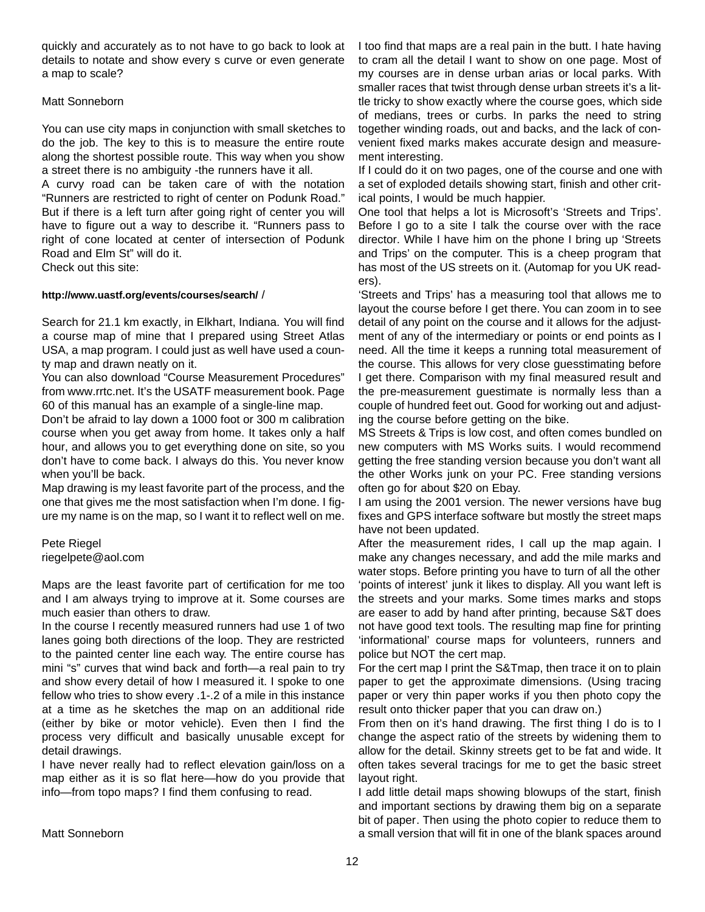quickly and accurately as to not have to go back to look at details to notate and show every s curve or even generate a map to scale?

#### Matt Sonneborn

You can use city maps in conjunction with small sketches to do the job. The key to this is to measure the entire route along the shortest possible route. This way when you show a street there is no ambiguity -the runners have it all.

A curvy road can be taken care of with the notation "Runners are restricted to right of center on Podunk Road." But if there is a left turn after going right of center you will have to figure out a way to describe it. "Runners pass to right of cone located at center of intersection of Podunk Road and Elm St" will do it.

Check out this site:

#### **http://www.uastf.org/events/courses/search/** /

Search for 21.1 km exactly, in Elkhart, Indiana. You will find a course map of mine that I prepared using Street Atlas USA, a map program. I could just as well have used a county map and drawn neatly on it.

You can also download "Course Measurement Procedures" from www.rrtc.net. It's the USATF measurement book. Page 60 of this manual has an example of a single-line map.

Don't be afraid to lay down a 1000 foot or 300 m calibration course when you get away from home. It takes only a half hour, and allows you to get everything done on site, so you don't have to come back. I always do this. You never know when you'll be back.

Map drawing is my least favorite part of the process, and the one that gives me the most satisfaction when I'm done. I figure my name is on the map, so I want it to reflect well on me.

Pete Riegel riegelpete@aol.com

Maps are the least favorite part of certification for me too and I am always trying to improve at it. Some courses are much easier than others to draw.

In the course I recently measured runners had use 1 of two lanes going both directions of the loop. They are restricted to the painted center line each way. The entire course has mini "s" curves that wind back and forth—a real pain to try and show every detail of how I measured it. I spoke to one fellow who tries to show every .1-.2 of a mile in this instance at a time as he sketches the map on an additional ride (either by bike or motor vehicle). Even then I find the process very difficult and basically unusable except for detail drawings.

I have never really had to reflect elevation gain/loss on a map either as it is so flat here—how do you provide that info—from topo maps? I find them confusing to read.

I too find that maps are a real pain in the butt. I hate having to cram all the detail I want to show on one page. Most of my courses are in dense urban arias or local parks. With smaller races that twist through dense urban streets it's a little tricky to show exactly where the course goes, which side of medians, trees or curbs. In parks the need to string together winding roads, out and backs, and the lack of convenient fixed marks makes accurate design and measurement interesting.

If I could do it on two pages, one of the course and one with a set of exploded details showing start, finish and other critical points, I would be much happier.

One tool that helps a lot is Microsoft's 'Streets and Trips'. Before I go to a site I talk the course over with the race director. While I have him on the phone I bring up 'Streets and Trips' on the computer. This is a cheep program that has most of the US streets on it. (Automap for you UK readers).

'Streets and Trips' has a measuring tool that allows me to layout the course before I get there. You can zoom in to see detail of any point on the course and it allows for the adjustment of any of the intermediary or points or end points as I need. All the time it keeps a running total measurement of the course. This allows for very close guesstimating before I get there. Comparison with my final measured result and the pre-measurement guestimate is normally less than a couple of hundred feet out. Good for working out and adjusting the course before getting on the bike.

MS Streets & Trips is low cost, and often comes bundled on new computers with MS Works suits. I would recommend getting the free standing version because you don't want all the other Works junk on your PC. Free standing versions often go for about \$20 on Ebay.

I am using the 2001 version. The newer versions have bug fixes and GPS interface software but mostly the street maps have not been updated.

After the measurement rides, I call up the map again. I make any changes necessary, and add the mile marks and water stops. Before printing you have to turn of all the other 'points of interest' junk it likes to display. All you want left is the streets and your marks. Some times marks and stops are easer to add by hand after printing, because S&T does not have good text tools. The resulting map fine for printing 'informational' course maps for volunteers, runners and police but NOT the cert map.

For the cert map I print the S&Tmap, then trace it on to plain paper to get the approximate dimensions. (Using tracing paper or very thin paper works if you then photo copy the result onto thicker paper that you can draw on.)

From then on it's hand drawing. The first thing I do is to I change the aspect ratio of the streets by widening them to allow for the detail. Skinny streets get to be fat and wide. It often takes several tracings for me to get the basic street layout right.

I add little detail maps showing blowups of the start, finish and important sections by drawing them big on a separate bit of paper. Then using the photo copier to reduce them to a small version that will fit in one of the blank spaces around

Matt Sonneborn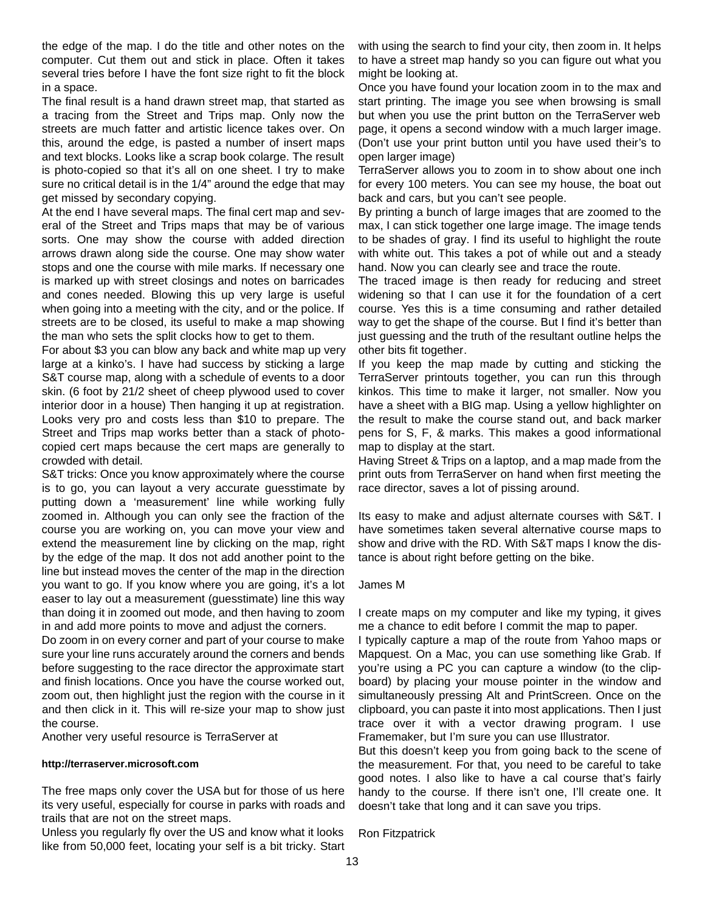the edge of the map. I do the title and other notes on the computer. Cut them out and stick in place. Often it takes several tries before I have the font size right to fit the block in a space.

The final result is a hand drawn street map, that started as a tracing from the Street and Trips map. Only now the streets are much fatter and artistic licence takes over. On this, around the edge, is pasted a number of insert maps and text blocks. Looks like a scrap book colarge. The result is photo-copied so that it's all on one sheet. I try to make sure no critical detail is in the 1/4" around the edge that may get missed by secondary copying.

At the end I have several maps. The final cert map and several of the Street and Trips maps that may be of various sorts. One may show the course with added direction arrows drawn along side the course. One may show water stops and one the course with mile marks. If necessary one is marked up with street closings and notes on barricades and cones needed. Blowing this up very large is useful when going into a meeting with the city, and or the police. If streets are to be closed, its useful to make a map showing the man who sets the split clocks how to get to them.

For about \$3 you can blow any back and white map up very large at a kinko's. I have had success by sticking a large S&T course map, along with a schedule of events to a door skin. (6 foot by 21/2 sheet of cheep plywood used to cover interior door in a house) Then hanging it up at registration. Looks very pro and costs less than \$10 to prepare. The Street and Trips map works better than a stack of photocopied cert maps because the cert maps are generally to crowded with detail.

S&T tricks: Once you know approximately where the course is to go, you can layout a very accurate guesstimate by putting down a 'measurement' line while working fully zoomed in. Although you can only see the fraction of the course you are working on, you can move your view and extend the measurement line by clicking on the map, right by the edge of the map. It dos not add another point to the line but instead moves the center of the map in the direction you want to go. If you know where you are going, it's a lot easer to lay out a measurement (guesstimate) line this way than doing it in zoomed out mode, and then having to zoom in and add more points to move and adjust the corners.

Do zoom in on every corner and part of your course to make sure your line runs accurately around the corners and bends before suggesting to the race director the approximate start and finish locations. Once you have the course worked out, zoom out, then highlight just the region with the course in it and then click in it. This will re-size your map to show just the course.

Another very useful resource is TerraServer at

#### **http://terraserver.microsoft.com**

The free maps only cover the USA but for those of us here its very useful, especially for course in parks with roads and trails that are not on the street maps.

Unless you regularly fly over the US and know what it looks like from 50,000 feet, locating your self is a bit tricky. Start

with using the search to find your city, then zoom in. It helps to have a street map handy so you can figure out what you might be looking at.

Once you have found your location zoom in to the max and start printing. The image you see when browsing is small but when you use the print button on the TerraServer web page, it opens a second window with a much larger image. (Don't use your print button until you have used their's to open larger image)

TerraServer allows you to zoom in to show about one inch for every 100 meters. You can see my house, the boat out back and cars, but you can't see people.

By printing a bunch of large images that are zoomed to the max, I can stick together one large image. The image tends to be shades of gray. I find its useful to highlight the route with white out. This takes a pot of while out and a steady hand. Now you can clearly see and trace the route.

The traced image is then ready for reducing and street widening so that I can use it for the foundation of a cert course. Yes this is a time consuming and rather detailed way to get the shape of the course. But I find it's better than just guessing and the truth of the resultant outline helps the other bits fit together.

If you keep the map made by cutting and sticking the TerraServer printouts together, you can run this through kinkos. This time to make it larger, not smaller. Now you have a sheet with a BIG map. Using a yellow highlighter on the result to make the course stand out, and back marker pens for S, F, & marks. This makes a good informational map to display at the start.

Having Street & Trips on a laptop, and a map made from the print outs from TerraServer on hand when first meeting the race director, saves a lot of pissing around.

Its easy to make and adjust alternate courses with S&T. I have sometimes taken several alternative course maps to show and drive with the RD. With S&T maps I know the distance is about right before getting on the bike.

#### James M

I create maps on my computer and like my typing, it gives me a chance to edit before I commit the map to paper.

I typically capture a map of the route from Yahoo maps or Mapquest. On a Mac, you can use something like Grab. If you're using a PC you can capture a window (to the clipboard) by placing your mouse pointer in the window and simultaneously pressing Alt and PrintScreen. Once on the clipboard, you can paste it into most applications. Then I just trace over it with a vector drawing program. I use Framemaker, but I'm sure you can use Illustrator.

But this doesn't keep you from going back to the scene of the measurement. For that, you need to be careful to take good notes. I also like to have a cal course that's fairly handy to the course. If there isn't one, I'll create one. It doesn't take that long and it can save you trips.

Ron Fitzpatrick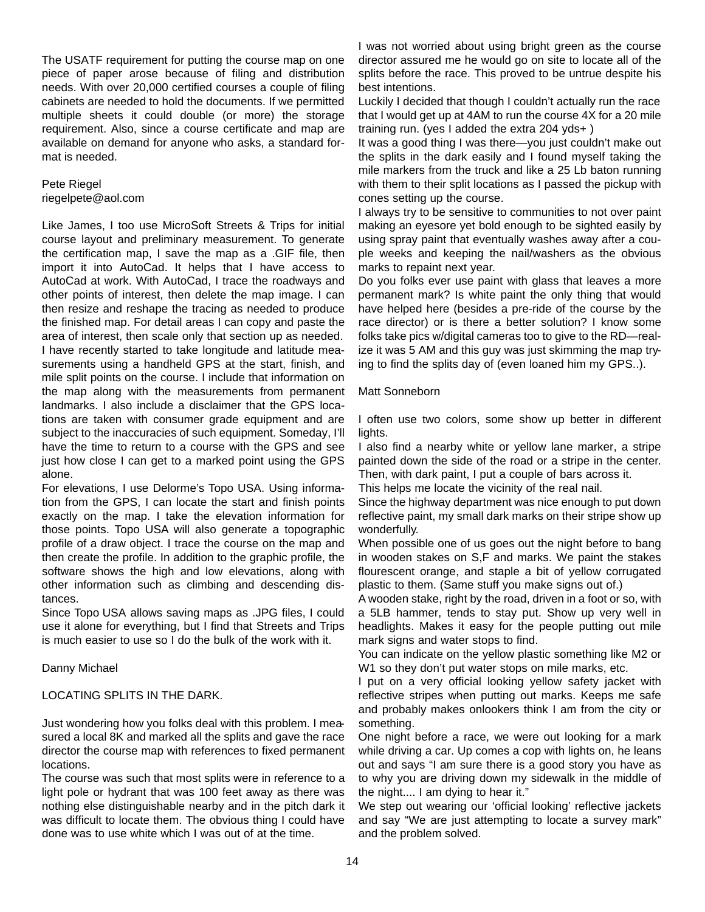The USATF requirement for putting the course map on one piece of paper arose because of filing and distribution needs. With over 20,000 certified courses a couple of filing cabinets are needed to hold the documents. If we permitted multiple sheets it could double (or more) the storage requirement. Also, since a course certificate and map are available on demand for anyone who asks, a standard format is needed.

Pete Riegel riegelpete@aol.com

Like James, I too use MicroSoft Streets & Trips for initial course layout and preliminary measurement. To generate the certification map, I save the map as a .GIF file, then import it into AutoCad. It helps that I have access to AutoCad at work. With AutoCad, I trace the roadways and other points of interest, then delete the map image. I can then resize and reshape the tracing as needed to produce the finished map. For detail areas I can copy and paste the area of interest, then scale only that section up as needed. I have recently started to take longitude and latitude measurements using a handheld GPS at the start, finish, and mile split points on the course. I include that information on the map along with the measurements from permanent landmarks. I also include a disclaimer that the GPS locations are taken with consumer grade equipment and are subject to the inaccuracies of such equipment. Someday, I'll have the time to return to a course with the GPS and see just how close I can get to a marked point using the GPS alone.

For elevations, I use Delorme's Topo USA. Using information from the GPS, I can locate the start and finish points exactly on the map. I take the elevation information for those points. Topo USA will also generate a topographic profile of a draw object. I trace the course on the map and then create the profile. In addition to the graphic profile, the software shows the high and low elevations, along with other information such as climbing and descending distances.

Since Topo USA allows saving maps as .JPG files, I could use it alone for everything, but I find that Streets and Trips is much easier to use so I do the bulk of the work with it.

Danny Michael

#### LOCATING SPLITS IN THE DARK.

Just wondering how you folks deal with this problem. I measured a local 8K and marked all the splits and gave the race director the course map with references to fixed permanent locations.

The course was such that most splits were in reference to a light pole or hydrant that was 100 feet away as there was nothing else distinguishable nearby and in the pitch dark it was difficult to locate them. The obvious thing I could have done was to use white which I was out of at the time.

I was not worried about using bright green as the course director assured me he would go on site to locate all of the splits before the race. This proved to be untrue despite his best intentions.

Luckily I decided that though I couldn't actually run the race that I would get up at 4AM to run the course 4X for a 20 mile training run. (yes I added the extra 204 yds+ )

It was a good thing I was there—you just couldn't make out the splits in the dark easily and I found myself taking the mile markers from the truck and like a 25 Lb baton running with them to their split locations as I passed the pickup with cones setting up the course.

I always try to be sensitive to communities to not over paint making an eyesore yet bold enough to be sighted easily by using spray paint that eventually washes away after a couple weeks and keeping the nail/washers as the obvious marks to repaint next year.

Do you folks ever use paint with glass that leaves a more permanent mark? Is white paint the only thing that would have helped here (besides a pre-ride of the course by the race director) or is there a better solution? I know some folks take pics w/digital cameras too to give to the RD—realize it was 5 AM and this guy was just skimming the map trying to find the splits day of (even loaned him my GPS..).

Matt Sonneborn

I often use two colors, some show up better in different lights.

I also find a nearby white or yellow lane marker, a stripe painted down the side of the road or a stripe in the center. Then, with dark paint, I put a couple of bars across it.

This helps me locate the vicinity of the real nail.

Since the highway department was nice enough to put down reflective paint, my small dark marks on their stripe show up wonderfully.

When possible one of us goes out the night before to bang in wooden stakes on S,F and marks. We paint the stakes flourescent orange, and staple a bit of yellow corrugated plastic to them. (Same stuff you make signs out of.)

A wooden stake, right by the road, driven in a foot or so, with a 5LB hammer, tends to stay put. Show up very well in headlights. Makes it easy for the people putting out mile mark signs and water stops to find.

You can indicate on the yellow plastic something like M2 or W1 so they don't put water stops on mile marks, etc.

I put on a very official looking yellow safety jacket with reflective stripes when putting out marks. Keeps me safe and probably makes onlookers think I am from the city or something.

One night before a race, we were out looking for a mark while driving a car. Up comes a cop with lights on, he leans out and says "I am sure there is a good story you have as to why you are driving down my sidewalk in the middle of the night.... I am dying to hear it."

We step out wearing our 'official looking' reflective jackets and say "We are just attempting to locate a survey mark" and the problem solved.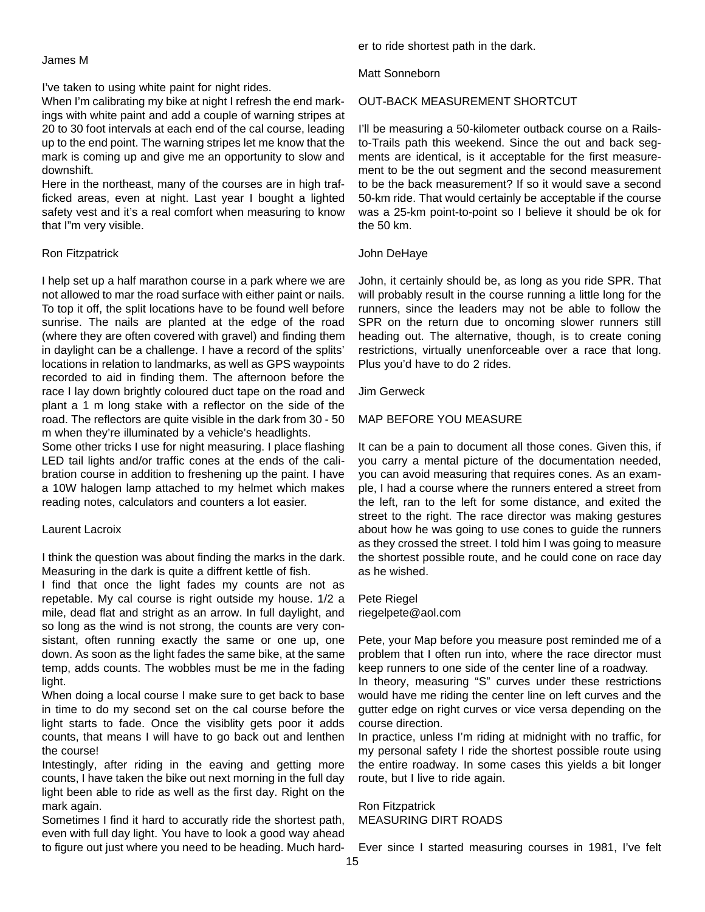James M

I've taken to using white paint for night rides.

When I'm calibrating my bike at night I refresh the end markings with white paint and add a couple of warning stripes at 20 to 30 foot intervals at each end of the cal course, leading up to the end point. The warning stripes let me know that the mark is coming up and give me an opportunity to slow and downshift.

Here in the northeast, many of the courses are in high trafficked areas, even at night. Last year I bought a lighted safety vest and it's a real comfort when measuring to know that I"m very visible.

#### Ron Fitzpatrick

I help set up a half marathon course in a park where we are not allowed to mar the road surface with either paint or nails. To top it off, the split locations have to be found well before sunrise. The nails are planted at the edge of the road (where they are often covered with gravel) and finding them in daylight can be a challenge. I have a record of the splits' locations in relation to landmarks, as well as GPS waypoints recorded to aid in finding them. The afternoon before the race I lay down brightly coloured duct tape on the road and plant a 1 m long stake with a reflector on the side of the road. The reflectors are quite visible in the dark from 30 - 50 m when they're illuminated by a vehicle's headlights.

Some other tricks I use for night measuring. I place flashing LED tail lights and/or traffic cones at the ends of the calibration course in addition to freshening up the paint. I have a 10W halogen lamp attached to my helmet which makes reading notes, calculators and counters a lot easier.

#### Laurent Lacroix

I think the question was about finding the marks in the dark. Measuring in the dark is quite a diffrent kettle of fish.

I find that once the light fades my counts are not as repetable. My cal course is right outside my house. 1/2 a mile, dead flat and stright as an arrow. In full daylight, and so long as the wind is not strong, the counts are very consistant, often running exactly the same or one up, one down. As soon as the light fades the same bike, at the same temp, adds counts. The wobbles must be me in the fading light.

When doing a local course I make sure to get back to base in time to do my second set on the cal course before the light starts to fade. Once the visiblity gets poor it adds counts, that means I will have to go back out and lenthen the course!

Intestingly, after riding in the eaving and getting more counts, I have taken the bike out next morning in the full day light been able to ride as well as the first day. Right on the mark again.

Sometimes I find it hard to accuratly ride the shortest path, even with full day light. You have to look a good way ahead to figure out just where you need to be heading. Much harder to ride shortest path in the dark.

Matt Sonneborn

#### OUT-BACK MEASUREMENT SHORTCUT

I'll be measuring a 50-kilometer outback course on a Railsto-Trails path this weekend. Since the out and back segments are identical, is it acceptable for the first measurement to be the out segment and the second measurement to be the back measurement? If so it would save a second 50-km ride. That would certainly be acceptable if the course was a 25-km point-to-point so I believe it should be ok for the 50 km.

#### John DeHaye

John, it certainly should be, as long as you ride SPR. That will probably result in the course running a little long for the runners, since the leaders may not be able to follow the SPR on the return due to oncoming slower runners still heading out. The alternative, though, is to create coning restrictions, virtually unenforceable over a race that long. Plus you'd have to do 2 rides.

Jim Gerweck

### MAP BEFORE YOU MEASURE

It can be a pain to document all those cones. Given this, if you carry a mental picture of the documentation needed, you can avoid measuring that requires cones. As an example, I had a course where the runners entered a street from the left, ran to the left for some distance, and exited the street to the right. The race director was making gestures about how he was going to use cones to guide the runners as they crossed the street. I told him I was going to measure the shortest possible route, and he could cone on race day as he wished.

Pete Riegel riegelpete@aol.com

Pete, your Map before you measure post reminded me of a problem that I often run into, where the race director must keep runners to one side of the center line of a roadway.

In theory, measuring "S" curves under these restrictions would have me riding the center line on left curves and the gutter edge on right curves or vice versa depending on the course direction.

In practice, unless I'm riding at midnight with no traffic, for my personal safety I ride the shortest possible route using the entire roadway. In some cases this yields a bit longer route, but I live to ride again.

Ron Fitzpatrick MEASURING DIRT ROADS

Ever since I started measuring courses in 1981, I've felt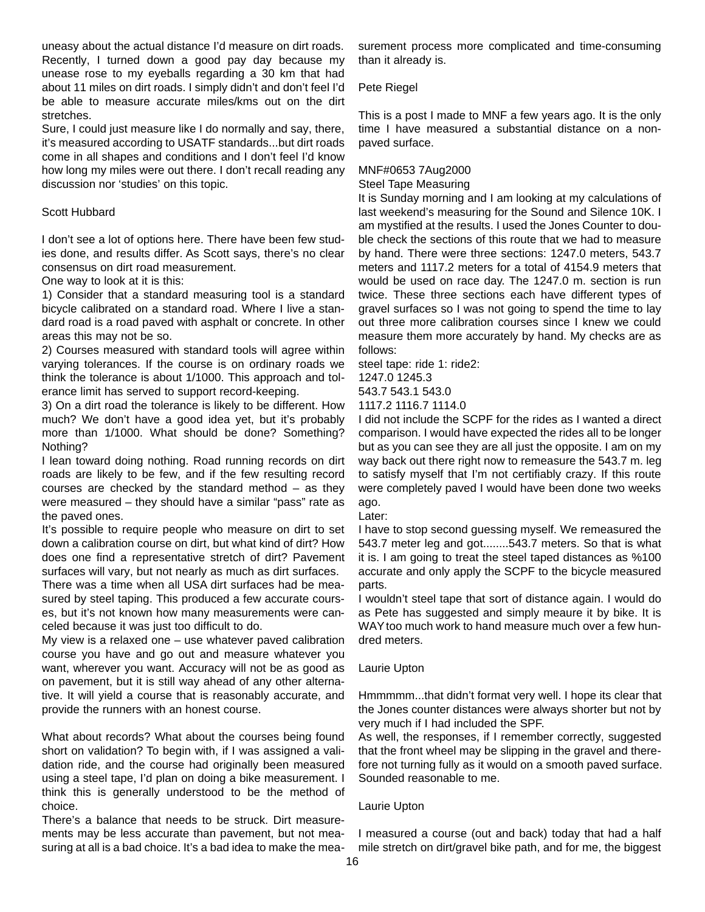uneasy about the actual distance I'd measure on dirt roads. Recently, I turned down a good pay day because my unease rose to my eyeballs regarding a 30 km that had about 11 miles on dirt roads. I simply didn't and don't feel I'd be able to measure accurate miles/kms out on the dirt stretches.

Sure, I could just measure like I do normally and say, there, it's measured according to USATF standards...but dirt roads come in all shapes and conditions and I don't feel I'd know how long my miles were out there. I don't recall reading any discussion nor 'studies' on this topic.

#### Scott Hubbard

I don't see a lot of options here. There have been few studies done, and results differ. As Scott says, there's no clear consensus on dirt road measurement.

One way to look at it is this:

1) Consider that a standard measuring tool is a standard bicycle calibrated on a standard road. Where I live a standard road is a road paved with asphalt or concrete. In other areas this may not be so.

2) Courses measured with standard tools will agree within varying tolerances. If the course is on ordinary roads we think the tolerance is about 1/1000. This approach and tolerance limit has served to support record-keeping.

3) On a dirt road the tolerance is likely to be different. How much? We don't have a good idea yet, but it's probably more than 1/1000. What should be done? Something? Nothing?

I lean toward doing nothing. Road running records on dirt roads are likely to be few, and if the few resulting record courses are checked by the standard method – as they were measured – they should have a similar "pass" rate as the paved ones.

It's possible to require people who measure on dirt to set down a calibration course on dirt, but what kind of dirt? How does one find a representative stretch of dirt? Pavement surfaces will vary, but not nearly as much as dirt surfaces.

There was a time when all USA dirt surfaces had be measured by steel taping. This produced a few accurate courses, but it's not known how many measurements were canceled because it was just too difficult to do.

My view is a relaxed one – use whatever paved calibration course you have and go out and measure whatever you want, wherever you want. Accuracy will not be as good as on pavement, but it is still way ahead of any other alternative. It will yield a course that is reasonably accurate, and provide the runners with an honest course.

What about records? What about the courses being found short on validation? To begin with, if I was assigned a validation ride, and the course had originally been measured using a steel tape, I'd plan on doing a bike measurement. I think this is generally understood to be the method of choice.

There's a balance that needs to be struck. Dirt measurements may be less accurate than pavement, but not measuring at all is a bad choice. It's a bad idea to make the mea-

surement process more complicated and time-consuming than it already is.

Pete Riegel

This is a post I made to MNF a few years ago. It is the only time I have measured a substantial distance on a nonpaved surface.

## MNF#0653 7Aug2000

Steel Tape Measuring

It is Sunday morning and I am looking at my calculations of last weekend's measuring for the Sound and Silence 10K. I am mystified at the results. I used the Jones Counter to double check the sections of this route that we had to measure by hand. There were three sections: 1247.0 meters, 543.7 meters and 1117.2 meters for a total of 4154.9 meters that would be used on race day. The 1247.0 m. section is run twice. These three sections each have different types of gravel surfaces so I was not going to spend the time to lay out three more calibration courses since I knew we could measure them more accurately by hand. My checks are as follows:

steel tape: ride 1: ride2:

1247.0 1245.3

543.7 543.1 543.0 1117.2 1116.7 1114.0

I did not include the SCPF for the rides as I wanted a direct comparison. I would have expected the rides all to be longer but as you can see they are all just the opposite. I am on my way back out there right now to remeasure the 543.7 m. leg to satisfy myself that I'm not certifiably crazy. If this route were completely paved I would have been done two weeks ago.

Later:

I have to stop second guessing myself. We remeasured the 543.7 meter leg and got........543.7 meters. So that is what it is. I am going to treat the steel taped distances as %100 accurate and only apply the SCPF to the bicycle measured parts.

I wouldn't steel tape that sort of distance again. I would do as Pete has suggested and simply meaure it by bike. It is WAY too much work to hand measure much over a few hundred meters.

#### Laurie Upton

Hmmmmm...that didn't format very well. I hope its clear that the Jones counter distances were always shorter but not by very much if I had included the SPF.

As well, the responses, if I remember correctly, suggested that the front wheel may be slipping in the gravel and therefore not turning fully as it would on a smooth paved surface. Sounded reasonable to me.

#### Laurie Upton

I measured a course (out and back) today that had a half mile stretch on dirt/gravel bike path, and for me, the biggest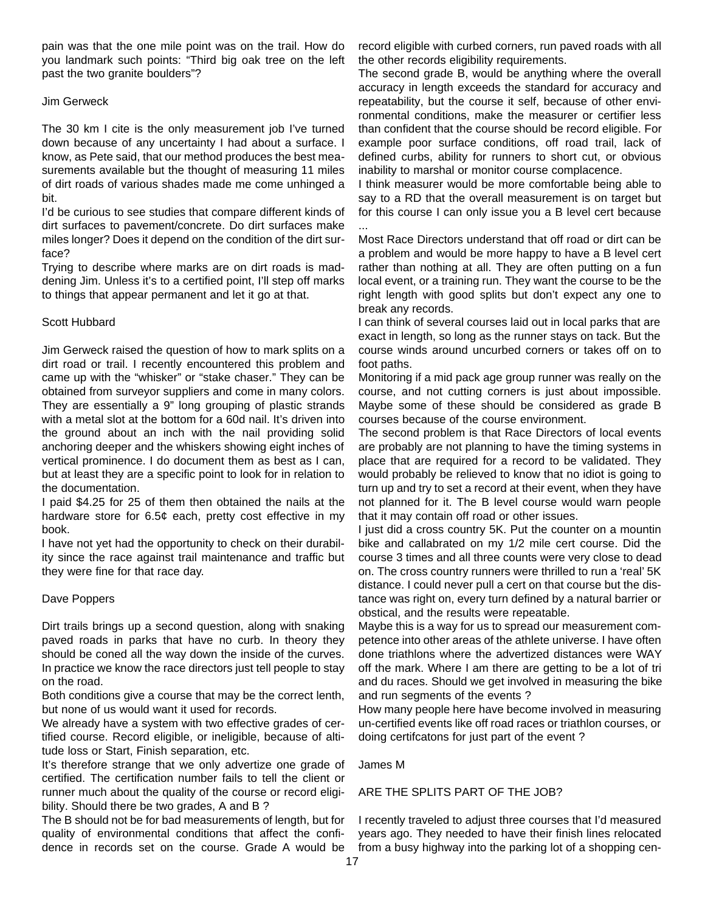pain was that the one mile point was on the trail. How do you landmark such points: "Third big oak tree on the left past the two granite boulders"?

#### Jim Gerweck

The 30 km I cite is the only measurement job I've turned down because of any uncertainty I had about a surface. I know, as Pete said, that our method produces the best measurements available but the thought of measuring 11 miles of dirt roads of various shades made me come unhinged a bit.

I'd be curious to see studies that compare different kinds of dirt surfaces to pavement/concrete. Do dirt surfaces make miles longer? Does it depend on the condition of the dirt surface?

Trying to describe where marks are on dirt roads is maddening Jim. Unless it's to a certified point, I'll step off marks to things that appear permanent and let it go at that.

#### Scott Hubbard

Jim Gerweck raised the question of how to mark splits on a dirt road or trail. I recently encountered this problem and came up with the "whisker" or "stake chaser." They can be obtained from surveyor suppliers and come in many colors. They are essentially a 9" long grouping of plastic strands with a metal slot at the bottom for a 60d nail. It's driven into the ground about an inch with the nail providing solid anchoring deeper and the whiskers showing eight inches of vertical prominence. I do document them as best as I can, but at least they are a specific point to look for in relation to the documentation.

I paid \$4.25 for 25 of them then obtained the nails at the hardware store for 6.5¢ each, pretty cost effective in my book.

I have not yet had the opportunity to check on their durability since the race against trail maintenance and traffic but they were fine for that race day.

#### Dave Poppers

Dirt trails brings up a second question, along with snaking paved roads in parks that have no curb. In theory they should be coned all the way down the inside of the curves. In practice we know the race directors just tell people to stay on the road.

Both conditions give a course that may be the correct lenth, but none of us would want it used for records.

We already have a system with two effective grades of certified course. Record eligible, or ineligible, because of altitude loss or Start, Finish separation, etc.

It's therefore strange that we only advertize one grade of certified. The certification number fails to tell the client or runner much about the quality of the course or record eligibility. Should there be two grades, A and B?

The B should not be for bad measurements of length, but for quality of environmental conditions that affect the confidence in records set on the course. Grade A would be record eligible with curbed corners, run paved roads with all the other records eligibility requirements.

The second grade B, would be anything where the overall accuracy in length exceeds the standard for accuracy and repeatability, but the course it self, because of other environmental conditions, make the measurer or certifier less than confident that the course should be record eligible. For example poor surface conditions, off road trail, lack of defined curbs, ability for runners to short cut, or obvious inability to marshal or monitor course complacence.

I think measurer would be more comfortable being able to say to a RD that the overall measurement is on target but for this course I can only issue you a B level cert because

Most Race Directors understand that off road or dirt can be a problem and would be more happy to have a B level cert rather than nothing at all. They are often putting on a fun local event, or a training run. They want the course to be the right length with good splits but don't expect any one to break any records.

I can think of several courses laid out in local parks that are exact in length, so long as the runner stays on tack. But the course winds around uncurbed corners or takes off on to foot paths.

Monitoring if a mid pack age group runner was really on the course, and not cutting corners is just about impossible. Maybe some of these should be considered as grade B courses because of the course environment.

The second problem is that Race Directors of local events are probably are not planning to have the timing systems in place that are required for a record to be validated. They would probably be relieved to know that no idiot is going to turn up and try to set a record at their event, when they have not planned for it. The B level course would warn people that it may contain off road or other issues.

I just did a cross country 5K. Put the counter on a mountin bike and callabrated on my 1/2 mile cert course. Did the course 3 times and all three counts were very close to dead on. The cross country runners were thrilled to run a 'real' 5K distance. I could never pull a cert on that course but the distance was right on, every turn defined by a natural barrier or obstical, and the results were repeatable.

Maybe this is a way for us to spread our measurement competence into other areas of the athlete universe. I have often done triathlons where the advertized distances were WAY off the mark. Where I am there are getting to be a lot of tri and du races. Should we get involved in measuring the bike and run segments of the events ?

How many people here have become involved in measuring un-certified events like off road races or triathlon courses, or doing certifcatons for just part of the event ?

James M

...

#### ARE THE SPLITS PART OF THE JOB?

I recently traveled to adjust three courses that I'd measured years ago. They needed to have their finish lines relocated from a busy highway into the parking lot of a shopping cen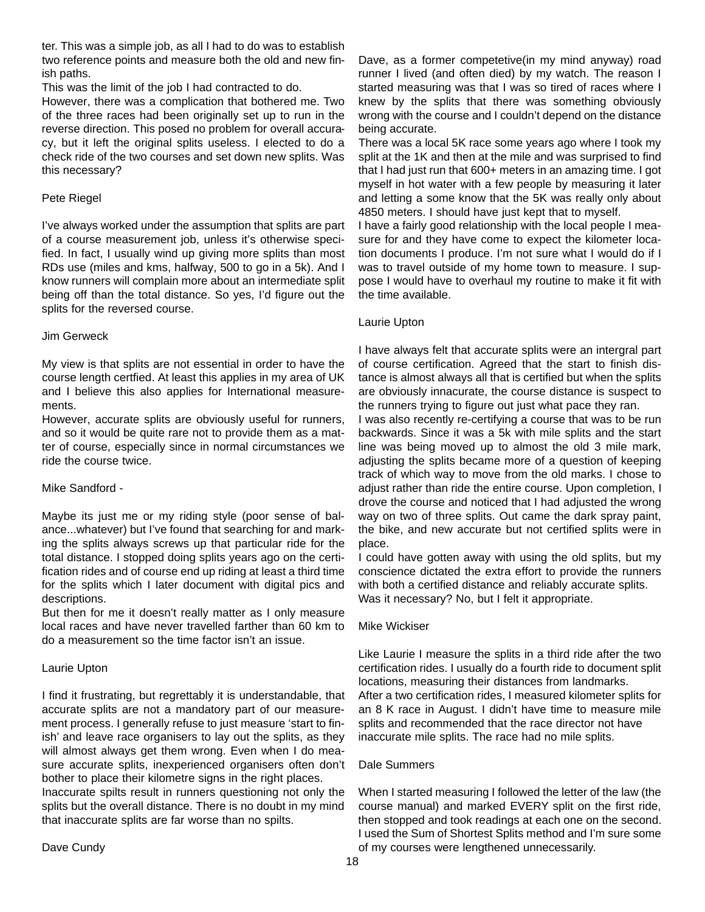ter. This was a simple job, as all I had to do was to establish two reference points and measure both the old and new finish paths.

This was the limit of the job I had contracted to do.

However, there was a complication that bothered me. Two of the three races had been originally set up to run in the reverse direction. This posed no problem for overall accuracy, but it left the original splits useless. I elected to do a check ride of the two courses and set down new splits. Was this necessary?

#### Pete Riegel

I've always worked under the assumption that splits are part of a course measurement job, unless it's otherwise specified. In fact, I usually wind up giving more splits than most RDs use (miles and kms, halfway, 500 to go in a 5k). And I know runners will complain more about an intermediate split being off than the total distance. So yes, I'd figure out the splits for the reversed course.

#### Jim Gerweck

My view is that splits are not essential in order to have the course length certfied. At least this applies in my area of UK and I believe this also applies for International measurements.

However, accurate splits are obviously useful for runners, and so it would be quite rare not to provide them as a matter of course, especially since in normal circumstances we ride the course twice.

#### Mike Sandford -

Maybe its just me or my riding style (poor sense of balance...whatever) but I've found that searching for and marking the splits always screws up that particular ride for the total distance. I stopped doing splits years ago on the certification rides and of course end up riding at least a third time for the splits which I later document with digital pics and descriptions.

But then for me it doesn't really matter as I only measure local races and have never travelled farther than 60 km to do a measurement so the time factor isn't an issue.

#### Laurie Upton

I find it frustrating, but regrettably it is understandable, that accurate splits are not a mandatory part of our measurement process. I generally refuse to just measure 'start to finish' and leave race organisers to lay out the splits, as they will almost always get them wrong. Even when I do measure accurate splits, inexperienced organisers often don't bother to place their kilometre signs in the right places. Inaccurate spilts result in runners questioning not only the splits but the overall distance. There is no doubt in my mind that inaccurate splits are far worse than no spilts.

Dave, as a former competetive(in my mind anyway) road runner I lived (and often died) by my watch. The reason I started measuring was that I was so tired of races where I knew by the splits that there was something obviously wrong with the course and I couldn't depend on the distance being accurate.

There was a local 5K race some years ago where I took my split at the 1K and then at the mile and was surprised to find that I had just run that 600+ meters in an amazing time. I got myself in hot water with a few people by measuring it later and letting a some know that the 5K was really only about 4850 meters. I should have just kept that to myself.

I have a fairly good relationship with the local people I measure for and they have come to expect the kilometer location documents I produce. I'm not sure what I would do if I was to travel outside of my home town to measure. I suppose I would have to overhaul my routine to make it fit with the time available.

#### Laurie Upton

I have always felt that accurate splits were an intergral part of course certification. Agreed that the start to finish distance is almost always all that is certified but when the splits are obviously innacurate, the course distance is suspect to the runners trying to figure out just what pace they ran.

I was also recently re-certifying a course that was to be run backwards. Since it was a 5k with mile splits and the start line was being moved up to almost the old 3 mile mark, adjusting the splits became more of a question of keeping track of which way to move from the old marks. I chose to adjust rather than ride the entire course. Upon completion, I drove the course and noticed that I had adjusted the wrong way on two of three splits. Out came the dark spray paint, the bike, and new accurate but not certified splits were in place.

I could have gotten away with using the old splits, but my conscience dictated the extra effort to provide the runners with both a certified distance and reliably accurate splits. Was it necessary? No, but I felt it appropriate.

#### Mike Wickiser

Like Laurie I measure the splits in a third ride after the two certification rides. I usually do a fourth ride to document split locations, measuring their distances from landmarks. After a two certification rides, I measured kilometer splits for an 8 K race in August. I didn't have time to measure mile splits and recommended that the race director not have inaccurate mile splits. The race had no mile splits.

#### Dale Summers

When I started measuring I followed the letter of the law (the course manual) and marked EVERY split on the first ride, then stopped and took readings at each one on the second. I used the Sum of Shortest Splits method and I'm sure some of my courses were lengthened unnecessarily.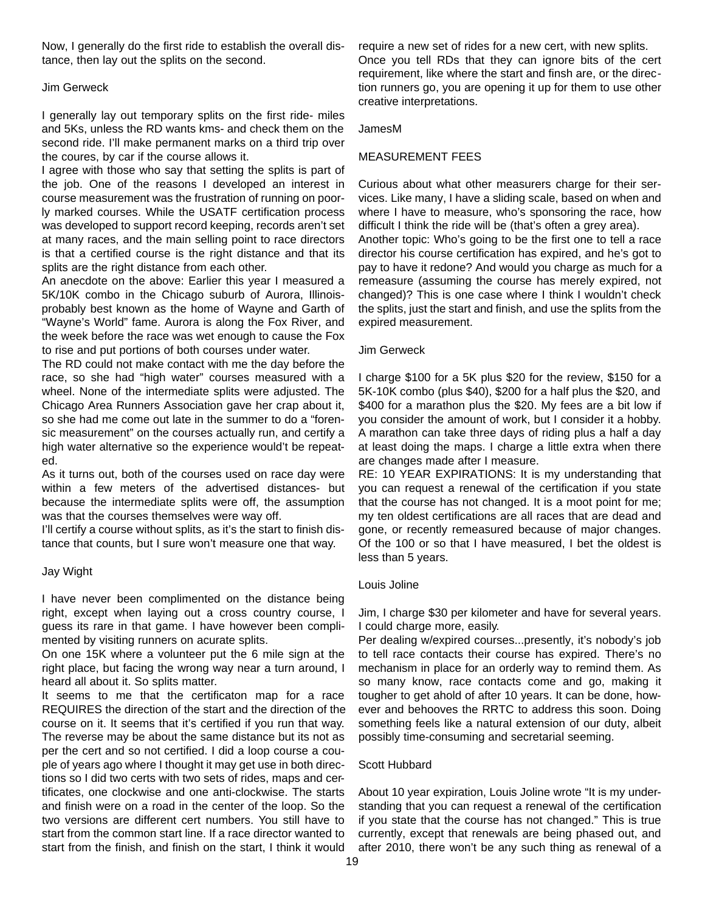Now, I generally do the first ride to establish the overall distance, then lay out the splits on the second.

#### Jim Gerweck

I generally lay out temporary splits on the first ride- miles and 5Ks, unless the RD wants kms- and check them on the second ride. I'll make permanent marks on a third trip over the coures, by car if the course allows it.

I agree with those who say that setting the splits is part of the job. One of the reasons I developed an interest in course measurement was the frustration of running on poorly marked courses. While the USATF certification process was developed to support record keeping, records aren't set at many races, and the main selling point to race directors is that a certified course is the right distance and that its splits are the right distance from each other.

An anecdote on the above: Earlier this year I measured a 5K/10K combo in the Chicago suburb of Aurora, Illinoisprobably best known as the home of Wayne and Garth of "Wayne's World" fame. Aurora is along the Fox River, and the week before the race was wet enough to cause the Fox to rise and put portions of both courses under water.

The RD could not make contact with me the day before the race, so she had "high water" courses measured with a wheel. None of the intermediate splits were adjusted. The Chicago Area Runners Association gave her crap about it, so she had me come out late in the summer to do a "forensic measurement" on the courses actually run, and certify a high water alternative so the experience would't be repeated.

As it turns out, both of the courses used on race day were within a few meters of the advertised distances- but because the intermediate splits were off, the assumption was that the courses themselves were way off.

I'll certify a course without splits, as it's the start to finish distance that counts, but I sure won't measure one that way.

#### Jay Wight

I have never been complimented on the distance being right, except when laying out a cross country course, I guess its rare in that game. I have however been complimented by visiting runners on acurate splits.

On one 15K where a volunteer put the 6 mile sign at the right place, but facing the wrong way near a turn around, I heard all about it. So splits matter.

It seems to me that the certificaton map for a race REQUIRES the direction of the start and the direction of the course on it. It seems that it's certified if you run that way. The reverse may be about the same distance but its not as per the cert and so not certified. I did a loop course a couple of years ago where I thought it may get use in both directions so I did two certs with two sets of rides, maps and certificates, one clockwise and one anti-clockwise. The starts and finish were on a road in the center of the loop. So the two versions are different cert numbers. You still have to start from the common start line. If a race director wanted to start from the finish, and finish on the start, I think it would

require a new set of rides for a new cert, with new splits. Once you tell RDs that they can ignore bits of the cert requirement, like where the start and finsh are, or the direction runners go, you are opening it up for them to use other creative interpretations.

#### JamesM

#### MEASUREMENT FEES

Curious about what other measurers charge for their services. Like many, I have a sliding scale, based on when and where I have to measure, who's sponsoring the race, how difficult I think the ride will be (that's often a grey area). Another topic: Who's going to be the first one to tell a race director his course certification has expired, and he's got to pay to have it redone? And would you charge as much for a remeasure (assuming the course has merely expired, not changed)? This is one case where I think I wouldn't check the splits, just the start and finish, and use the splits from the expired measurement.

#### Jim Gerweck

I charge \$100 for a 5K plus \$20 for the review, \$150 for a 5K-10K combo (plus \$40), \$200 for a half plus the \$20, and \$400 for a marathon plus the \$20. My fees are a bit low if you consider the amount of work, but I consider it a hobby. A marathon can take three days of riding plus a half a day at least doing the maps. I charge a little extra when there are changes made after I measure.

RE: 10 YEAR EXPIRATIONS: It is my understanding that you can request a renewal of the certification if you state that the course has not changed. It is a moot point for me; my ten oldest certifications are all races that are dead and gone, or recently remeasured because of major changes. Of the 100 or so that I have measured, I bet the oldest is less than 5 years.

#### Louis Joline

Jim, I charge \$30 per kilometer and have for several years. I could charge more, easily.

Per dealing w/expired courses...presently, it's nobody's job to tell race contacts their course has expired. There's no mechanism in place for an orderly way to remind them. As so many know, race contacts come and go, making it tougher to get ahold of after 10 years. It can be done, however and behooves the RRTC to address this soon. Doing something feels like a natural extension of our duty, albeit possibly time-consuming and secretarial seeming.

#### Scott Hubbard

About 10 year expiration, Louis Joline wrote "It is my understanding that you can request a renewal of the certification if you state that the course has not changed." This is true currently, except that renewals are being phased out, and after 2010, there won't be any such thing as renewal of a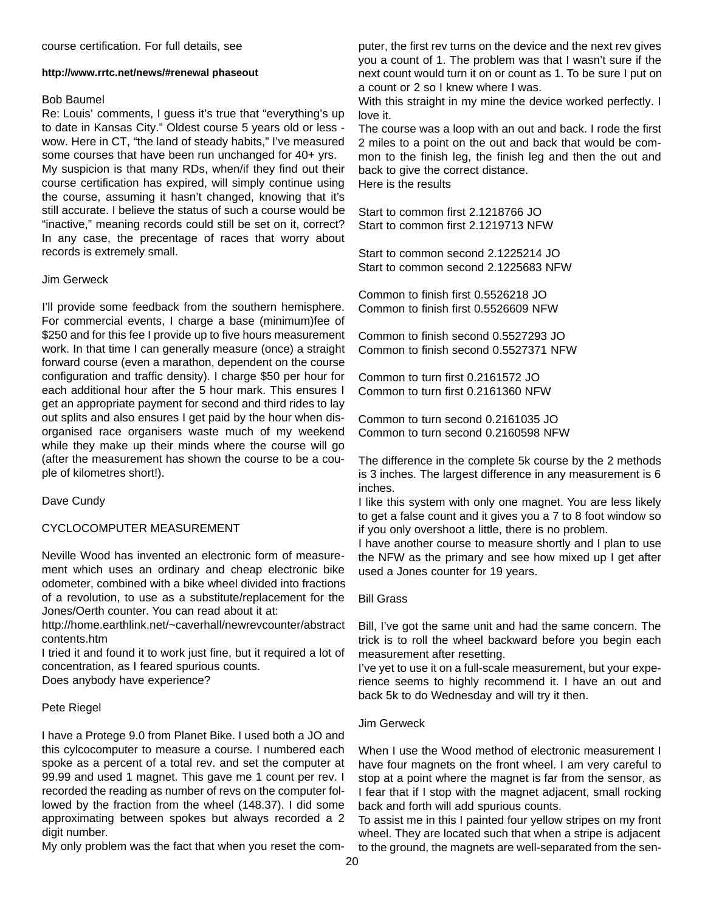#### **http://www.rrtc.net/news/#renewal phaseout**

#### Bob Baumel

Re: Louis' comments, I guess it's true that "everything's up to date in Kansas City." Oldest course 5 years old or less wow. Here in CT, "the land of steady habits," I've measured some courses that have been run unchanged for 40+ yrs. My suspicion is that many RDs, when/if they find out their course certification has expired, will simply continue using the course, assuming it hasn't changed, knowing that it's still accurate. I believe the status of such a course would be "inactive," meaning records could still be set on it, correct? In any case, the precentage of races that worry about records is extremely small.

#### Jim Gerweck

I'll provide some feedback from the southern hemisphere. For commercial events, I charge a base (minimum)fee of \$250 and for this fee I provide up to five hours measurement work. In that time I can generally measure (once) a straight forward course (even a marathon, dependent on the course configuration and traffic density). I charge \$50 per hour for each additional hour after the 5 hour mark. This ensures I get an appropriate payment for second and third rides to lay out splits and also ensures I get paid by the hour when disorganised race organisers waste much of my weekend while they make up their minds where the course will go (after the measurement has shown the course to be a couple of kilometres short!).

Dave Cundy

#### CYCLOCOMPUTER MEASUREMENT

Neville Wood has invented an electronic form of measurement which uses an ordinary and cheap electronic bike odometer, combined with a bike wheel divided into fractions of a revolution, to use as a substitute/replacement for the Jones/Oerth counter. You can read about it at:

http://home.earthlink.net/~caverhall/newrevcounter/abstract contents.htm

I tried it and found it to work just fine, but it required a lot of concentration, as I feared spurious counts.

Does anybody have experience?

#### Pete Riegel

I have a Protege 9.0 from Planet Bike. I used both a JO and this cylcocomputer to measure a course. I numbered each spoke as a percent of a total rev. and set the computer at 99.99 and used 1 magnet. This gave me 1 count per rev. I recorded the reading as number of revs on the computer followed by the fraction from the wheel (148.37). I did some approximating between spokes but always recorded a 2 digit number.

My only problem was the fact that when you reset the com-

puter, the first rev turns on the device and the next rev gives you a count of 1. The problem was that I wasn't sure if the next count would turn it on or count as 1. To be sure I put on a count or 2 so I knew where I was.

With this straight in my mine the device worked perfectly. I love it.

The course was a loop with an out and back. I rode the first 2 miles to a point on the out and back that would be common to the finish leg, the finish leg and then the out and back to give the correct distance. Here is the results

Start to common first 2.1218766 JO Start to common first 2.1219713 NFW

Start to common second 2.1225214 JO Start to common second 2.1225683 NFW

Common to finish first 0.5526218 JO Common to finish first 0.5526609 NFW

Common to finish second 0.5527293 JO Common to finish second 0.5527371 NFW

Common to turn first 0.2161572 JO Common to turn first 0.2161360 NFW

Common to turn second 0.2161035 JO Common to turn second 0.2160598 NFW

The difference in the complete 5k course by the 2 methods is 3 inches. The largest difference in any measurement is 6 inches.

I like this system with only one magnet. You are less likely to get a false count and it gives you a 7 to 8 foot window so if you only overshoot a little, there is no problem.

I have another course to measure shortly and I plan to use the NFW as the primary and see how mixed up I get after used a Jones counter for 19 years.

#### Bill Grass

Bill, I've got the same unit and had the same concern. The trick is to roll the wheel backward before you begin each measurement after resetting.

I've yet to use it on a full-scale measurement, but your experience seems to highly recommend it. I have an out and back 5k to do Wednesday and will try it then.

#### Jim Gerweck

When I use the Wood method of electronic measurement I have four magnets on the front wheel. I am very careful to stop at a point where the magnet is far from the sensor, as I fear that if I stop with the magnet adjacent, small rocking back and forth will add spurious counts.

To assist me in this I painted four yellow stripes on my front wheel. They are located such that when a stripe is adjacent to the ground, the magnets are well-separated from the sen-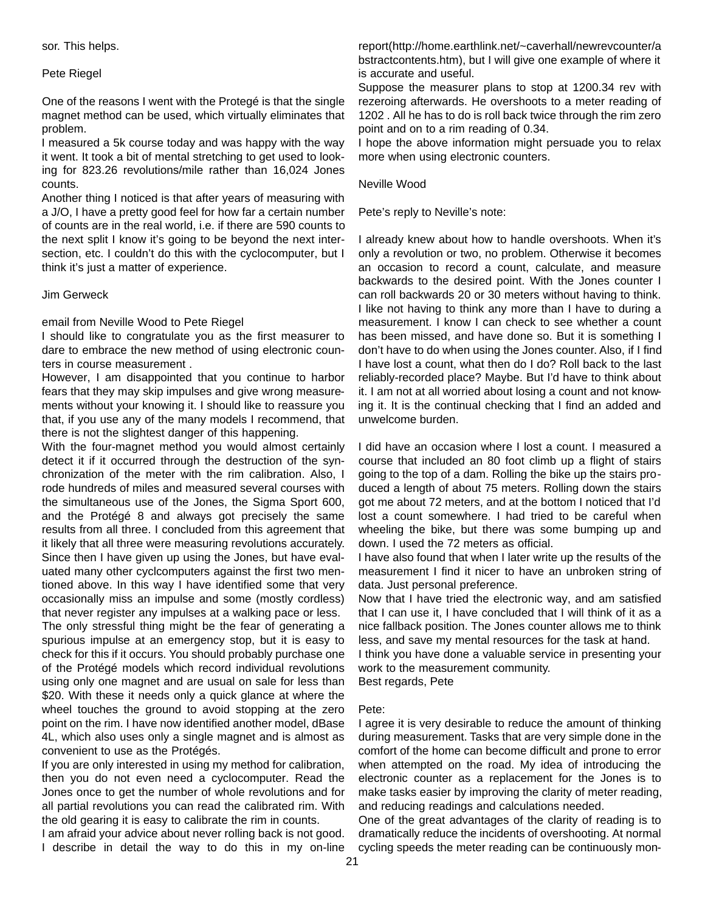#### Pete Riegel

One of the reasons I went with the Protegé is that the single magnet method can be used, which virtually eliminates that problem.

I measured a 5k course today and was happy with the way it went. It took a bit of mental stretching to get used to looking for 823.26 revolutions/mile rather than 16,024 Jones counts.

Another thing I noticed is that after years of measuring with a J/O, I have a pretty good feel for how far a certain number of counts are in the real world, i.e. if there are 590 counts to the next split I know it's going to be beyond the next intersection, etc. I couldn't do this with the cyclocomputer, but I think it's just a matter of experience.

#### Jim Gerweck

#### email from Neville Wood to Pete Riegel

I should like to congratulate you as the first measurer to dare to embrace the new method of using electronic counters in course measurement .

However, I am disappointed that you continue to harbor fears that they may skip impulses and give wrong measurements without your knowing it. I should like to reassure you that, if you use any of the many models I recommend, that there is not the slightest danger of this happening.

With the four-magnet method you would almost certainly detect it if it occurred through the destruction of the synchronization of the meter with the rim calibration. Also, I rode hundreds of miles and measured several courses with the simultaneous use of the Jones, the Sigma Sport 600, and the Protégé 8 and always got precisely the same results from all three. I concluded from this agreement that it likely that all three were measuring revolutions accurately. Since then I have given up using the Jones, but have evaluated many other cyclcomputers against the first two mentioned above. In this way I have identified some that very occasionally miss an impulse and some (mostly cordless) that never register any impulses at a walking pace or less. The only stressful thing might be the fear of generating a spurious impulse at an emergency stop, but it is easy to check for this if it occurs. You should probably purchase one of the Protégé models which record individual revolutions using only one magnet and are usual on sale for less than \$20. With these it needs only a quick glance at where the wheel touches the ground to avoid stopping at the zero point on the rim. I have now identified another model, dBase 4L, which also uses only a single magnet and is almost as convenient to use as the Protégés.

If you are only interested in using my method for calibration, then you do not even need a cyclocomputer. Read the Jones once to get the number of whole revolutions and for all partial revolutions you can read the calibrated rim. With the old gearing it is easy to calibrate the rim in counts.

I am afraid your advice about never rolling back is not good. I describe in detail the way to do this in my on-line

report(http://home.earthlink.net/~caverhall/newrevcounter/a bstractcontents.htm), but I will give one example of where it is accurate and useful.

Suppose the measurer plans to stop at 1200.34 rev with rezeroing afterwards. He overshoots to a meter reading of 1202 . All he has to do is roll back twice through the rim zero point and on to a rim reading of 0.34.

I hope the above information might persuade you to relax more when using electronic counters.

#### Neville Wood

Pete's reply to Neville's note:

I already knew about how to handle overshoots. When it's only a revolution or two, no problem. Otherwise it becomes an occasion to record a count, calculate, and measure backwards to the desired point. With the Jones counter I can roll backwards 20 or 30 meters without having to think. I like not having to think any more than I have to during a measurement. I know I can check to see whether a count has been missed, and have done so. But it is something I don't have to do when using the Jones counter. Also, if I find I have lost a count, what then do I do? Roll back to the last reliably-recorded place? Maybe. But I'd have to think about it. I am not at all worried about losing a count and not knowing it. It is the continual checking that I find an added and unwelcome burden.

I did have an occasion where I lost a count. I measured a course that included an 80 foot climb up a flight of stairs going to the top of a dam. Rolling the bike up the stairs produced a length of about 75 meters. Rolling down the stairs got me about 72 meters, and at the bottom I noticed that I'd lost a count somewhere. I had tried to be careful when wheeling the bike, but there was some bumping up and down. I used the 72 meters as official.

I have also found that when I later write up the results of the measurement I find it nicer to have an unbroken string of data. Just personal preference.

Now that I have tried the electronic way, and am satisfied that I can use it, I have concluded that I will think of it as a nice fallback position. The Jones counter allows me to think less, and save my mental resources for the task at hand.

I think you have done a valuable service in presenting your work to the measurement community.

Best regards, Pete

#### Pete:

I agree it is very desirable to reduce the amount of thinking during measurement. Tasks that are very simple done in the comfort of the home can become difficult and prone to error when attempted on the road. My idea of introducing the electronic counter as a replacement for the Jones is to make tasks easier by improving the clarity of meter reading, and reducing readings and calculations needed.

One of the great advantages of the clarity of reading is to dramatically reduce the incidents of overshooting. At normal cycling speeds the meter reading can be continuously mon-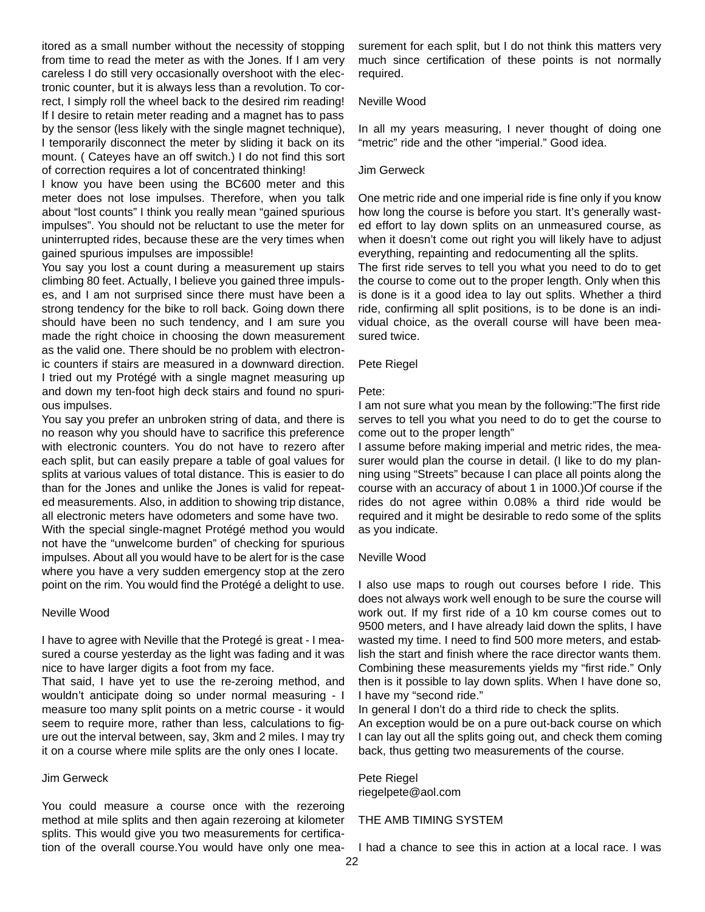itored as a small number without the necessity of stopping from time to read the meter as with the Jones. If I am very careless I do still very occasionally overshoot with the electronic counter, but it is always less than a revolution. To correct, I simply roll the wheel back to the desired rim reading! If I desire to retain meter reading and a magnet has to pass by the sensor (less likely with the single magnet technique), I temporarily disconnect the meter by sliding it back on its mount. ( Cateyes have an off switch.) I do not find this sort of correction requires a lot of concentrated thinking!

I know you have been using the BC600 meter and this meter does not lose impulses. Therefore, when you talk about "lost counts" I think you really mean "gained spurious impulses". You should not be reluctant to use the meter for uninterrupted rides, because these are the very times when gained spurious impulses are impossible!

You say you lost a count during a measurement up stairs climbing 80 feet. Actually, I believe you gained three impulses, and I am not surprised since there must have been a strong tendency for the bike to roll back. Going down there should have been no such tendency, and I am sure you made the right choice in choosing the down measurement as the valid one. There should be no problem with electronic counters if stairs are measured in a downward direction. I tried out my Protégé with a single magnet measuring up and down my ten-foot high deck stairs and found no spurious impulses.

You say you prefer an unbroken string of data, and there is no reason why you should have to sacrifice this preference with electronic counters. You do not have to rezero after each split, but can easily prepare a table of goal values for splits at various values of total distance. This is easier to do than for the Jones and unlike the Jones is valid for repeated measurements. Also, in addition to showing trip distance, all electronic meters have odometers and some have two.

With the special single-magnet Protégé method you would not have the "unwelcome burden" of checking for spurious impulses. About all you would have to be alert for is the case where you have a very sudden emergency stop at the zero point on the rim. You would find the Protégé a delight to use.

#### Neville Wood

I have to agree with Neville that the Protegé is great - I measured a course yesterday as the light was fading and it was nice to have larger digits a foot from my face.

That said, I have yet to use the re-zeroing method, and wouldn't anticipate doing so under normal measuring - I measure too many split points on a metric course - it would seem to require more, rather than less, calculations to figure out the interval between, say, 3km and 2 miles. I may try it on a course where mile splits are the only ones I locate.

#### Jim Gerweck

You could measure a course once with the rezeroing method at mile splits and then again rezeroing at kilometer splits. This would give you two measurements for certification of the overall course.You would have only one measurement for each split, but I do not think this matters very much since certification of these points is not normally required.

#### Neville Wood

In all my years measuring, I never thought of doing one "metric" ride and the other "imperial." Good idea.

#### Jim Gerweck

One metric ride and one imperial ride is fine only if you know how long the course is before you start. It's generally wasted effort to lay down splits on an unmeasured course, as when it doesn't come out right you will likely have to adjust everything, repainting and redocumenting all the splits.

The first ride serves to tell you what you need to do to get the course to come out to the proper length. Only when this is done is it a good idea to lay out splits. Whether a third ride, confirming all split positions, is to be done is an individual choice, as the overall course will have been measured twice.

#### Pete Riegel

#### Pete:

I am not sure what you mean by the following:"The first ride serves to tell you what you need to do to get the course to come out to the proper length"

I assume before making imperial and metric rides, the measurer would plan the course in detail. (I like to do my planning using "Streets" because I can place all points along the course with an accuracy of about 1 in 1000.)Of course if the rides do not agree within 0.08% a third ride would be required and it might be desirable to redo some of the splits as you indicate.

#### Neville Wood

I also use maps to rough out courses before I ride. This does not always work well enough to be sure the course will work out. If my first ride of a 10 km course comes out to 9500 meters, and I have already laid down the splits, I have wasted my time. I need to find 500 more meters, and establish the start and finish where the race director wants them. Combining these measurements yields my "first ride." Only then is it possible to lay down splits. When I have done so, I have my "second ride."

In general I don't do a third ride to check the splits.

An exception would be on a pure out-back course on which I can lay out all the splits going out, and check them coming back, thus getting two measurements of the course.

## Pete Riegel

riegelpete@aol.com

#### THE AMB TIMING SYSTEM

I had a chance to see this in action at a local race. I was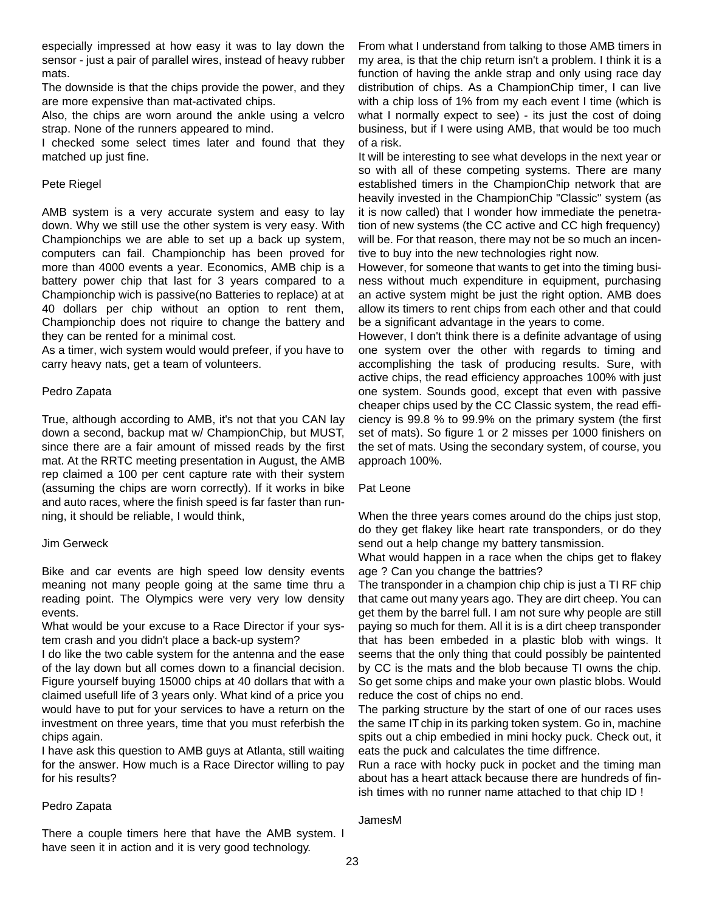especially impressed at how easy it was to lay down the sensor - just a pair of parallel wires, instead of heavy rubber mats.

The downside is that the chips provide the power, and they are more expensive than mat-activated chips.

Also, the chips are worn around the ankle using a velcro strap. None of the runners appeared to mind.

I checked some select times later and found that they matched up just fine.

#### Pete Riegel

AMB system is a very accurate system and easy to lay down. Why we still use the other system is very easy. With Championchips we are able to set up a back up system, computers can fail. Championchip has been proved for more than 4000 events a year. Economics, AMB chip is a battery power chip that last for 3 years compared to a Championchip wich is passive(no Batteries to replace) at at 40 dollars per chip without an option to rent them, Championchip does not riquire to change the battery and they can be rented for a minimal cost.

As a timer, wich system would would prefeer, if you have to carry heavy nats, get a team of volunteers.

#### Pedro Zapata

True, although according to AMB, it's not that you CAN lay down a second, backup mat w/ ChampionChip, but MUST, since there are a fair amount of missed reads by the first mat. At the RRTC meeting presentation in August, the AMB rep claimed a 100 per cent capture rate with their system (assuming the chips are worn correctly). If it works in bike and auto races, where the finish speed is far faster than running, it should be reliable, I would think,

#### Jim Gerweck

Bike and car events are high speed low density events meaning not many people going at the same time thru a reading point. The Olympics were very very low density events.

What would be your excuse to a Race Director if your system crash and you didn't place a back-up system?

I do like the two cable system for the antenna and the ease of the lay down but all comes down to a financial decision. Figure yourself buying 15000 chips at 40 dollars that with a claimed usefull life of 3 years only. What kind of a price you would have to put for your services to have a return on the investment on three years, time that you must referbish the chips again.

I have ask this question to AMB guys at Atlanta, still waiting for the answer. How much is a Race Director willing to pay for his results?

#### Pedro Zapata

There a couple timers here that have the AMB system. I have seen it in action and it is very good technology.

From what I understand from talking to those AMB timers in my area, is that the chip return isn't a problem. I think it is a function of having the ankle strap and only using race day distribution of chips. As a ChampionChip timer, I can live with a chip loss of 1% from my each event I time (which is what I normally expect to see) - its just the cost of doing business, but if I were using AMB, that would be too much of a risk.

It will be interesting to see what develops in the next year or so with all of these competing systems. There are many established timers in the ChampionChip network that are heavily invested in the ChampionChip "Classic" system (as it is now called) that I wonder how immediate the penetration of new systems (the CC active and CC high frequency) will be. For that reason, there may not be so much an incentive to buy into the new technologies right now.

However, for someone that wants to get into the timing business without much expenditure in equipment, purchasing an active system might be just the right option. AMB does allow its timers to rent chips from each other and that could be a significant advantage in the years to come.

However, I don't think there is a definite advantage of using one system over the other with regards to timing and accomplishing the task of producing results. Sure, with active chips, the read efficiency approaches 100% with just one system. Sounds good, except that even with passive cheaper chips used by the CC Classic system, the read efficiency is 99.8 % to 99.9% on the primary system (the first set of mats). So figure 1 or 2 misses per 1000 finishers on the set of mats. Using the secondary system, of course, you approach 100%.

#### Pat Leone

When the three years comes around do the chips just stop, do they get flakey like heart rate transponders, or do they send out a help change my battery tansmission.

What would happen in a race when the chips get to flakey age ? Can you change the battries?

The transponder in a champion chip chip is just a TI RF chip that came out many years ago. They are dirt cheep. You can get them by the barrel full. I am not sure why people are still paying so much for them. All it is is a dirt cheep transponder that has been embeded in a plastic blob with wings. It seems that the only thing that could possibly be paintented by CC is the mats and the blob because TI owns the chip. So get some chips and make your own plastic blobs. Would reduce the cost of chips no end.

The parking structure by the start of one of our races uses the same ITchip in its parking token system. Go in, machine spits out a chip embedied in mini hocky puck. Check out, it eats the puck and calculates the time diffrence.

Run a race with hocky puck in pocket and the timing man about has a heart attack because there are hundreds of finish times with no runner name attached to that chip ID !

JamesM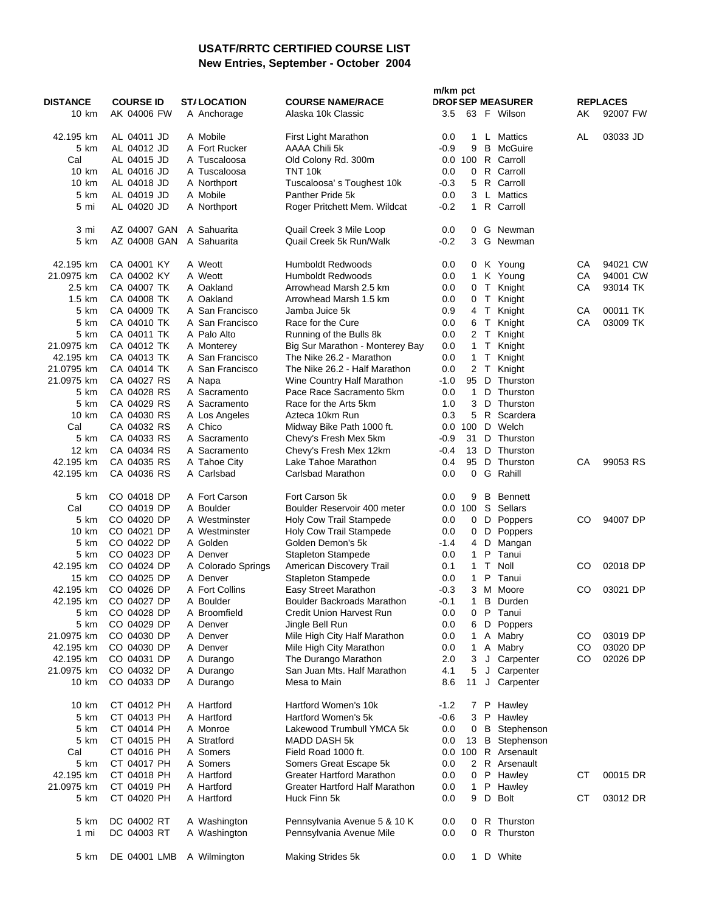### **USATF/RRTC CERTIFIED COURSE LIST New Entries, September - October 2004**

|                    |                            |                              |                                               | m/km pct          |                |              |                               |    |                 |
|--------------------|----------------------------|------------------------------|-----------------------------------------------|-------------------|----------------|--------------|-------------------------------|----|-----------------|
| <b>DISTANCE</b>    | <b>COURSE ID</b>           | <b>ST/LOCATION</b>           | <b>COURSE NAME/RACE</b>                       |                   |                |              | <b>DROF SEP MEASURER</b>      |    | <b>REPLACES</b> |
| 10 km              | AK 04006 FW                | A Anchorage                  | Alaska 10k Classic                            | 3.5               |                |              | 63 F Wilson                   | AΚ | 92007 FW        |
|                    |                            |                              |                                               |                   |                |              |                               |    |                 |
| 42.195 km          | AL 04011 JD                | A Mobile                     | First Light Marathon                          | 0.0               | 1.             |              | L Mattics                     | AL | 03033 JD        |
| 5 km               | AL 04012 JD                | A Fort Rucker                | AAAA Chili 5k                                 | $-0.9$<br>0.0 100 | 9              |              | <b>B</b> McGuire<br>R Carroll |    |                 |
| Cal<br>10 km       | AL 04015 JD<br>AL 04016 JD | A Tuscaloosa<br>A Tuscaloosa | Old Colony Rd. 300m<br>TNT 10k                | 0.0               | $\mathbf{0}$   |              | R Carroll                     |    |                 |
| 10 km              | AL 04018 JD                |                              | Tuscaloosa's Toughest 10k                     | -0.3              |                |              | 5 R Carroll                   |    |                 |
| 5 km               | AL 04019 JD                | A Northport<br>A Mobile      | Panther Pride 5k                              | 0.0               | 3              |              | L Mattics                     |    |                 |
| 5 mi               | AL 04020 JD                | A Northport                  | Roger Pritchett Mem. Wildcat                  | -0.2              | $\mathbf{1}$   |              | R Carroll                     |    |                 |
|                    |                            |                              |                                               |                   |                |              |                               |    |                 |
| 3 mi               | AZ 04007 GAN               | A Sahuarita                  | Quail Creek 3 Mile Loop                       | 0.0               |                |              | 0 G Newman                    |    |                 |
| 5 km               | AZ 04008 GAN               | A Sahuarita                  | Quail Creek 5k Run/Walk                       | $-0.2$            | 3              |              | G Newman                      |    |                 |
|                    |                            |                              |                                               |                   |                |              |                               |    |                 |
| 42.195 km          | CA 04001 KY                | A Weott                      | <b>Humboldt Redwoods</b>                      | 0.0               |                |              | 0 K Young                     | CА | 94021 CW        |
| 21.0975 km         | CA 04002 KY                | A Weott                      | <b>Humboldt Redwoods</b>                      | 0.0               |                |              | 1 K Young                     | CA | 94001 CW        |
| 2.5 km             | CA 04007 TK                | A Oakland                    | Arrowhead Marsh 2.5 km                        | 0.0               | 0 <sub>T</sub> |              | Knight                        | СA | 93014 TK        |
| $1.5 \text{ km}$   | CA 04008 TK                | A Oakland                    | Arrowhead Marsh 1.5 km                        | 0.0               | $0$ T          |              | Knight                        |    |                 |
| 5 km               | CA 04009 TK                | A San Francisco              | Jamba Juice 5k                                | 0.9               | 4 T            |              | Knight                        | СA | 00011 TK        |
| 5 km               | CA 04010 TK                | A San Francisco              | Race for the Cure                             | 0.0               | 6 T            |              | Knight                        | СA | 03009 TK        |
| 5 km               | CA 04011 TK                | A Palo Alto                  | Running of the Bulls 8k                       | 0.0               | 2 T            |              | Knight                        |    |                 |
| 21.0975 km         | CA 04012 TK                | A Monterey                   | Big Sur Marathon - Monterey Bay               | $0.0\,$           | $\mathbf{1}$   | T.           | Knight                        |    |                 |
| 42.195 km          | CA 04013 TK                | A San Francisco              | The Nike 26.2 - Marathon                      | 0.0               | $\mathbf{1}$   | T            | Knight                        |    |                 |
| 21.0795 km         | CA 04014 TK                | A San Francisco              | The Nike 26.2 - Half Marathon                 | 0.0               | 2 <sub>T</sub> |              | Knight                        |    |                 |
| 21.0975 km         | CA 04027 RS                | A Napa                       | Wine Country Half Marathon                    | $-1.0$            | 95             | D            | Thurston                      |    |                 |
| 5 km               | CA 04028 RS                | A Sacramento                 | Pace Race Sacramento 5km                      | 0.0               | $\mathbf{1}$   | D            | Thurston                      |    |                 |
| 5 km               | CA 04029 RS                | A Sacramento                 | Race for the Arts 5km                         | 1.0               | 3              | D            | Thurston                      |    |                 |
| 10 km              | CA 04030 RS                | A Los Angeles                | Azteca 10km Run                               | 0.3               | 5              | R            | Scardera                      |    |                 |
| Cal                | CA 04032 RS                | A Chico                      | Midway Bike Path 1000 ft.                     | $0.0\,$           | 100            | D            | Welch                         |    |                 |
| 5 km               | CA 04033 RS                | A Sacramento                 | Chevy's Fresh Mex 5km                         | $-0.9$            | 31             | D            | Thurston                      |    |                 |
| 12 km<br>42.195 km | CA 04034 RS<br>CA 04035 RS | A Sacramento                 | Chevy's Fresh Mex 12km<br>Lake Tahoe Marathon | -0.4<br>0.4       | 13<br>95       | D<br>D       | Thurston<br>Thurston          | СA | 99053 RS        |
| 42.195 km          | CA 04036 RS                | A Tahoe City<br>A Carlsbad   | Carlsbad Marathon                             | 0.0               | $\mathbf{0}$   |              | G Rahill                      |    |                 |
|                    |                            |                              |                                               |                   |                |              |                               |    |                 |
| 5 km               | CO 04018 DP                | A Fort Carson                | Fort Carson 5k                                | 0.0               | 9              | $\, {\bf B}$ | <b>Bennett</b>                |    |                 |
| Cal                | CO 04019 DP                | A Boulder                    | Boulder Reservoir 400 meter                   | $0.0$ 100         |                | S            | Sellars                       |    |                 |
| 5 km               | CO 04020 DP                | A Westminster                | Holy Cow Trail Stampede                       | 0.0               | $0$ D          |              | Poppers                       | CO | 94007 DP        |
| 10 km              | CO 04021 DP                | A Westminster                | Holy Cow Trail Stampede                       | 0.0               | 0              |              | D Poppers                     |    |                 |
| 5 km               | CO 04022 DP                | A Golden                     | Golden Demon's 5k                             | -1.4              | 4              | D            | Mangan                        |    |                 |
| 5 km               | CO 04023 DP                | A Denver                     | <b>Stapleton Stampede</b>                     | 0.0               | $\mathbf{1}$   | P            | Tanui                         |    |                 |
| 42.195 km          | CO 04024 DP                | A Colorado Springs           | American Discovery Trail                      | 0.1               | $\mathbf{1}$   | T            | Noll                          | CO | 02018 DP        |
| 15 km              | CO 04025 DP                | A Denver                     | <b>Stapleton Stampede</b>                     | 0.0               | $\mathbf{1}$   | P            | Tanui                         |    |                 |
| 42.195 km          | CO 04026 DP                | A Fort Collins               | Easy Street Marathon                          | -0.3              |                |              | 3 M Moore                     | CO | 03021 DP        |
| 42.195 km          | CO 04027 DP                | A Boulder                    | Boulder Backroads Marathon                    | $-0.1$            | 1              |              | <b>B</b> Durden               |    |                 |
| 5 km               | CO 04028 DP                | A Broomfield                 | Credit Union Harvest Run                      | 0.0               | 0              |              | P Tanui                       |    |                 |
| 5 km               | CO 04029 DP                | A Denver                     | Jingle Bell Run                               | 0.0               |                |              | 6 D Poppers                   |    |                 |
| 21.0975 km         | CO 04030 DP                | A Denver                     | Mile High City Half Marathon                  | 0.0               | 1              |              | A Mabry                       | CO | 03019 DP        |
| 42.195 km          | CO 04030 DP                | A Denver                     | Mile High City Marathon                       | 0.0               | $\mathbf{1}$   |              | A Mabry                       | CO | 03020 DP        |
| 42.195 km          | CO 04031 DP                | A Durango                    | The Durango Marathon                          | 2.0               | 3              |              | J Carpenter                   | CO | 02026 DP        |
| 21.0975 km         | CO 04032 DP                | A Durango                    | San Juan Mts. Half Marathon                   | 4.1               | 5              |              | J Carpenter                   |    |                 |
| 10 km              | CO 04033 DP                | A Durango                    | Mesa to Main                                  | 8.6               | 11             | J            | Carpenter                     |    |                 |
|                    |                            |                              |                                               |                   |                |              |                               |    |                 |
| 10 km              | CT 04012 PH<br>CT 04013 PH | A Hartford                   | Hartford Women's 10k<br>Hartford Women's 5k   | $-1.2$            |                |              | 7 P Hawley                    |    |                 |
| 5 km<br>5 km       | CT 04014 PH                | A Hartford<br>A Monroe       | Lakewood Trumbull YMCA 5k                     | $-0.6$<br>0.0     | 3              |              | P Hawley<br>0 B Stephenson    |    |                 |
| 5 km               | CT 04015 PH                | A Stratford                  | <b>MADD DASH 5k</b>                           | 0.0               | 13             | B            | Stephenson                    |    |                 |
| Cal                | CT 04016 PH                | A Somers                     | Field Road 1000 ft.                           | $0.0\,$           | 100            |              | R Arsenault                   |    |                 |
| 5 km               | CT 04017 PH                | A Somers                     | Somers Great Escape 5k                        | 0.0               |                |              | 2 R Arsenault                 |    |                 |
| 42.195 km          | CT 04018 PH                | A Hartford                   | Greater Hartford Marathon                     | 0.0               | 0 P            |              | Hawley                        | СT | 00015 DR        |
| 21.0975 km         | CT 04019 PH                | A Hartford                   | Greater Hartford Half Marathon                | 0.0               | $\mathbf{1}$   |              | P Hawley                      |    |                 |
| 5 km               | CT 04020 PH                | A Hartford                   | Huck Finn 5k                                  | 0.0               | 9              | D            | <b>Bolt</b>                   | СT | 03012 DR        |
|                    |                            |                              |                                               |                   |                |              |                               |    |                 |
| 5 km               | DC 04002 RT                | A Washington                 | Pennsylvania Avenue 5 & 10 K                  | 0.0               |                |              | 0 R Thurston                  |    |                 |
| 1 mi               | DC 04003 RT                | A Washington                 | Pennsylvania Avenue Mile                      | 0.0               | 0              |              | R Thurston                    |    |                 |
|                    |                            |                              |                                               |                   |                |              |                               |    |                 |
| 5 km               | DE 04001 LMB               | A Wilmington                 | Making Strides 5k                             | 0.0               |                |              | 1 D White                     |    |                 |
|                    |                            |                              |                                               |                   |                |              |                               |    |                 |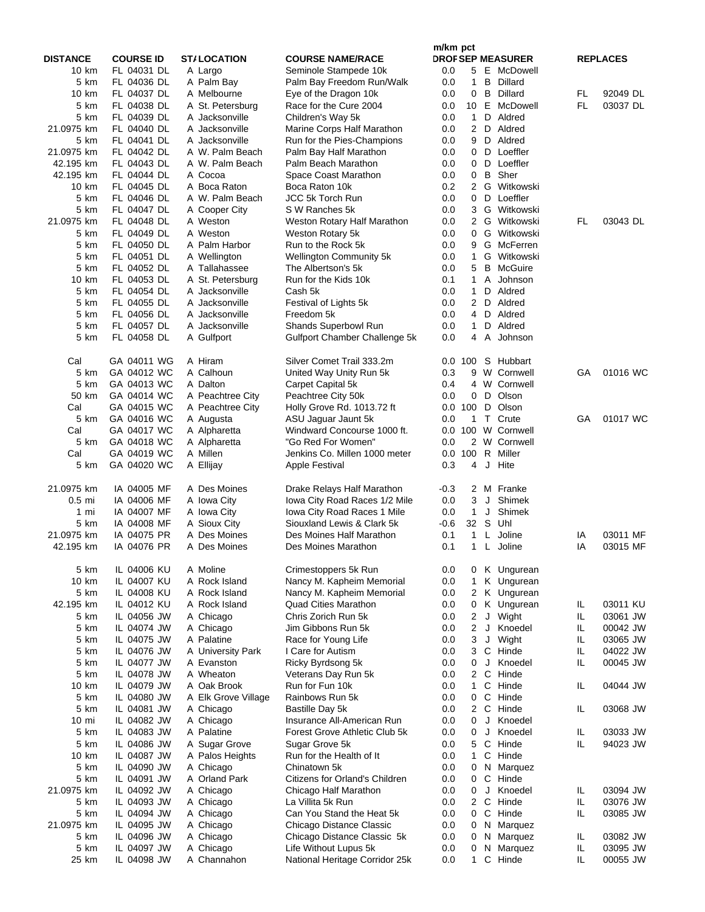|                        |                            |                            |                                                 | m/km pct                  |                                |                      |           |                 |
|------------------------|----------------------------|----------------------------|-------------------------------------------------|---------------------------|--------------------------------|----------------------|-----------|-----------------|
| <b>DISTANCE</b>        | <b>COURSE ID</b>           | <b>ST/LOCATION</b>         | <b>COURSE NAME/RACE</b>                         | <b>DROF SEP MEASURER</b>  |                                |                      |           | <b>REPLACES</b> |
| 10 km                  | FL 04031 DL                | A Largo                    | Seminole Stampede 10k                           | 0.0                       |                                | 5 E McDowell         |           |                 |
| 5 km                   | FL 04036 DL                | A Palm Bay                 | Palm Bay Freedom Run/Walk                       | 0.0                       | B<br>$\mathbf{1}$              | Dillard              |           |                 |
| 10 km                  | FL 04037 DL                | A Melbourne                | Eye of the Dragon 10k                           | 0.0                       | B<br>0                         | Dillard              | FL        | 92049 DL        |
| 5 km                   | FL 04038 DL                | A St. Petersburg           | Race for the Cure 2004                          | 0.0                       | 10 E                           | McDowell             | <b>FL</b> | 03037 DL        |
| 5 km                   | FL 04039 DL                | A Jacksonville             | Children's Way 5k                               | 0.0                       | $\mathbf{1}$<br>D              | Aldred               |           |                 |
| 21.0975 km             | FL 04040 DL                | A Jacksonville             | Marine Corps Half Marathon                      | 0.0                       | $\overline{2}$<br>D            | Aldred               |           |                 |
| 5 km                   | FL 04041 DL                | A Jacksonville             | Run for the Pies-Champions                      | 0.0                       | D<br>9                         | Aldred               |           |                 |
| 21.0975 km             | FL 04042 DL                | A W. Palm Beach            | Palm Bay Half Marathon<br>Palm Beach Marathon   | 0.0                       | 0<br>D<br>0<br>D               | Loeffler<br>Loeffler |           |                 |
| 42.195 km<br>42.195 km | FL 04043 DL<br>FL 04044 DL | A W. Palm Beach<br>A Cocoa | Space Coast Marathon                            | 0.0<br>0.0                | B<br>0                         | Sher                 |           |                 |
| 10 km                  | FL 04045 DL                | A Boca Raton               | Boca Raton 10k                                  | 0.2                       | $\overline{2}$                 | G Witkowski          |           |                 |
| 5 km                   | FL 04046 DL                | A W. Palm Beach            | <b>JCC 5k Torch Run</b>                         | 0.0                       | D<br>0                         | Loeffler             |           |                 |
| 5 km                   | FL 04047 DL                | A Cooper City              | S W Ranches 5k                                  | 0.0                       |                                | 3 G Witkowski        |           |                 |
| 21.0975 km             | FL 04048 DL                | A Weston                   | Weston Rotary Half Marathon                     | 0.0                       | G<br>$\mathbf{2}^{\circ}$      | Witkowski            | FL        | 03043 DL        |
| 5 km                   | FL 04049 DL                | A Weston                   | Weston Rotary 5k                                | 0.0                       | G<br>0                         | Witkowski            |           |                 |
| 5 km                   | FL 04050 DL                | A Palm Harbor              | Run to the Rock 5k                              | 0.0                       | 9                              | G McFerren           |           |                 |
| 5 km                   | FL 04051 DL                | A Wellington               | <b>Wellington Community 5k</b>                  | 0.0                       | $\mathbf{1}$<br>G              | Witkowski            |           |                 |
| 5 km                   | FL 04052 DL                | A Tallahassee              | The Albertson's 5k                              | 0.0                       | 5<br>B                         | McGuire              |           |                 |
| 10 km                  | FL 04053 DL                | A St. Petersburg           | Run for the Kids 10k                            | 0.1                       | $\mathbf{1}$<br>A              | Johnson              |           |                 |
| 5 km                   | FL 04054 DL                | A Jacksonville             | Cash 5k                                         | 0.0                       | $\mathbf{1}$<br>D              | Aldred               |           |                 |
| 5 km                   | FL 04055 DL                | A Jacksonville             | Festival of Lights 5k                           | 0.0                       | $\overline{2}$<br>D            | Aldred               |           |                 |
| 5 km                   | FL 04056 DL                | A Jacksonville             | Freedom 5k                                      | 0.0                       | D<br>4                         | Aldred               |           |                 |
| 5 km                   | FL 04057 DL                | A Jacksonville             | <b>Shands Superbowl Run</b>                     | 0.0                       | $\mathbf{1}$<br>D              | Aldred               |           |                 |
| 5 km                   | FL 04058 DL                | A Gulfport                 | Gulfport Chamber Challenge 5k                   | 0.0                       | 4<br>A                         | Johnson              |           |                 |
| Cal                    | GA 04011 WG                | A Hiram                    | Silver Comet Trail 333.2m                       | 0.0 100                   | S.                             | Hubbart              |           |                 |
| 5 km                   | GA 04012 WC                | A Calhoun                  | United Way Unity Run 5k                         | 0.3                       | 9<br>W                         | Cornwell             | GA        | 01016 WC        |
| 5 km                   | GA 04013 WC                | A Dalton                   | Carpet Capital 5k                               | 0.4                       | $\overline{4}$<br>W            | Cornwell             |           |                 |
| 50 km                  | GA 04014 WC                | A Peachtree City           | Peachtree City 50k                              | 0.0                       | $0$ D                          | Olson                |           |                 |
| Cal                    | GA 04015 WC                | A Peachtree City           | Holly Grove Rd. 1013.72 ft                      | 0.0 100                   | D                              | Olson                |           |                 |
| 5 km                   | GA 04016 WC                | A Augusta                  | ASU Jaguar Jaunt 5k                             | 0.0<br>$\mathbf{1}$       | $\top$                         | Crute                | GA        | 01017 WC        |
| Cal                    | GA 04017 WC                | A Alpharetta               | Windward Concourse 1000 ft.                     | 0.0 100 W                 |                                | Cornwell             |           |                 |
| 5 km                   | GA 04018 WC                | A Alpharetta               | "Go Red For Women"                              | 0.0                       | 2 W                            | Cornwell             |           |                 |
| Cal<br>5 km            | GA 04019 WC<br>GA 04020 WC | A Millen<br>A Ellijay      | Jenkins Co. Millen 1000 meter<br>Apple Festival | 100<br>0.0<br>0.3         | R<br>J<br>4                    | Miller<br>Hite       |           |                 |
|                        |                            |                            |                                                 |                           |                                |                      |           |                 |
| 21.0975 km             | IA 04005 MF                | A Des Moines               | Drake Relays Half Marathon                      | -0.3                      | 2                              | M Franke             |           |                 |
| $0.5$ mi               | IA 04006 MF                | A Iowa City                | Iowa City Road Races 1/2 Mile                   | 0.0                       | 3<br>J                         | Shimek               |           |                 |
| 1 mi                   | IA 04007 MF                | A Iowa City                | Iowa City Road Races 1 Mile                     | 0.0                       | $\mathbf{1}$<br>J              | Shimek               |           |                 |
| 5 km                   | IA 04008 MF                | A Sioux City               | Siouxland Lewis & Clark 5k                      | 32 <sup>2</sup><br>$-0.6$ | S                              | Uhl                  |           |                 |
| 21.0975 km             | IA 04075 PR                | A Des Moines               | Des Moines Half Marathon                        | $\mathbf{1}$<br>0.1       | L                              | Joline               | ΙA        | 03011 MF        |
| 42.195 km              | IA 04076 PR                | A Des Moines               | Des Moines Marathon                             | 0.1                       | $\mathbf{1}$<br>L.             | Joline               | IA        | 03015 MF        |
| 5 km                   | IL 04006 KU                | A Moline                   | Crimestoppers 5k Run                            | 0.0                       | 0                              | K Ungurean           |           |                 |
| 10 km                  | IL 04007 KU                | A Rock Island              | Nancy M. Kapheim Memorial                       | $0.0\,$                   | $\mathbf{1}$                   | K Ungurean           |           |                 |
| 5 km                   | IL 04008 KU                | A Rock Island              | Nancy M. Kapheim Memorial                       | 0.0                       | 2                              | K Ungurean           |           |                 |
| 42.195 km              | IL 04012 KU                | A Rock Island              | <b>Quad Cities Marathon</b>                     | 0.0                       | 0                              | K Ungurean           | IL        | 03011 KU        |
| 5 km                   | IL 04056 JW                | A Chicago                  | Chris Zorich Run 5k                             | 0.0                       | J<br>$\overline{2}$            | Wight                | IL        | 03061 JW        |
| 5 km                   | IL 04074 JW                | A Chicago                  | Jim Gibbons Run 5k                              | 0.0                       | $\overline{2}$<br>J            | Knoedel              | IL.       | 00042 JW        |
| 5 km                   | IL 04075 JW                | A Palatine                 | Race for Young Life                             | 0.0                       | 3<br>J                         | Wight                | IL        | 03065 JW        |
| 5 km                   | IL 04076 JW                | A University Park          | I Care for Autism                               | 0.0                       | $\mathsf{C}$<br>3              | Hinde                | IL        | 04022 JW        |
| 5 km                   | IL 04077 JW                | A Evanston                 | Ricky Byrdsong 5k                               | $0.0\,$                   | J<br>0                         | Knoedel              | IL        | 00045 JW        |
| 5 km                   | IL 04078 JW                | A Wheaton                  | Veterans Day Run 5k                             | 0.0                       | $\mathsf{C}$<br>$\overline{2}$ | Hinde                |           |                 |
| 10 km                  | IL 04079 JW                | A Oak Brook                | Run for Fun 10k                                 | 0.0                       | C<br>1                         | Hinde                | IL        | 04044 JW        |
| 5 km                   | IL 04080 JW                | A Elk Grove Village        | Rainbows Run 5k                                 | 0.0                       | C<br>0                         | Hinde                |           |                 |
| 5 km                   | IL 04081 JW                | A Chicago                  | Bastille Day 5k                                 | 0.0                       | $\mathsf{C}$<br>$\overline{2}$ | Hinde                | IL        | 03068 JW        |
| 10 mi                  | IL 04082 JW                | A Chicago                  | Insurance All-American Run                      | 0.0                       | J<br>0                         | Knoedel              |           |                 |
| 5 km                   | IL 04083 JW                | A Palatine                 | Forest Grove Athletic Club 5k                   | 0.0                       | 0<br>J                         | Knoedel              | IL        | 03033 JW        |
| 5 km                   | IL 04086 JW                | A Sugar Grove              | Sugar Grove 5k                                  | 0.0                       | 5<br>C                         | Hinde                | IL        | 94023 JW        |
| 10 km                  | IL 04087 JW                | A Palos Heights            | Run for the Health of It                        | 0.0                       | $\mathbf{1}$                   | C Hinde              |           |                 |
| 5 km                   | IL 04090 JW                | A Chicago                  | Chinatown 5k                                    | 0.0                       | N<br>0                         | Marquez              |           |                 |
| 5 km                   | IL 04091 JW                | A Orland Park              | Citizens for Orland's Children                  | 0.0                       | C<br>0                         | Hinde                |           |                 |
| 21.0975 km             | IL 04092 JW                | A Chicago                  | Chicago Half Marathon                           | 0.0                       | J<br>0                         | Knoedel              | IL        | 03094 JW        |
| 5 km                   | IL 04093 JW                | A Chicago                  | La Villita 5k Run                               | 0.0                       | $\overline{2}$<br>C            | Hinde                | IL        | 03076 JW        |
| 5 km                   | IL 04094 JW                | A Chicago                  | Can You Stand the Heat 5k                       | 0.0                       | C<br>0                         | Hinde                | IL        | 03085 JW        |
| 21.0975 km             | IL 04095 JW                | A Chicago                  | Chicago Distance Classic                        | 0.0                       | N<br>0                         | Marquez              |           |                 |
| 5 km                   | IL 04096 JW                | A Chicago                  | Chicago Distance Classic 5k                     | 0.0                       | N<br>0                         | Marquez              | IL        | 03082 JW        |
| 5 km                   | IL 04097 JW                | A Chicago                  | Life Without Lupus 5k                           | 0.0                       | N<br>0                         | Marquez              | IL        | 03095 JW        |
| 25 km                  | IL 04098 JW                | A Channahon                | National Heritage Corridor 25k                  | 0.0                       | $\mathbf{1}$                   | C Hinde              | IL        | 00055 JW        |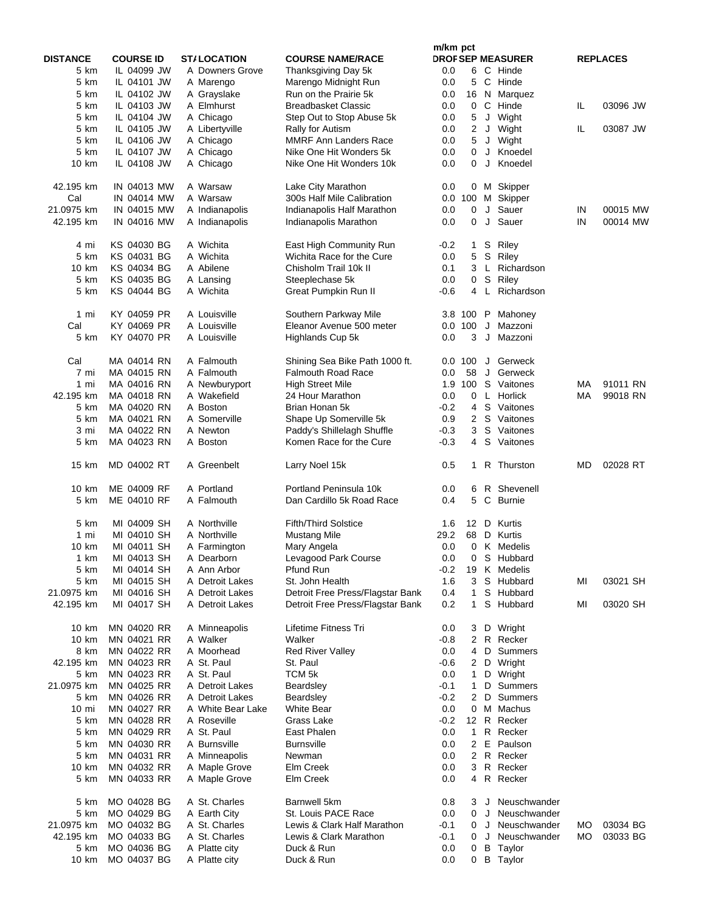|                 |                            |                          |                                               | m/km pct   |                |              |                          |    |                 |
|-----------------|----------------------------|--------------------------|-----------------------------------------------|------------|----------------|--------------|--------------------------|----|-----------------|
| <b>DISTANCE</b> | <b>COURSE ID</b>           | <b>ST/LOCATION</b>       | <b>COURSE NAME/RACE</b>                       |            |                |              | <b>DROF SEP MEASURER</b> |    | <b>REPLACES</b> |
| 5 km            | IL 04099 JW                | A Downers Grove          | Thanksgiving Day 5k                           | 0.0        |                |              | 6 C Hinde                |    |                 |
| 5 km<br>5 km    | IL 04101 JW<br>IL 04102 JW | A Marengo<br>A Grayslake | Marengo Midnight Run<br>Run on the Prairie 5k | 0.0<br>0.0 | 5              |              | C Hinde<br>16 N Marquez  |    |                 |
| 5 km            | IL 04103 JW                | A Elmhurst               | <b>Breadbasket Classic</b>                    | 0.0        |                |              | 0 C Hinde                | IL | 03096 JW        |
| 5 km            | IL 04104 JW                | A Chicago                | Step Out to Stop Abuse 5k                     | 0.0        | 5              |              | J Wight                  |    |                 |
| 5 km            | IL 04105 JW                | A Libertyville           | Rally for Autism                              | 0.0        | $\overline{2}$ | J            | Wight                    | IL | 03087 JW        |
| 5 km            | IL 04106 JW                | A Chicago                | <b>MMRF Ann Landers Race</b>                  | 0.0        |                |              | 5 J Wight                |    |                 |
| 5 km            | IL 04107 JW                | A Chicago                | Nike One Hit Wonders 5k                       | 0.0        | 0              | J            | Knoedel                  |    |                 |
| 10 km           | IL 04108 JW                | A Chicago                | Nike One Hit Wonders 10k                      | 0.0        | 0              | J            | Knoedel                  |    |                 |
|                 |                            |                          |                                               |            |                |              |                          |    |                 |
| 42.195 km       | IN 04013 MW                | A Warsaw                 | Lake City Marathon                            | 0.0        |                |              | 0 M Skipper              |    |                 |
| Cal             | IN 04014 MW                | A Warsaw                 | 300s Half Mile Calibration                    |            | 0.0 100        |              | M Skipper                |    |                 |
| 21.0975 km      | IN 04015 MW                | A Indianapolis           | Indianapolis Half Marathon                    | 0.0        | 0              | J            | Sauer                    | IN | 00015 MW        |
| 42.195 km       | <b>IN 04016 MW</b>         | A Indianapolis           | Indianapolis Marathon                         | 0.0        | 0              |              | J Sauer                  | IN | 00014 MW        |
|                 |                            |                          |                                               |            |                |              |                          |    |                 |
| 4 mi            | KS 04030 BG                | A Wichita                | East High Community Run                       | $-0.2$     | 1.             |              | S Riley                  |    |                 |
| 5 km            | KS 04031 BG                | A Wichita                | Wichita Race for the Cure                     | 0.0        | 5              | S            | Riley                    |    |                 |
| 10 km           | KS 04034 BG                | A Abilene                | Chisholm Trail 10k II                         | 0.1        | 3              | $\mathsf{L}$ | Richardson               |    |                 |
| 5 km            | KS 04035 BG                | A Lansing                | Steeplechase 5k                               | 0.0        | $\mathbf 0$    | S            | Riley                    |    |                 |
| 5 km            | KS 04044 BG                | A Wichita                | Great Pumpkin Run II                          | $-0.6$     | 4              | L.           | Richardson               |    |                 |
|                 |                            |                          |                                               |            |                |              |                          |    |                 |
| 1 mi            | KY 04059 PR                | A Louisville             | Southern Parkway Mile                         |            | 3.8 100        | P            | Mahoney                  |    |                 |
| Cal             | KY 04069 PR                | A Louisville             | Eleanor Avenue 500 meter                      |            | 0.0 100        | J            | Mazzoni                  |    |                 |
| 5 km            | KY 04070 PR                | A Louisville             | Highlands Cup 5k                              | 0.0        | 3              | J            | Mazzoni                  |    |                 |
| Cal             | MA 04014 RN                | A Falmouth               | Shining Sea Bike Path 1000 ft.                |            |                |              | 0.0 100 J Gerweck        |    |                 |
| 7 mi            | MA 04015 RN                | A Falmouth               | <b>Falmouth Road Race</b>                     | 0.0        | 58             | J            | Gerweck                  |    |                 |
| 1 mi            | MA 04016 RN                | A Newburyport            | <b>High Street Mile</b>                       |            |                |              | 1.9 100 S Vaitones       | МA | 91011 RN        |
| 42.195 km       | MA 04018 RN                | A Wakefield              | 24 Hour Marathon                              | 0.0        |                |              | 0 L Horlick              | МA | 99018 RN        |
| 5 km            | MA 04020 RN                | A Boston                 | Brian Honan 5k                                | $-0.2$     | 4              |              | S Vaitones               |    |                 |
| 5 km            | MA 04021 RN                | A Somerville             | Shape Up Somerville 5k                        | 0.9        |                |              | 2 S Vaitones             |    |                 |
| 3 mi            | MA 04022 RN                | A Newton                 | Paddy's Shillelagh Shuffle                    | $-0.3$     | $\mathbf{3}$   |              | S Vaitones               |    |                 |
| 5 km            | MA 04023 RN                | A Boston                 | Komen Race for the Cure                       | $-0.3$     | $\overline{4}$ |              | S Vaitones               |    |                 |
|                 |                            |                          |                                               |            |                |              |                          |    |                 |
| 15 km           | MD 04002 RT                | A Greenbelt              | Larry Noel 15k                                | 0.5        | 1              |              | R Thurston               | MD | 02028 RT        |
|                 |                            |                          |                                               |            |                |              |                          |    |                 |
| 10 km           | ME 04009 RF                | A Portland               | Portland Peninsula 10k                        | 0.0        | 6              |              | R Shevenell              |    |                 |
| 5 km            | ME 04010 RF                | A Falmouth               | Dan Cardillo 5k Road Race                     | 0.4        | 5              |              | C Burnie                 |    |                 |
| 5 km            | MI 04009 SH                | A Northville             | <b>Fifth/Third Solstice</b>                   | 1.6        |                | 12 D         | Kurtis                   |    |                 |
| 1 mi            | MI 04010 SH                | A Northville             | <b>Mustang Mile</b>                           | 29.2       |                |              | 68 D Kurtis              |    |                 |
| 10 km           | MI 04011 SH                | A Farmington             | Mary Angela                                   | 0.0        |                |              | 0 K Medelis              |    |                 |
| 1 km            | MI 04013 SH                | A Dearborn               | Levagood Park Course                          | 0.0        |                |              | 0 S Hubbard              |    |                 |
| 5 km            | MI 04014 SH                | A Ann Arbor              | Pfund Run                                     | $-0.2$     | 19             |              | K Medelis                |    |                 |
| 5 km            | MI 04015 SH                | A Detroit Lakes          | St. John Health                               | 1.6        | 3              |              | S Hubbard                | MI | 03021 SH        |
| 21.0975 km      | MI 04016 SH                | A Detroit Lakes          | Detroit Free Press/Flagstar Bank              | 0.4        | $\mathbf{1}$   |              | S Hubbard                |    |                 |
| 42.195 km       | MI 04017 SH                | A Detroit Lakes          | Detroit Free Press/Flagstar Bank              | 0.2        | $\mathbf{1}$   |              | S Hubbard                | MI | 03020 SH        |
|                 |                            |                          |                                               |            |                |              |                          |    |                 |
| 10 km           | MN 04020 RR                | A Minneapolis            | Lifetime Fitness Tri                          | 0.0        | 3              |              | D Wright                 |    |                 |
| 10 km           | MN 04021 RR                | A Walker                 | Walker                                        | $-0.8$     | $\mathbf{2}$   |              | R Recker                 |    |                 |
| 8 km            | MN 04022 RR                | A Moorhead               | <b>Red River Valley</b>                       | 0.0        | 4              |              | D Summers                |    |                 |
| 42.195 km       | MN 04023 RR                | A St. Paul               | St. Paul                                      | $-0.6$     | $^{2}$         |              | D Wright                 |    |                 |
| 5 km            | MN 04023 RR                | A St. Paul               | TCM <sub>5k</sub>                             | 0.0        | 1              |              | D Wright                 |    |                 |
| 21.0975 km      | MN 04025 RR                | A Detroit Lakes          | Beardsley                                     | $-0.1$     | 1              |              | D Summers                |    |                 |
| 5 km            | MN 04026 RR                | A Detroit Lakes          | Beardsley                                     | $-0.2$     | 2              |              | D Summers                |    |                 |
| $10 \text{ mi}$ | MN 04027 RR                | A White Bear Lake        | <b>White Bear</b>                             | 0.0        | 0              |              | M Machus                 |    |                 |
| 5 km            | MN 04028 RR                | A Roseville              | Grass Lake                                    | $-0.2$     |                |              | 12 R Recker              |    |                 |
| 5 km            | MN 04029 RR                | A St. Paul               | East Phalen                                   | 0.0        | $\mathbf{1}$   |              | R Recker                 |    |                 |
| 5 km            | MN 04030 RR                | A Burnsville             | <b>Burnsville</b>                             | 0.0        | 2              | Е            | Paulson                  |    |                 |
| 5 km            | MN 04031 RR                | A Minneapolis            | Newman                                        | 0.0        |                |              | 2 R Recker               |    |                 |
| 10 km           | MN 04032 RR                | A Maple Grove            | Elm Creek                                     | 0.0        | 3              |              | R Recker                 |    |                 |
| 5 km            | MN 04033 RR                | A Maple Grove            | Elm Creek                                     | 0.0        | 4              |              | R Recker                 |    |                 |
|                 |                            |                          |                                               |            |                |              |                          |    |                 |
| 5 km            | MO 04028 BG                | A St. Charles            | Barnwell 5km                                  | 0.8        | 3              | J            | Neuschwander             |    |                 |
| 5 km            | MO 04029 BG                | A Earth City             | St. Louis PACE Race                           | 0.0        | 0              | J            | Neuschwander             |    |                 |
| 21.0975 km      | MO 04032 BG                | A St. Charles            | Lewis & Clark Half Marathon                   | $-0.1$     | 0              | J            | Neuschwander             | МO | 03034 BG        |
| 42.195 km       | MO 04033 BG                | A St. Charles            | Lewis & Clark Marathon                        | $-0.1$     | 0              |              | J Neuschwander           | МO | 03033 BG        |
| 5 km            | MO 04036 BG                | A Platte city            | Duck & Run                                    | 0.0        | 0              |              | <b>B</b> Taylor          |    |                 |
| 10 km           | MO 04037 BG                | A Platte city            | Duck & Run                                    | 0.0        | 0              |              | <b>B</b> Taylor          |    |                 |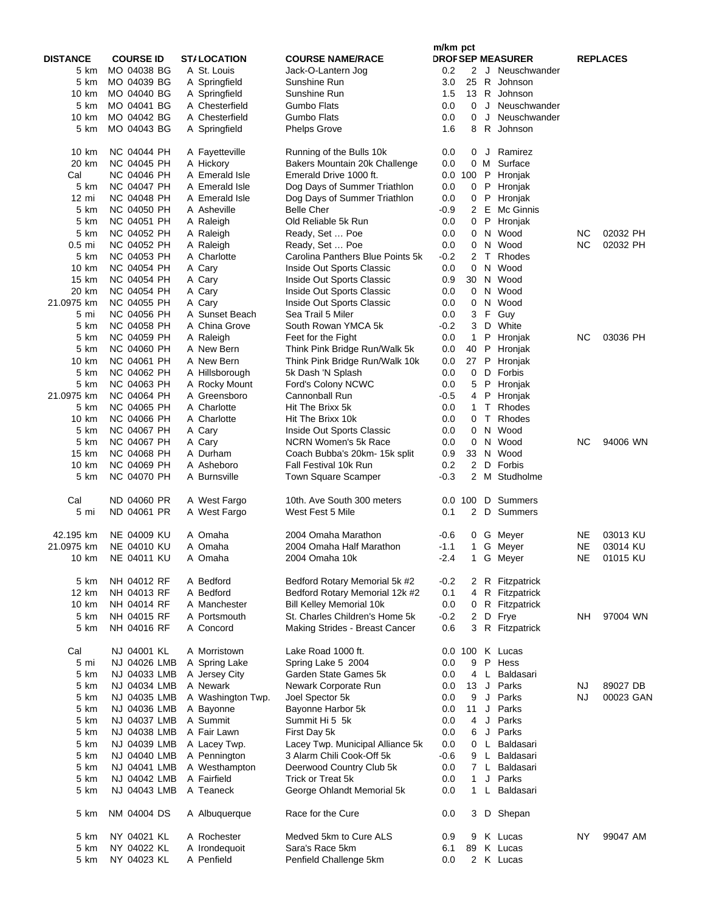|                 |                                   |                          |                                                        | m/km pct   |                      |                |                          |           |                 |
|-----------------|-----------------------------------|--------------------------|--------------------------------------------------------|------------|----------------------|----------------|--------------------------|-----------|-----------------|
| <b>DISTANCE</b> | <b>COURSE ID</b>                  | <b>ST/LOCATION</b>       | <b>COURSE NAME/RACE</b>                                |            |                      |                | <b>DROF SEP MEASURER</b> |           | <b>REPLACES</b> |
| 5 km            | MO 04038 BG                       | A St. Louis              | Jack-O-Lantern Jog                                     | 0.2        | 2                    |                | J Neuschwander           |           |                 |
| 5 km            | MO 04039 BG                       | A Springfield            | Sunshine Run                                           | 3.0        | 25                   |                | R Johnson                |           |                 |
| 10 km           | MO 04040 BG                       | A Springfield            | Sunshine Run                                           | 1.5        | 13                   |                | R Johnson                |           |                 |
| 5 km            | MO 04041 BG                       | A Chesterfield           | Gumbo Flats                                            | 0.0        | 0                    |                | J Neuschwander           |           |                 |
| 10 km           | MO 04042 BG                       | A Chesterfield           | Gumbo Flats                                            | 0.0        | $\Omega$             | J              | Neuschwander             |           |                 |
| 5 km            | MO 04043 BG                       | A Springfield            | <b>Phelps Grove</b>                                    | 1.6        | 8                    |                | R Johnson                |           |                 |
| 10 km           | NC 04044 PH                       | A Fayetteville           | Running of the Bulls 10k                               | 0.0        | 0                    | $\mathsf J$    | Ramirez                  |           |                 |
| 20 km           | <b>NC 04045 PH</b>                | A Hickory                | Bakers Mountain 20k Challenge                          | 0.0        |                      | 0 M            | Surface                  |           |                 |
| Cal             | NC 04046 PH                       | A Emerald Isle           | Emerald Drive 1000 ft.                                 |            | 0.0 100              | P              | Hronjak                  |           |                 |
| 5 km            | <b>NC 04047 PH</b>                | A Emerald Isle           | Dog Days of Summer Triathlon                           | 0.0        |                      | $0$ $P$        | Hronjak                  |           |                 |
| $12 \,$ mi      | <b>NC 04048 PH</b>                | A Emerald Isle           | Dog Days of Summer Triathlon                           | 0.0        | 0                    | $\mathsf P$    | Hronjak                  |           |                 |
| 5 km            | NC 04050 PH                       | A Asheville              | <b>Belle Cher</b>                                      | -0.9       |                      | 2 E            | Mc Ginnis                |           |                 |
| 5 km            | NC 04051 PH                       | A Raleigh                | Old Reliable 5k Run                                    | 0.0        | 0                    | P              | Hronjak                  |           |                 |
| 5 km            | NC 04052 PH                       | A Raleigh                | Ready, Set  Poe                                        | 0.0        | 0                    | N              | Wood                     | ΝC        | 02032 PH        |
| $0.5$ mi        | NC 04052 PH                       | A Raleigh                | Ready, Set  Poe                                        | 0.0        | 0                    |                | N Wood                   | ΝC        | 02032 PH        |
| 5 km            | NC 04053 PH                       | A Charlotte              | Carolina Panthers Blue Points 5k                       | -0.2       | 2<br>0               | T<br>N         | Rhodes<br>Wood           |           |                 |
| 10 km           | NC 04054 PH<br><b>NC 04054 PH</b> | A Cary                   | Inside Out Sports Classic                              | 0.0<br>0.9 |                      |                | 30 N Wood                |           |                 |
| 15 km<br>20 km  | NC 04054 PH                       | A Cary                   | Inside Out Sports Classic<br>Inside Out Sports Classic |            |                      |                | N Wood                   |           |                 |
| 21.0975 km      | NC 04055 PH                       | A Cary                   |                                                        | 0.0<br>0.0 | 0<br>0               | N              | Wood                     |           |                 |
| 5 mi            | NC 04056 PH                       | A Cary<br>A Sunset Beach | Inside Out Sports Classic<br>Sea Trail 5 Miler         | 0.0        |                      |                | 3 F Guy                  |           |                 |
| 5 km            | NC 04058 PH                       | A China Grove            |                                                        | -0.2       | 3                    |                | D White                  |           |                 |
| 5 km            | NC 04059 PH                       | A Raleigh                | South Rowan YMCA 5k                                    | 0.0        | $\mathbf{1}$         | P              |                          | ΝC        | 03036 PH        |
| 5 km            | <b>NC 04060 PH</b>                | A New Bern               | Feet for the Fight<br>Think Pink Bridge Run/Walk 5k    | 0.0        |                      | 40 P           | Hronjak<br>Hronjak       |           |                 |
| 10 km           | NC 04061 PH                       | A New Bern               | Think Pink Bridge Run/Walk 10k                         | 0.0        |                      | 27 P           | Hronjak                  |           |                 |
| 5 km            | NC 04062 PH                       | A Hillsborough           | 5k Dash 'N Splash                                      | 0.0        | 0                    | D              | Forbis                   |           |                 |
| 5 km            | <b>NC 04063 PH</b>                | A Rocky Mount            | Ford's Colony NCWC                                     | 0.0        | 5                    | $\mathsf{P}$   | Hronjak                  |           |                 |
| 21.0975 km      | NC 04064 PH                       | A Greensboro             | Cannonball Run                                         | -0.5       | 4                    | $\sf P$        | Hronjak                  |           |                 |
| 5 km            | <b>NC 04065 PH</b>                | A Charlotte              | Hit The Brixx 5k                                       | 0.0        | $\mathbf{1}$         | T.             | Rhodes                   |           |                 |
| 10 km           | <b>NC 04066 PH</b>                | A Charlotte              | Hit The Brixx 10k                                      | 0.0        |                      | 0 <sub>0</sub> | Rhodes                   |           |                 |
| 5 km            | NC 04067 PH                       | A Cary                   | Inside Out Sports Classic                              | 0.0        | 0                    |                | N Wood                   |           |                 |
| 5 km            | <b>NC 04067 PH</b>                | A Cary                   | NCRN Women's 5k Race                                   | 0.0        | 0                    | N              | Wood                     | ΝC        | 94006 WN        |
| 15 km           | <b>NC 04068 PH</b>                | A Durham                 | Coach Bubba's 20km- 15k split                          | 0.9        | 33                   | N              | Wood                     |           |                 |
| 10 km           | <b>NC 04069 PH</b>                | A Asheboro               | Fall Festival 10k Run                                  | 0.2        | $\overline{2}$       |                | D Forbis                 |           |                 |
| 5 km            | <b>NC 04070 PH</b>                | A Burnsville             | Town Square Scamper                                    | $-0.3$     | $\mathbf{2}^{\circ}$ |                | M Studholme              |           |                 |
| Cal             | ND 04060 PR                       | A West Fargo             | 10th. Ave South 300 meters                             |            | 0.0 100              |                | D Summers                |           |                 |
| 5 mi            | ND 04061 PR                       | A West Fargo             | West Fest 5 Mile                                       | 0.1        | 2                    |                | D Summers                |           |                 |
| 42.195 km       | NE 04009 KU                       | A Omaha                  | 2004 Omaha Marathon                                    | $-0.6$     |                      |                | 0 G Meyer                | NE        | 03013 KU        |
| 21.0975 km      | <b>NE 04010 KU</b>                | A Omaha                  | 2004 Omaha Half Marathon                               | $-1.1$     | $\mathbf{1}$         |                | G Meyer                  | NE        | 03014 KU        |
| 10 km           | NE 04011 KU                       | A Omaha                  | 2004 Omaha 10k                                         | $-2.4$     |                      |                | 1 G Meyer                | NE        | 01015 KU        |
| 5 km            | NH 04012 RF                       | A Bedford                | Bedford Rotary Memorial 5k #2                          | $-0.2$     |                      |                | 2 R Fitzpatrick          |           |                 |
| 12 km           | NH 04013 RF                       | A Bedford                | Bedford Rotary Memorial 12k #2                         | 0.1        | 4                    |                | R Fitzpatrick            |           |                 |
| 10 km           | NH 04014 RF                       | A Manchester             | <b>Bill Kelley Memorial 10k</b>                        | 0.0        |                      |                | 0 R Fitzpatrick          |           |                 |
| 5 km            | NH 04015 RF                       | A Portsmouth             | St. Charles Children's Home 5k                         | $-0.2$     | 2                    |                | D Frye                   | NΗ        | 97004 WN        |
| 5 km            | NH 04016 RF                       | A Concord                | Making Strides - Breast Cancer                         | 0.6        | 3                    |                | R Fitzpatrick            |           |                 |
| Cal             | NJ 04001 KL                       | A Morristown             | Lake Road 1000 ft.                                     |            | 0.0 100              |                | K Lucas                  |           |                 |
| 5 mi            | NJ 04026 LMB                      | A Spring Lake            | Spring Lake 5 2004                                     | 0.0        | 9                    |                | P Hess                   |           |                 |
| 5 km            | NJ 04033 LMB                      | A Jersey City            | Garden State Games 5k                                  | 0.0        | 4                    | L.             | Baldasari                |           |                 |
| 5 km            | NJ 04034 LMB                      | A Newark                 | Newark Corporate Run                                   | 0.0        | 13                   | J              | Parks                    | <b>NJ</b> | 89027 DB        |
| 5 km            | NJ 04035 LMB                      | A Washington Twp.        | Joel Spector 5k                                        | 0.0        | 9                    | J              | Parks                    | <b>NJ</b> | 00023 GAN       |
| 5 km            | NJ 04036 LMB                      | A Bayonne                | Bayonne Harbor 5k                                      | 0.0        | 11                   | J              | Parks                    |           |                 |
| 5 km            | NJ 04037 LMB                      | A Summit                 | Summit Hi 5 5k                                         | 0.0        | 4                    | J              | Parks                    |           |                 |
| 5 km            | NJ 04038 LMB                      | A Fair Lawn              | First Day 5k                                           | 0.0        | 6                    | J              | Parks                    |           |                 |
| 5 km            | NJ 04039 LMB                      | A Lacey Twp.             | Lacey Twp. Municipal Alliance 5k                       | 0.0        | 0                    | L.             | Baldasari                |           |                 |
| 5 km            | NJ 04040 LMB                      | A Pennington             | 3 Alarm Chili Cook-Off 5k                              | $-0.6$     | 9                    | L              | Baldasari                |           |                 |
| 5 km            | NJ 04041 LMB                      | A Westhampton            | Deerwood Country Club 5k                               | 0.0        | 7                    | L              | Baldasari                |           |                 |
| 5 km<br>5 km    | NJ 04042 LMB<br>NJ 04043 LMB      | A Fairfield<br>A Teaneck | Trick or Treat 5k<br>George Ohlandt Memorial 5k        | 0.0<br>0.0 | $\mathbf{1}$<br>1    | J              | Parks<br>L Baldasari     |           |                 |
|                 |                                   |                          |                                                        |            |                      |                |                          |           |                 |
| 5 km            | NM 04004 DS                       | A Albuquerque            | Race for the Cure                                      | 0.0        | 3                    |                | D Shepan                 |           |                 |
| 5 km            | NY 04021 KL                       | A Rochester              | Medved 5km to Cure ALS                                 | 0.9        | 9                    |                | K Lucas                  | ΝY        | 99047 AM        |
| 5 km            | NY 04022 KL                       | A Irondequoit            | Sara's Race 5km                                        | 6.1        | 89                   |                | K Lucas                  |           |                 |
| 5 km            | NY 04023 KL                       | A Penfield               | Penfield Challenge 5km                                 | 0.0        |                      |                | 2 K Lucas                |           |                 |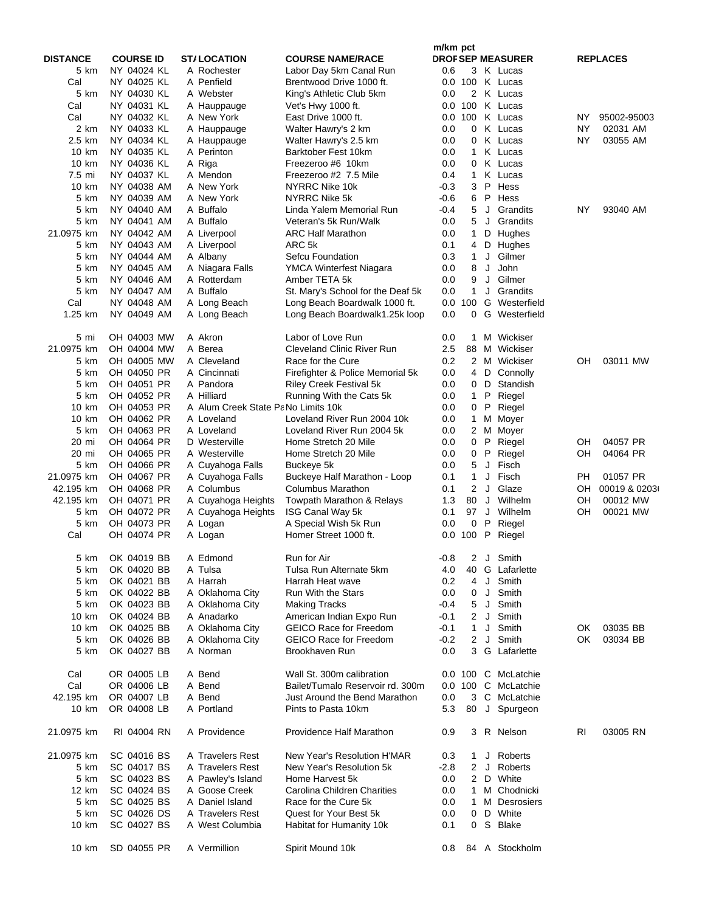|                 |                  |                                     |                                   | m/km pct |                |     |                          |           |                 |
|-----------------|------------------|-------------------------------------|-----------------------------------|----------|----------------|-----|--------------------------|-----------|-----------------|
| <b>DISTANCE</b> | <b>COURSE ID</b> | <b>ST/LOCATION</b>                  | <b>COURSE NAME/RACE</b>           |          |                |     | <b>DROF SEP MEASURER</b> |           | <b>REPLACES</b> |
| 5 km            | NY 04024 KL      | A Rochester                         | Labor Day 5km Canal Run           | 0.6      |                |     | 3 K Lucas                |           |                 |
| Cal             | NY 04025 KL      | A Penfield                          | Brentwood Drive 1000 ft.          |          |                |     | 0.0 100 K Lucas          |           |                 |
| 5 km            | NY 04030 KL      | A Webster                           | King's Athletic Club 5km          | 0.0      | $\overline{2}$ |     | K Lucas                  |           |                 |
| Cal             | NY 04031 KL      | A Hauppauge                         | Vet's Hwy 1000 ft.                |          | 0.0 100        |     | K Lucas                  |           |                 |
| Cal             | NY 04032 KL      | A New York                          | East Drive 1000 ft.               |          | 0.0 100        |     | K Lucas                  | ΝY        | 95002-95003     |
| 2 km            | NY 04033 KL      | A Hauppauge                         | Walter Hawry's 2 km               | 0.0      | 0              |     | K Lucas                  | NY        | 02031 AM        |
| 2.5 km          | NY 04034 KL      | A Hauppauge                         | Walter Hawry's 2.5 km             | 0.0      | 0              |     | K Lucas                  | <b>NY</b> | 03055 AM        |
| 10 km           | NY 04035 KL      | A Perinton                          | Barktober Fest 10km               | 0.0      | 1              |     | K Lucas                  |           |                 |
| 10 km           | NY 04036 KL      | A Riga                              | Freezeroo #6 10km                 | 0.0      | 0              |     | K Lucas                  |           |                 |
| 7.5 mi          | NY 04037 KL      | A Mendon                            | Freezeroo #2 7.5 Mile             | 0.4      | $\mathbf{1}$   | Κ   | Lucas                    |           |                 |
| 10 km           | NY 04038 AM      | A New York                          | NYRRC Nike 10k                    | -0.3     | 3              | P   | Hess                     |           |                 |
| 5 km            | NY 04039 AM      | A New York                          | NYRRC Nike 5k                     | $-0.6$   | 6              | P   | Hess                     |           |                 |
| 5 km            | NY 04040 AM      | A Buffalo                           | Linda Yalem Memorial Run          | -0.4     | 5              | J   | Grandits                 | NY        | 93040 AM        |
| 5 km            | NY 04041 AM      | A Buffalo                           | Veteran's 5k Run/Walk             | 0.0      | 5              |     | J Grandits               |           |                 |
| 21.0975 km      | NY 04042 AM      | A Liverpool                         | <b>ARC Half Marathon</b>          | 0.0      | 1              |     | D Hughes                 |           |                 |
| 5 km            | NY 04043 AM      | A Liverpool                         | ARC 5k                            | 0.1      | 4              | D   | Hughes                   |           |                 |
| 5 km            | NY 04044 AM      | A Albany                            | Sefcu Foundation                  | 0.3      | 1.             | J   | Gilmer                   |           |                 |
| 5 km            | NY 04045 AM      | A Niagara Falls                     | YMCA Winterfest Niagara           | 0.0      | 8              | J   | John                     |           |                 |
| 5 km            | NY 04046 AM      | A Rotterdam                         | Amber TETA 5k                     | 0.0      | 9              | J   | Gilmer                   |           |                 |
| 5 km            | NY 04047 AM      | A Buffalo                           | St. Mary's School for the Deaf 5k | 0.0      | $\mathbf{1}$   | J   | Grandits                 |           |                 |
| Cal             | NY 04048 AM      | A Long Beach                        | Long Beach Boardwalk 1000 ft.     |          | 0.0 100        | G   | Westerfield              |           |                 |
| 1.25 km         | NY 04049 AM      | A Long Beach                        | Long Beach Boardwalk1.25k loop    | 0.0      | 0              | G   | Westerfield              |           |                 |
|                 |                  |                                     |                                   |          |                |     |                          |           |                 |
| 5 mi            | OH 04003 MW      | A Akron                             | Labor of Love Run                 | 0.0      | $\mathbf{1}$   |     | M Wickiser               |           |                 |
| 21.0975 km      | OH 04004 MW      | A Berea                             | <b>Cleveland Clinic River Run</b> | 2.5      | 88             |     | M Wickiser               |           |                 |
| 5 km            | OH 04005 MW      | A Cleveland                         | Race for the Cure                 | 0.2      |                |     | 2 M Wickiser             | OН        | 03011 MW        |
| 5 km            | OH 04050 PR      | A Cincinnati                        | Firefighter & Police Memorial 5k  | 0.0      | 4              |     | D Connolly               |           |                 |
| 5 km            | OH 04051 PR      | A Pandora                           | <b>Riley Creek Festival 5k</b>    | $0.0\,$  | 0              | D   | Standish                 |           |                 |
| 5 km            | OH 04052 PR      | A Hilliard                          | Running With the Cats 5k          | 0.0      | $\mathbf{1}$   | P   | Riegel                   |           |                 |
| 10 km           | OH 04053 PR      | A Alum Creek State Pa No Limits 10k |                                   | 0.0      | 0              | P   | Riegel                   |           |                 |
| 10 km           | OH 04062 PR      | A Loveland                          | Loveland River Run 2004 10k       | 0.0      | $\mathbf{1}$   |     | M Moyer                  |           |                 |
| 5 km            | OH 04063 PR      | A Loveland                          | Loveland River Run 2004 5k        | 0.0      |                | 2 M | Moyer                    |           |                 |
| 20 mi           | OH 04064 PR      | D Westerville                       | Home Stretch 20 Mile              | 0.0      | 0              | P   | Riegel                   | OН        | 04057 PR        |
| 20 mi           | OH 04065 PR      | A Westerville                       | Home Stretch 20 Mile              | 0.0      | 0              | P   | Riegel                   | OН        | 04064 PR        |
| 5 km            | OH 04066 PR      | A Cuyahoga Falls                    | Buckeye 5k                        | 0.0      | 5              | J   | Fisch                    |           |                 |
| 21.0975 km      | OH 04067 PR      | A Cuyahoga Falls                    | Buckeye Half Marathon - Loop      | 0.1      | $\mathbf{1}$   | J   | Fisch                    | <b>PH</b> | 01057 PR        |
| 42.195 km       | OH 04068 PR      | A Columbus                          | <b>Columbus Marathon</b>          | 0.1      | $\overline{2}$ | J   | Glaze                    | OH        | 00019 & 0203(   |
| 42.195 km       | OH 04071 PR      | A Cuyahoga Heights                  | Towpath Marathon & Relays         | 1.3      | 80             | J   | Wilhelm                  | OН        | 00012 MW        |
| 5 km            | OH 04072 PR      | A Cuyahoga Heights                  | ISG Canal Way 5k                  | 0.1      | 97             |     | J Wilhelm                | OН        | 00021 MW        |
| 5 km            | OH 04073 PR      | A Logan                             | A Special Wish 5k Run             | 0.0      | 0              | P   | Riegel                   |           |                 |
| Cal             | OH 04074 PR      | A Logan                             | Homer Street 1000 ft.             |          | 0.0 100        | P   | Riegel                   |           |                 |
|                 |                  |                                     |                                   |          |                |     |                          |           |                 |
| 5 km            | OK 04019 BB      | A Edmond                            | Run for Air                       | $-0.8$   | $\overline{2}$ |     | J Smith                  |           |                 |
| 5 km            | OK 04020 BB      | A Tulsa                             | Tulsa Run Alternate 5km           | 4.0      |                |     | 40 G Lafarlette          |           |                 |
| 5 km            | OK 04021 BB      | A Harrah                            | Harrah Heat wave                  | 0.2      | 4              |     | J Smith                  |           |                 |
| 5 km            | OK 04022 BB      | A Oklahoma City                     | <b>Run With the Stars</b>         | 0.0      | 0              |     | J Smith                  |           |                 |
| 5 km            | OK 04023 BB      | A Oklahoma City                     | <b>Making Tracks</b>              | $-0.4$   | 5              | J   | Smith                    |           |                 |
| 10 km           | OK 04024 BB      | A Anadarko                          | American Indian Expo Run          | -0.1     |                |     | 2 J Smith                |           |                 |
| 10 km           | OK 04025 BB      | A Oklahoma City                     | <b>GEICO Race for Freedom</b>     | -0.1     | $\mathbf{1}$   | J   | Smith                    | OK        | 03035 BB        |
| 5 km            | OK 04026 BB      | A Oklahoma City                     | <b>GEICO Race for Freedom</b>     | $-0.2$   | $\overline{2}$ | J   | Smith                    | OK        | 03034 BB        |
| 5 km            | OK 04027 BB      | A Norman                            | Brookhaven Run                    | 0.0      |                |     | 3 G Lafarlette           |           |                 |
|                 |                  |                                     |                                   |          |                |     |                          |           |                 |
| Cal             | OR 04005 LB      | A Bend                              | Wall St. 300m calibration         |          |                |     | 0.0 100 C McLatchie      |           |                 |
| Cal             | OR 04006 LB      | A Bend                              | Bailet/Tumalo Reservoir rd. 300m  |          |                |     | 0.0 100 C McLatchie      |           |                 |
| 42.195 km       | OR 04007 LB      | A Bend                              | Just Around the Bend Marathon     | 0.0      |                |     | 3 C McLatchie            |           |                 |
| 10 km           | OR 04008 LB      | A Portland                          | Pints to Pasta 10km               | 5.3      | 80             |     | J Spurgeon               |           |                 |
| 21.0975 km      | RI 04004 RN      | A Providence                        | Providence Half Marathon          | 0.9      |                |     | 3 R Nelson               | RI        | 03005 RN        |
|                 |                  |                                     |                                   |          |                |     |                          |           |                 |
| 21.0975 km      | SC 04016 BS      | A Travelers Rest                    | New Year's Resolution H'MAR       | 0.3      | 1.             | J   | Roberts                  |           |                 |
| 5 km            | SC 04017 BS      | A Travelers Rest                    | New Year's Resolution 5k          | -2.8     |                |     | 2 J Roberts              |           |                 |
| 5 km            | SC 04023 BS      | A Pawley's Island                   | Home Harvest 5k                   | 0.0      |                |     | 2 D White                |           |                 |
| 12 km           | SC 04024 BS      | A Goose Creek                       | Carolina Children Charities       | 0.0      |                |     | 1 M Chodnicki            |           |                 |
| 5 km            | SC 04025 BS      | A Daniel Island                     | Race for the Cure 5k              | 0.0      |                |     | 1 M Desrosiers           |           |                 |
| 5 km            | SC 04026 DS      | A Travelers Rest                    | Quest for Your Best 5k            | 0.0      | 0              |     | D White                  |           |                 |
| 10 km           | SC 04027 BS      | A West Columbia                     | Habitat for Humanity 10k          | 0.1      | 0              |     | S Blake                  |           |                 |
| 10 km           | SD 04055 PR      | A Vermillion                        | Spirit Mound 10k                  | 0.8      |                |     | 84 A Stockholm           |           |                 |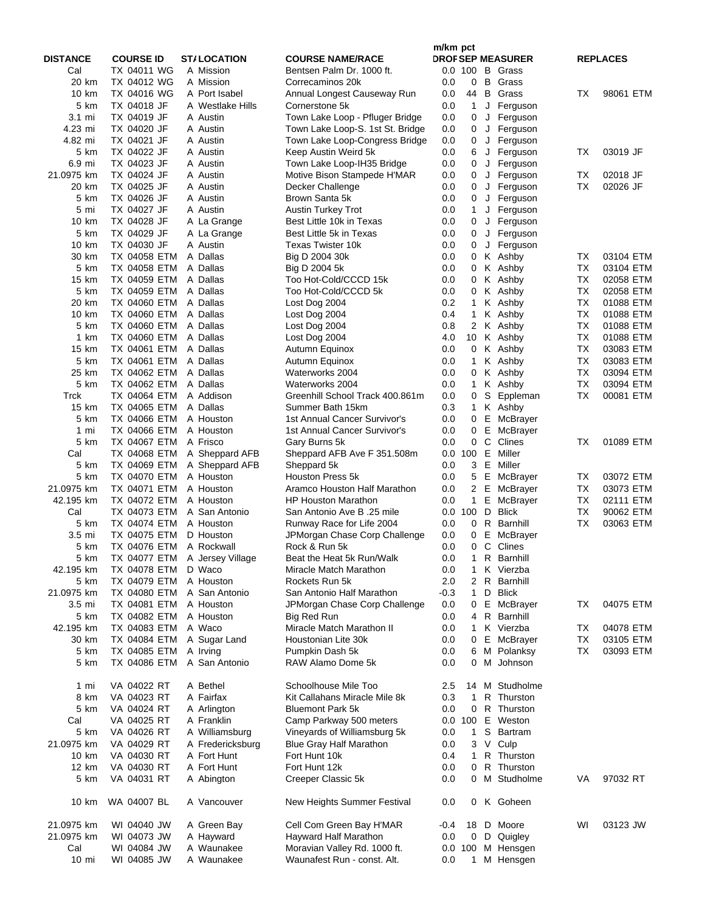|                 |                              |                                             |                                                        | m/km pct   |                   |             |                          |           |                 |
|-----------------|------------------------------|---------------------------------------------|--------------------------------------------------------|------------|-------------------|-------------|--------------------------|-----------|-----------------|
| <b>DISTANCE</b> | <b>COURSE ID</b>             | <b>ST/LOCATION</b>                          | <b>COURSE NAME/RACE</b>                                |            |                   |             | <b>DROF SEP MEASURER</b> |           | <b>REPLACES</b> |
| Cal             | TX 04011 WG                  | A Mission                                   | Bentsen Palm Dr. 1000 ft.                              |            | 0.0 100           |             | <b>B</b> Grass           |           |                 |
| 20 km           | TX 04012 WG                  | A Mission                                   | Correcaminos 20k                                       | 0.0        | 0                 |             | <b>B</b> Grass           |           |                 |
| 10 km           | TX 04016 WG                  | A Port Isabel                               | Annual Longest Causeway Run                            | 0.0        | 44                |             | <b>B</b> Grass           | ТX        | 98061 ETM       |
| 5 km<br>3.1 mi  | TX 04018 JF<br>TX 04019 JF   | A Westlake Hills<br>A Austin                | Cornerstone 5k                                         | 0.0        | 1<br>0            | J<br>J      | Ferguson                 |           |                 |
| 4.23 mi         | TX 04020 JF                  | A Austin                                    | Town Lake Loop - Pfluger Bridge                        | 0.0<br>0.0 |                   |             | Ferguson<br>Ferguson     |           |                 |
| 4.82 mi         | TX 04021 JF                  | A Austin                                    | Town Lake Loop-S. 1st St. Bridge                       | 0.0        | 0<br>0            | J<br>J      | Ferguson                 |           |                 |
| 5 km            | TX 04022 JF                  | A Austin                                    | Town Lake Loop-Congress Bridge<br>Keep Austin Weird 5k | 0.0        | 6                 | J           | Ferguson                 | ТX        | 03019 JF        |
| 6.9 mi          | TX 04023 JF                  | A Austin                                    | Town Lake Loop-IH35 Bridge                             | 0.0        | 0                 | J           | Ferguson                 |           |                 |
| 21.0975 km      | TX 04024 JF                  | A Austin                                    | Motive Bison Stampede H'MAR                            | 0.0        | 0                 | $\mathsf J$ | Ferguson                 | ТX        | 02018 JF        |
| 20 km           | TX 04025 JF                  | A Austin                                    | Decker Challenge                                       | 0.0        | 0                 | J           | Ferguson                 | <b>TX</b> | 02026 JF        |
| 5 km            | TX 04026 JF                  | A Austin                                    | Brown Santa 5k                                         | 0.0        | 0                 | J           | Ferguson                 |           |                 |
| 5 mi            | TX 04027 JF                  | A Austin                                    | Austin Turkey Trot                                     | 0.0        | 1                 | J           | Ferguson                 |           |                 |
| 10 km           | TX 04028 JF                  | A La Grange                                 | Best Little 10k in Texas                               | 0.0        | 0                 | J           | Ferguson                 |           |                 |
| 5 km            | TX 04029 JF                  | A La Grange                                 | Best Little 5k in Texas                                | 0.0        | 0                 | J           | Ferguson                 |           |                 |
| 10 km           | TX 04030 JF                  | A Austin                                    | Texas Twister 10k                                      | 0.0        | 0                 | J           | Ferguson                 |           |                 |
| 30 km           | TX 04058 ETM                 | A Dallas                                    | Big D 2004 30k                                         | 0.0        | 0                 |             | K Ashby                  | ТX        | 03104 ETM       |
| 5 km            | TX 04058 ETM                 | A Dallas                                    | Big D 2004 5k                                          | 0.0        | 0                 |             | K Ashby                  | ТX        | 03104 ETM       |
| 15 km           | TX 04059 ETM                 | A Dallas                                    | Too Hot-Cold/CCCD 15k                                  | 0.0        | 0                 |             | K Ashby                  | ТX        | 02058 ETM       |
| 5 km            | TX 04059 ETM                 | A Dallas                                    | Too Hot-Cold/CCCD 5k                                   | 0.0        | 0                 |             | K Ashby                  | ТX        | 02058 ETM       |
| 20 km           | TX 04060 ETM                 | A Dallas                                    | Lost Dog 2004                                          | 0.2        | $\mathbf{1}$      |             | K Ashby                  | ТX        | 01088 ETM       |
| 10 km           | TX 04060 ETM                 | A Dallas                                    | Lost Dog 2004                                          | 0.4        | $\mathbf{1}$      |             | K Ashby                  | ТX        | 01088 ETM       |
| 5 km            | TX 04060 ETM                 | A Dallas                                    | Lost Dog 2004                                          | 0.8        | 2                 |             | K Ashby                  | ТX        | 01088 ETM       |
| 1 km            | TX 04060 ETM                 | A Dallas                                    | Lost Dog 2004                                          | 4.0        | 10                |             | K Ashby                  | ТX        | 01088 ETM       |
| 15 km           | TX 04061 ETM                 | A Dallas                                    | Autumn Equinox                                         | 0.0        | $\mathbf{0}$      |             | K Ashby                  | <b>TX</b> | 03083 ETM       |
| 5 km            | TX 04061 ETM                 | A Dallas                                    | Autumn Equinox                                         | 0.0        | 1                 |             | K Ashby                  | ТX        | 03083 ETM       |
| 25 km           | TX 04062 ETM                 | A Dallas                                    | Waterworks 2004                                        | 0.0        | 0                 |             | K Ashby                  | ТX        | 03094 ETM       |
| 5 km            | TX 04062 ETM                 | A Dallas                                    | Waterworks 2004                                        | 0.0        | $\mathbf{1}$      |             | K Ashby                  | ТX        | 03094 ETM       |
| Trck            | TX 04064 ETM                 | A Addison                                   | Greenhill School Track 400.861m                        | 0.0        | 0                 |             | S Eppleman               | ТX        | 00081 ETM       |
| 15 km           | TX 04065 ETM                 | A Dallas                                    | Summer Bath 15km                                       | 0.3        | $\mathbf{1}$      |             | K Ashby                  |           |                 |
| 5 km            | TX 04066 ETM                 | A Houston                                   | 1st Annual Cancer Survivor's                           | 0.0        | $\mathbf{0}$      |             | E McBrayer               |           |                 |
| 1 mi            | TX 04066 ETM                 | A Houston                                   | 1st Annual Cancer Survivor's                           | 0.0        | 0                 | Е           | McBrayer                 |           |                 |
| 5 km            | TX 04067 ETM                 | A Frisco                                    | Gary Burns 5k                                          | 0.0        | 0                 | C           | Clines                   | ТX        | 01089 ETM       |
| Cal             | TX 04068 ETM                 | A Sheppard AFB                              | Sheppard AFB Ave F 351.508m                            | 0.0        | 100               | Е           | Miller                   |           |                 |
| 5 km            | TX 04069 ETM                 | A Sheppard AFB                              | Sheppard 5k                                            | 0.0        | 3                 | Е           | Miller                   |           |                 |
| 5 km            | TX 04070 ETM                 | A Houston                                   | Houston Press 5k                                       | 0.0        | 5                 | Е           | McBrayer                 | ТX        | 03072 ETM       |
| 21.0975 km      | TX 04071 ETM                 | A Houston                                   | Aramco Houston Half Marathon                           | 0.0        | 2                 | Е           | McBrayer                 | ТX        | 03073 ETM       |
| 42.195 km       | TX 04072 ETM                 | A Houston                                   | <b>HP Houston Marathon</b>                             | 0.0        | 1                 | Е           | McBrayer                 | ТX        | 02111 ETM       |
| Cal             | TX 04073 ETM                 | A San Antonio                               | San Antonio Ave B .25 mile                             |            | 0.0 100           | D           | <b>Blick</b>             | ТX        | 90062 ETM       |
| 5 km            | TX 04074 ETM                 | A Houston                                   | Runway Race for Life 2004                              | 0.0        | 0                 | R           | Barnhill                 | <b>TX</b> | 03063 ETM       |
| 3.5 mi          | TX 04075 ETM<br>TX 04076 ETM | D Houston                                   | JPMorgan Chase Corp Challenge<br>Rock & Run 5k         | 0.0<br>0.0 | 0<br>$\mathbf{0}$ | Е           | McBrayer<br>C Clines     |           |                 |
| 5 km<br>5 km    |                              | A Rockwall<br>TX 04077 ETM A Jersey Village | Beat the Heat 5k Run/Walk                              | 0.0        | 1                 |             | R Barnhill               |           |                 |
| 42.195 km       | TX 04078 ETM D Waco          |                                             | Miracle Match Marathon                                 | 0.0        |                   |             | 1 K Vierzba              |           |                 |
| 5 km            | TX 04079 ETM                 | A Houston                                   | Rockets Run 5k                                         | 2.0        | 2                 |             | R Barnhill               |           |                 |
| 21.0975 km      | TX 04080 ETM                 | A San Antonio                               | San Antonio Half Marathon                              | -0.3       | $\mathbf{1}$      |             | D Blick                  |           |                 |
| 3.5 mi          | TX 04081 ETM                 | A Houston                                   | JPMorgan Chase Corp Challenge                          | 0.0        |                   |             | 0 E McBrayer             | ТX        | 04075 ETM       |
| 5 km            | TX 04082 ETM                 | A Houston                                   | Big Red Run                                            | 0.0        | 4                 |             | R Barnhill               |           |                 |
| 42.195 km       | TX 04083 ETM                 | A Waco                                      | Miracle Match Marathon II                              | 0.0        | $\mathbf{1}$      |             | K Vierzba                | ТX        | 04078 ETM       |
| 30 km           | TX 04084 ETM                 | A Sugar Land                                | Houstonian Lite 30k                                    | 0.0        | $\mathbf{0}$      |             | E McBrayer               | ТX        | 03105 ETM       |
| 5 km            | TX 04085 ETM                 | A Irving                                    | Pumpkin Dash 5k                                        | 0.0        | 6                 |             | M Polanksy               | ТX        | 03093 ETM       |
| 5 km            | TX 04086 ETM                 | A San Antonio                               | RAW Alamo Dome 5k                                      | 0.0        | 0                 |             | M Johnson                |           |                 |
|                 |                              |                                             |                                                        |            |                   |             |                          |           |                 |
| 1 mi            | VA 04022 RT                  | A Bethel                                    | Schoolhouse Mile Too                                   | 2.5        | 14                |             | M Studholme              |           |                 |
| 8 km            | VA 04023 RT                  | A Fairfax                                   | Kit Callahans Miracle Mile 8k                          | 0.3        | 1                 |             | R Thurston               |           |                 |
| 5 km            | VA 04024 RT                  | A Arlington                                 | <b>Bluemont Park 5k</b>                                | 0.0        | $\mathbf{0}$      |             | R Thurston               |           |                 |
| Cal             | VA 04025 RT                  | A Franklin                                  | Camp Parkway 500 meters                                |            | 0.0 100           |             | E Weston                 |           |                 |
| 5 km            | VA 04026 RT                  | A Williamsburg                              | Vineyards of Williamsburg 5k                           | 0.0        | $\mathbf{1}$      | S           | Bartram                  |           |                 |
| 21.0975 km      | VA 04029 RT                  | A Fredericksburg                            | <b>Blue Gray Half Marathon</b>                         | 0.0        | 3                 |             | V Culp                   |           |                 |
| 10 km           | VA 04030 RT                  | A Fort Hunt                                 | Fort Hunt 10k                                          | 0.4        | 1                 |             | R Thurston               |           |                 |
| 12 km           | VA 04030 RT                  | A Fort Hunt                                 | Fort Hunt 12k                                          | 0.0        | 0                 |             | R Thurston               |           |                 |
| 5 km            | VA 04031 RT                  | A Abington                                  | Creeper Classic 5k                                     | 0.0        | 0                 |             | M Studholme              | VA        | 97032 RT        |
| 10 km           | WA 04007 BL                  | A Vancouver                                 | New Heights Summer Festival                            | 0.0        |                   |             | 0 K Goheen               |           |                 |
| 21.0975 km      |                              | A Green Bay                                 |                                                        | -0.4       |                   |             | 18 D Moore               | WI        | 03123 JW        |
| 21.0975 km      | WI 04040 JW<br>WI 04073 JW   | A Hayward                                   | Cell Com Green Bay H'MAR<br>Hayward Half Marathon      | 0.0        | $\mathbf{0}$      |             | D Quigley                |           |                 |
| Cal             | WI 04084 JW                  | A Waunakee                                  | Moravian Valley Rd. 1000 ft.                           |            | 0.0 100           |             | M Hensgen                |           |                 |
| 10 mi           | WI 04085 JW                  | A Waunakee                                  | Waunafest Run - const. Alt.                            | 0.0        |                   |             | 1 M Hensgen              |           |                 |
|                 |                              |                                             |                                                        |            |                   |             |                          |           |                 |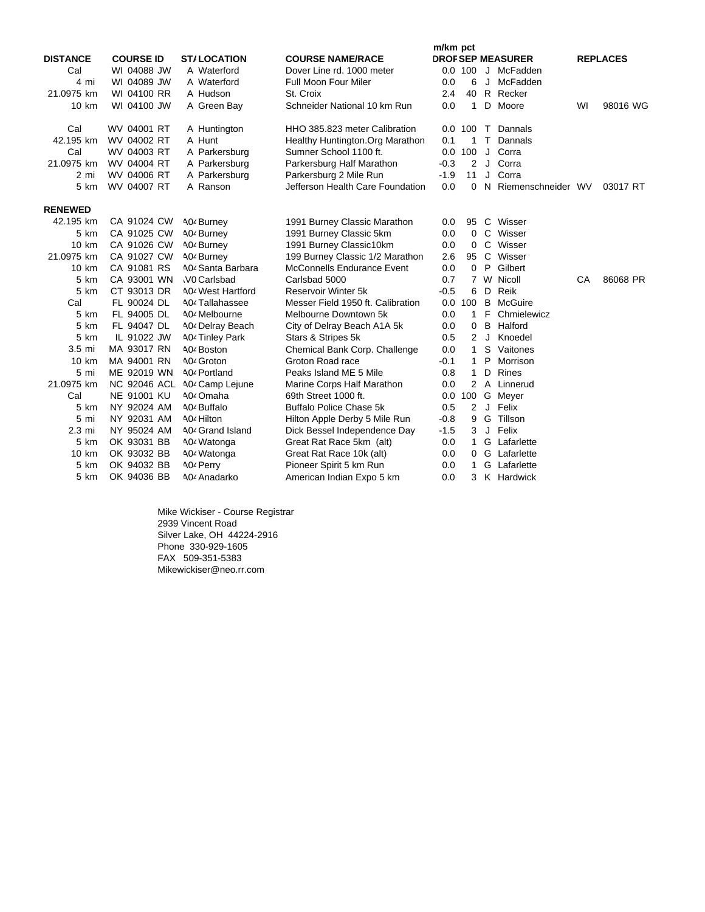|                 |                     |                              |                                   | m/km pct |                |             |                          |    |                 |
|-----------------|---------------------|------------------------------|-----------------------------------|----------|----------------|-------------|--------------------------|----|-----------------|
| <b>DISTANCE</b> | <b>COURSE ID</b>    | <b>ST/LOCATION</b>           | <b>COURSE NAME/RACE</b>           |          |                |             | <b>DROF SEP MEASURER</b> |    | <b>REPLACES</b> |
| Cal             | WI 04088 JW         | A Waterford                  | Dover Line rd. 1000 meter         |          | 0.0 100        |             | J McFadden               |    |                 |
| 4 mi            | WI 04089 JW         | A Waterford                  | <b>Full Moon Four Miler</b>       | 0.0      | 6              | J           | McFadden                 |    |                 |
| 21.0975 km      | WI 04100 RR         | A Hudson                     | St. Croix                         | 2.4      | 40             |             | R Recker                 |    |                 |
| 10 km           | WI 04100 JW         | A Green Bay                  | Schneider National 10 km Run      | 0.0      | $\mathbf{1}$   | D           | Moore                    | WI | 98016 WG        |
| Cal             | WV 04001 RT         | A Huntington                 | HHO 385.823 meter Calibration     |          | 0.0 100        |             | T Dannals                |    |                 |
| 42.195 km       | WV 04002 RT         | A Hunt                       | Healthy Huntington. Org Marathon  | 0.1      | 1              |             | T Dannals                |    |                 |
| Cal             | WV 04003 RT         | A Parkersburg                | Sumner School 1100 ft.            | 0.0      | 100            | J           | Corra                    |    |                 |
| 21.0975 km      | WV 04004 RT         | A Parkersburg                | Parkersburg Half Marathon         | $-0.3$   | 2              | J           | Corra                    |    |                 |
| 2 mi            | WV 04006 RT         | A Parkersburg                | Parkersburg 2 Mile Run            | $-1.9$   | 11             | J           | Corra                    |    |                 |
| 5 km            | WV 04007 RT         | A Ranson                     | Jefferson Health Care Foundation  | 0.0      | $\Omega$       |             | N Riemenschneider WV     |    | 03017 RT        |
| <b>RENEWED</b>  |                     |                              |                                   |          |                |             |                          |    |                 |
| 42.195 km       | CA 91024 CW         | 404 Burney                   | 1991 Burney Classic Marathon      | 0.0      | 95             |             | C Wisser                 |    |                 |
| 5 km            | CA 91025 CW         | A04 Burney                   | 1991 Burney Classic 5km           | 0.0      | $\overline{0}$ |             | C Wisser                 |    |                 |
| 10 km           | CA 91026 CW         | A04 Burney                   | 1991 Burney Classic10km           | 0.0      | 0              |             | C Wisser                 |    |                 |
| 21.0975 km      | CA 91027 CW         | A04 Burney                   | 199 Burney Classic 1/2 Marathon   | 2.6      | 95 C           |             | Wisser                   |    |                 |
| $10 \text{ km}$ | CA 91081 RS         | A04 Santa Barbara            | McConnells Endurance Event        | 0.0      | $\mathbf 0$    | P           | Gilbert                  |    |                 |
| 5 km            | CA 93001 WN         | <b>VO Carlsbad</b>           | Carlsbad 5000                     | 0.7      |                |             | 7 W Nicoll               | CA | 86068 PR        |
| 5 km            | CT 93013 DR         | <b>A04 West Hartford</b>     | Reservoir Winter 5k               | $-0.5$   | 6              | D           | Reik                     |    |                 |
| Cal             | FL 90024 DL         | A04 Tallahassee              | Messer Field 1950 ft. Calibration | 0.0      | 100            | B           | McGuire                  |    |                 |
| 5 km            | FL 94005 DL         | A04 Melbourne                | Melbourne Downtown 5k             | 0.0      | $\mathbf{1}$   | F           | Chmielewicz              |    |                 |
| 5 km            | FL 94047 DL         | 40 <sup>2</sup> Delray Beach | City of Delray Beach A1A 5k       | 0.0      | 0              | B           | Halford                  |    |                 |
| 5 km            | IL 91022 JW         | <b>A04 Tinley Park</b>       | Stars & Stripes 5k                | 0.5      | 2              | J           | Knoedel                  |    |                 |
| $3.5$ mi        | MA 93017 RN         | A04 Boston                   | Chemical Bank Corp. Challenge     | 0.0      | $\mathbf{1}$   | S           | Vaitones                 |    |                 |
| 10 km           | MA 94001 RN         | A0 <sup>2</sup> Groton       | Groton Road race                  | $-0.1$   | $\mathbf{1}$   | P           | Morrison                 |    |                 |
| 5 mi            | ME 92019 WN         | A04 Portland                 | Peaks Island ME 5 Mile            | 0.8      | $\mathbf{1}$   | D           | <b>Rines</b>             |    |                 |
| 21.0975 km      | <b>NC 92046 ACL</b> | A0 <sup>2</sup> Camp Lejune  | Marine Corps Half Marathon        | 0.0      |                |             | 2 A Linnerud             |    |                 |
| Cal             | NE 91001 KU         | A0 <sup>2</sup> Omaha        | 69th Street 1000 ft.              | 0.0      | 100            |             | G Meyer                  |    |                 |
| 5 km            | NY 92024 AM         | A04 Buffalo                  | <b>Buffalo Police Chase 5k</b>    | 0.5      | $\overline{2}$ | $\mathsf J$ | Felix                    |    |                 |
| 5 mi            | NY 92031 AM         | A04 Hilton                   | Hilton Apple Derby 5 Mile Run     | $-0.8$   | 9              |             | G Tillson                |    |                 |
| 2.3 mi          | NY 95024 AM         | A04 Grand Island             | Dick Bessel Independence Day      | $-1.5$   | 3              | J           | Felix                    |    |                 |
| 5 km            | OK 93031 BB         | A0 <sup>2</sup> Watonga      | Great Rat Race 5km (alt)          | 0.0      | $\mathbf{1}$   |             | G Lafarlette             |    |                 |
| 10 km           | OK 93032 BB         | A04 Watonga                  | Great Rat Race 10k (alt)          | 0.0      | $\mathbf{0}$   |             | G Lafarlette             |    |                 |
| 5 km            | OK 94032 BB         | A04 Perry                    | Pioneer Spirit 5 km Run           | 0.0      | $\mathbf{1}$   |             | G Lafarlette             |    |                 |
| 5 km            | OK 94036 BB         | A04 Anadarko                 | American Indian Expo 5 km         | 0.0      | 3              |             | K Hardwick               |    |                 |

Mike Wickiser - Course Registrar 2939 Vincent Road Silver Lake, OH 44224-2916 Phone 330-929-1605 FAX 509-351-5383 Mikewickiser@neo.rr.com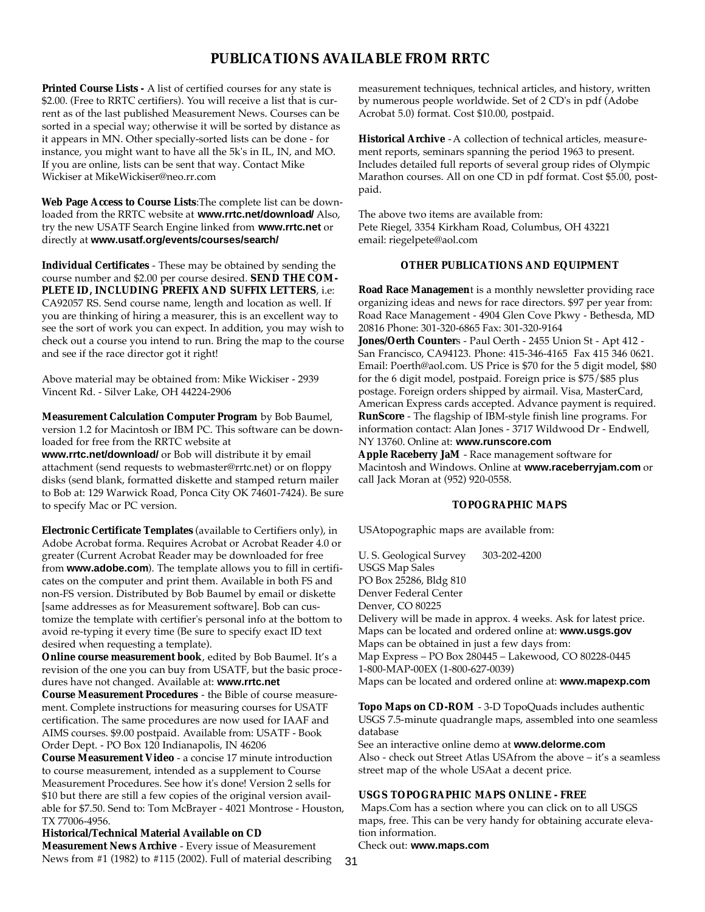## **PUBLICATIONS AVAILABLE FROM RRTC**

**Printed Course Lists -** A list of certified courses for any state is \$2.00. (Free to RRTC certifiers). You will receive a list that is current as of the last published Measurement News. Courses can be sorted in a special way; otherwise it will be sorted by distance as it appears in MN. Other specially-sorted lists can be done - for instance, you might want to have all the 5k's in IL, IN, and MO. If you are online, lists can be sent that way. Contact Mike Wickiser at MikeWickiser@neo.rr.com

**Web Page Access to Course Lists**:The complete list can be downloaded from the RRTC website at **www.rrtc.net/download/** Also, try the new USATF Search Engine linked from **www.rrtc.net** or directly at **www.usatf.org/events/courses/search/**

**Individual Certificates** - These may be obtained by sending the course number and \$2.00 per course desired. **SEND THE COM-PLETE ID, INCLUDING PREFIX AND SUFFIX LETTERS**, i.e: CA92057 RS. Send course name, length and location as well. If you are thinking of hiring a measurer, this is an excellent way to see the sort of work you can expect. In addition, you may wish to check out a course you intend to run. Bring the map to the course and see if the race director got it right!

Above material may be obtained from: Mike Wickiser - 2939 Vincent Rd. - Silver Lake, OH 44224-2906

**Measurement Calculation Computer Program** by Bob Baumel, version 1.2 for Macintosh or IBM PC. This software can be downloaded for free from the RRTC website at

**www.rrtc.net/download/** or Bob will distribute it by email attachment (send requests to webmaster@rrtc.net) or on floppy disks (send blank, formatted diskette and stamped return mailer to Bob at: 129 Warwick Road, Ponca City OK 74601-7424). Be sure to specify Mac or PC version.

**Electronic Certificate Templates** (available to Certifiers only), in Adobe Acrobat forma. Requires Acrobat or Acrobat Reader 4.0 or greater (Current Acrobat Reader may be downloaded for free from **www.adobe.com**). The template allows you to fill in certificates on the computer and print them. Available in both FS and non-FS version. Distributed by Bob Baumel by email or diskette [same addresses as for Measurement software]. Bob can customize the template with certifier's personal info at the bottom to avoid re-typing it every time (Be sure to specify exact ID text desired when requesting a template).

**Online course measurement book**, edited by Bob Baumel. It's a revision of the one you can buy from USATF, but the basic procedures have not changed. Available at: **www.rrtc.net**

**Course Measurement Procedures** - the Bible of course measurement. Complete instructions for measuring courses for USATF certification. The same procedures are now used for IAAF and AIMS courses. \$9.00 postpaid. Available from: USATF - Book Order Dept. - PO Box 120 Indianapolis, IN 46206

**Course Measurement Video** - a concise 17 minute introduction to course measurement, intended as a supplement to Course Measurement Procedures. See how it's done! Version 2 sells for \$10 but there are still a few copies of the original version available for \$7.50. Send to: Tom McBrayer - 4021 Montrose - Houston, TX 77006-4956.

**Historical/Technical Material Available on CD Measurement News Archive** - Every issue of Measurement News from #1 (1982) to #115 (2002). Full of material describing measurement techniques, technical articles, and history, written by numerous people worldwide. Set of 2 CD's in pdf (Adobe Acrobat 5.0) format. Cost \$10.00, postpaid.

**Historical Archive** -A collection of technical articles, measurement reports, seminars spanning the period 1963 to present. Includes detailed full reports of several group rides of Olympic Marathon courses. All on one CD in pdf format. Cost \$5.00, postpaid.

The above two items are available from: Pete Riegel, 3354 Kirkham Road, Columbus, OH 43221 email: riegelpete@aol.com

#### **OTHER PUBLICATIONS AND EQUIPMENT**

**Road Race Managemen**t is a monthly newsletter providing race organizing ideas and news for race directors. \$97 per year from: Road Race Management - 4904 Glen Cove Pkwy - Bethesda, MD 20816 Phone: 301-320-6865 Fax: 301-320-9164

**Jones/Oerth Counter**s - Paul Oerth - 2455 Union St - Apt 412 - San Francisco, CA94123. Phone: 415-346-4165 Fax 415 346 0621. Email: Poerth@aol.com. US Price is \$70 for the 5 digit model, \$80 for the 6 digit model, postpaid. Foreign price is \$75/\$85 plus postage. Foreign orders shipped by airmail. Visa, MasterCard, American Express cards accepted. Advance payment is required. **RunScore** - The flagship of IBM-style finish line programs. For information contact: Alan Jones - 3717 Wildwood Dr - Endwell, NY 13760. Online at: **www.runscore.com**

**Apple Raceberry JaM** - Race management software for Macintosh and Windows. Online at **www.raceberryjam.com** or call Jack Moran at (952) 920-0558.

#### **TOPOGRAPHIC MAPS**

USAtopographic maps are available from:

U. S. Geological Survey 303-202-4200 USGS Map Sales PO Box 25286, Bldg 810 Denver Federal Center Denver, CO 80225 Delivery will be made in approx. 4 weeks. Ask for latest price. Maps can be located and ordered online at: **www.usgs.gov** Maps can be obtained in just a few days from: Map Express – PO Box 280445 – Lakewood, CO 80228-0445 1-800-MAP-00EX (1-800-627-0039) Maps can be located and ordered online at: **www.mapexp.com**

**Topo Maps on CD-ROM** - 3-D TopoQuads includes authentic USGS 7.5-minute quadrangle maps, assembled into one seamless

database See an interactive online demo at **www.delorme.com** Also - check out Street Atlas USAfrom the above – it's a seamless street map of the whole USAat a decent price.

#### **USGS TOPOGRAPHIC MAPS ONLINE - FREE**

Maps.Com has a section where you can click on to all USGS maps, free. This can be very handy for obtaining accurate elevation information.

Check out: **www.maps.com**

31